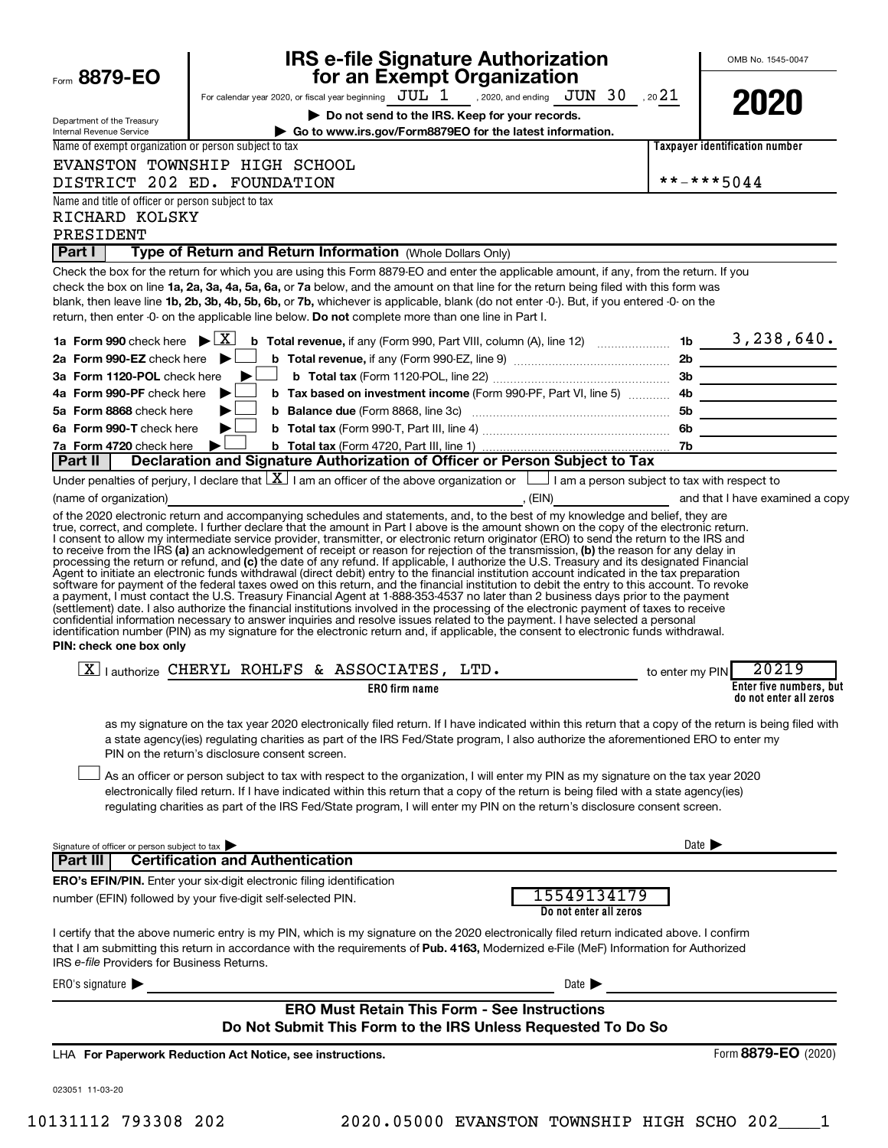|                                                                      | <b>IRS e-file Signature Authorization</b>                                                                                                                                                                                                                                                                                                                                                                                                                                                                                                                                                                                                                                                                                                                 |                                       |                            | OMB No. 1545-0047                       |
|----------------------------------------------------------------------|-----------------------------------------------------------------------------------------------------------------------------------------------------------------------------------------------------------------------------------------------------------------------------------------------------------------------------------------------------------------------------------------------------------------------------------------------------------------------------------------------------------------------------------------------------------------------------------------------------------------------------------------------------------------------------------------------------------------------------------------------------------|---------------------------------------|----------------------------|-----------------------------------------|
| Form 8879-EO                                                         | for an Exempt Organization<br>For calendar year 2020, or fiscal year beginning $JUL$ 1 , 2020, and ending $JUN$ 30 , 20 21                                                                                                                                                                                                                                                                                                                                                                                                                                                                                                                                                                                                                                |                                       |                            |                                         |
| Department of the Treasury<br><b>Internal Revenue Service</b>        | Do not send to the IRS. Keep for your records.<br>Go to www.irs.gov/Form8879EO for the latest information.                                                                                                                                                                                                                                                                                                                                                                                                                                                                                                                                                                                                                                                |                                       |                            | 2020                                    |
| Name of exempt organization or person subject to tax                 |                                                                                                                                                                                                                                                                                                                                                                                                                                                                                                                                                                                                                                                                                                                                                           |                                       |                            | <b>Taxpayer identification number</b>   |
|                                                                      | EVANSTON TOWNSHIP HIGH SCHOOL                                                                                                                                                                                                                                                                                                                                                                                                                                                                                                                                                                                                                                                                                                                             |                                       |                            |                                         |
|                                                                      | DISTRICT 202 ED. FOUNDATION                                                                                                                                                                                                                                                                                                                                                                                                                                                                                                                                                                                                                                                                                                                               |                                       |                            | **-***5044                              |
| Name and title of officer or person subject to tax<br>RICHARD KOLSKY |                                                                                                                                                                                                                                                                                                                                                                                                                                                                                                                                                                                                                                                                                                                                                           |                                       |                            |                                         |
| PRESIDENT                                                            |                                                                                                                                                                                                                                                                                                                                                                                                                                                                                                                                                                                                                                                                                                                                                           |                                       |                            |                                         |
| Part I                                                               | Type of Return and Return Information (Whole Dollars Only)                                                                                                                                                                                                                                                                                                                                                                                                                                                                                                                                                                                                                                                                                                |                                       |                            |                                         |
|                                                                      | Check the box for the return for which you are using this Form 8879-EO and enter the applicable amount, if any, from the return. If you<br>check the box on line 1a, 2a, 3a, 4a, 5a, 6a, or 7a below, and the amount on that line for the return being filed with this form was<br>blank, then leave line 1b, 2b, 3b, 4b, 5b, 6b, or 7b, whichever is applicable, blank (do not enter -0-). But, if you entered -0- on the<br>return, then enter -0- on the applicable line below. Do not complete more than one line in Part I.                                                                                                                                                                                                                          |                                       |                            |                                         |
| 1a Form 990 check here $\mathbf{E}[\mathbf{X}]$                      | <b>b</b> Total revenue, if any (Form 990, Part VIII, column (A), line 12) <b>contain the the sum of <math>3</math>, 238, 640.</b>                                                                                                                                                                                                                                                                                                                                                                                                                                                                                                                                                                                                                         |                                       |                            |                                         |
| 2a Form 990-EZ check here $\blacktriangleright$                      |                                                                                                                                                                                                                                                                                                                                                                                                                                                                                                                                                                                                                                                                                                                                                           |                                       |                            |                                         |
| 3a Form 1120-POL check here                                          |                                                                                                                                                                                                                                                                                                                                                                                                                                                                                                                                                                                                                                                                                                                                                           |                                       |                            |                                         |
| 4a Form 990-PF check here<br>5a Form 8868 check here                 | b Tax based on investment income (Form 990-PF, Part VI, line 5)  4b<br>▶<br>▶                                                                                                                                                                                                                                                                                                                                                                                                                                                                                                                                                                                                                                                                             |                                       |                            |                                         |
| 6a Form 990-T check here                                             | ▶                                                                                                                                                                                                                                                                                                                                                                                                                                                                                                                                                                                                                                                                                                                                                         |                                       |                            |                                         |
| 7a Form 4720 check here                                              | ▶                                                                                                                                                                                                                                                                                                                                                                                                                                                                                                                                                                                                                                                                                                                                                         |                                       |                            | <u> 1990 - John Stone, maria et al.</u> |
| Part II                                                              | Declaration and Signature Authorization of Officer or Person Subject to Tax                                                                                                                                                                                                                                                                                                                                                                                                                                                                                                                                                                                                                                                                               |                                       |                            |                                         |
|                                                                      | Under penalties of perjury, I declare that $\lfloor \underline{X} \rfloor$ I am an officer of the above organization or $\lfloor \underline{\hspace{1cm}} \rfloor$ I am a person subject to tax with respect to                                                                                                                                                                                                                                                                                                                                                                                                                                                                                                                                           |                                       |                            |                                         |
| (name of organization)                                               |                                                                                                                                                                                                                                                                                                                                                                                                                                                                                                                                                                                                                                                                                                                                                           |                                       |                            |                                         |
| PIN: check one box only                                              | a payment, I must contact the U.S. Treasury Financial Agent at 1-888-353-4537 no later than 2 business days prior to the payment<br>(settlement) date. I also authorize the financial institutions involved in the processing of the electronic payment of taxes to receive<br>confidential information necessary to answer inquiries and resolve issues related to the payment. I have selected a personal<br>identification number (PIN) as my signature for the electronic return and, if applicable, the consent to electronic funds withdrawal.                                                                                                                                                                                                      |                                       |                            |                                         |
|                                                                      | $X$   authorize CHERYL ROHLFS & ASSOCIATES, LTD.                                                                                                                                                                                                                                                                                                                                                                                                                                                                                                                                                                                                                                                                                                          |                                       |                            | 20219                                   |
|                                                                      | <b>ERO</b> firm name                                                                                                                                                                                                                                                                                                                                                                                                                                                                                                                                                                                                                                                                                                                                      |                                       | to enter my PIN            | Enter five numbers, but                 |
|                                                                      |                                                                                                                                                                                                                                                                                                                                                                                                                                                                                                                                                                                                                                                                                                                                                           |                                       |                            | do not enter all zeros                  |
|                                                                      | as my signature on the tax year 2020 electronically filed return. If I have indicated within this return that a copy of the return is being filed with<br>a state agency(ies) regulating charities as part of the IRS Fed/State program, I also authorize the aforementioned ERO to enter my<br>PIN on the return's disclosure consent screen.<br>As an officer or person subject to tax with respect to the organization, I will enter my PIN as my signature on the tax year 2020<br>electronically filed return. If I have indicated within this return that a copy of the return is being filed with a state agency(ies)<br>regulating charities as part of the IRS Fed/State program, I will enter my PIN on the return's disclosure consent screen. |                                       |                            |                                         |
| Signature of officer or person subject to tax                        |                                                                                                                                                                                                                                                                                                                                                                                                                                                                                                                                                                                                                                                                                                                                                           |                                       | Date $\blacktriangleright$ |                                         |
| Part III                                                             | <b>Certification and Authentication</b>                                                                                                                                                                                                                                                                                                                                                                                                                                                                                                                                                                                                                                                                                                                   |                                       |                            |                                         |
|                                                                      | ERO's EFIN/PIN. Enter your six-digit electronic filing identification<br>number (EFIN) followed by your five-digit self-selected PIN.                                                                                                                                                                                                                                                                                                                                                                                                                                                                                                                                                                                                                     | 15549134179<br>Do not enter all zeros |                            |                                         |
| IRS e-file Providers for Business Returns.                           | I certify that the above numeric entry is my PIN, which is my signature on the 2020 electronically filed return indicated above. I confirm<br>that I am submitting this return in accordance with the requirements of Pub. 4163, Modernized e-File (MeF) Information for Authorized                                                                                                                                                                                                                                                                                                                                                                                                                                                                       |                                       |                            |                                         |
| ERO's signature $\blacktriangleright$                                |                                                                                                                                                                                                                                                                                                                                                                                                                                                                                                                                                                                                                                                                                                                                                           | Date $\blacktriangleright$            |                            |                                         |
|                                                                      | <b>ERO Must Retain This Form - See Instructions</b><br>Do Not Submit This Form to the IRS Unless Requested To Do So                                                                                                                                                                                                                                                                                                                                                                                                                                                                                                                                                                                                                                       |                                       |                            |                                         |
|                                                                      | LHA For Paperwork Reduction Act Notice, see instructions.                                                                                                                                                                                                                                                                                                                                                                                                                                                                                                                                                                                                                                                                                                 |                                       |                            | Form 8879-EO (2020)                     |
| 023051 11-03-20                                                      |                                                                                                                                                                                                                                                                                                                                                                                                                                                                                                                                                                                                                                                                                                                                                           |                                       |                            |                                         |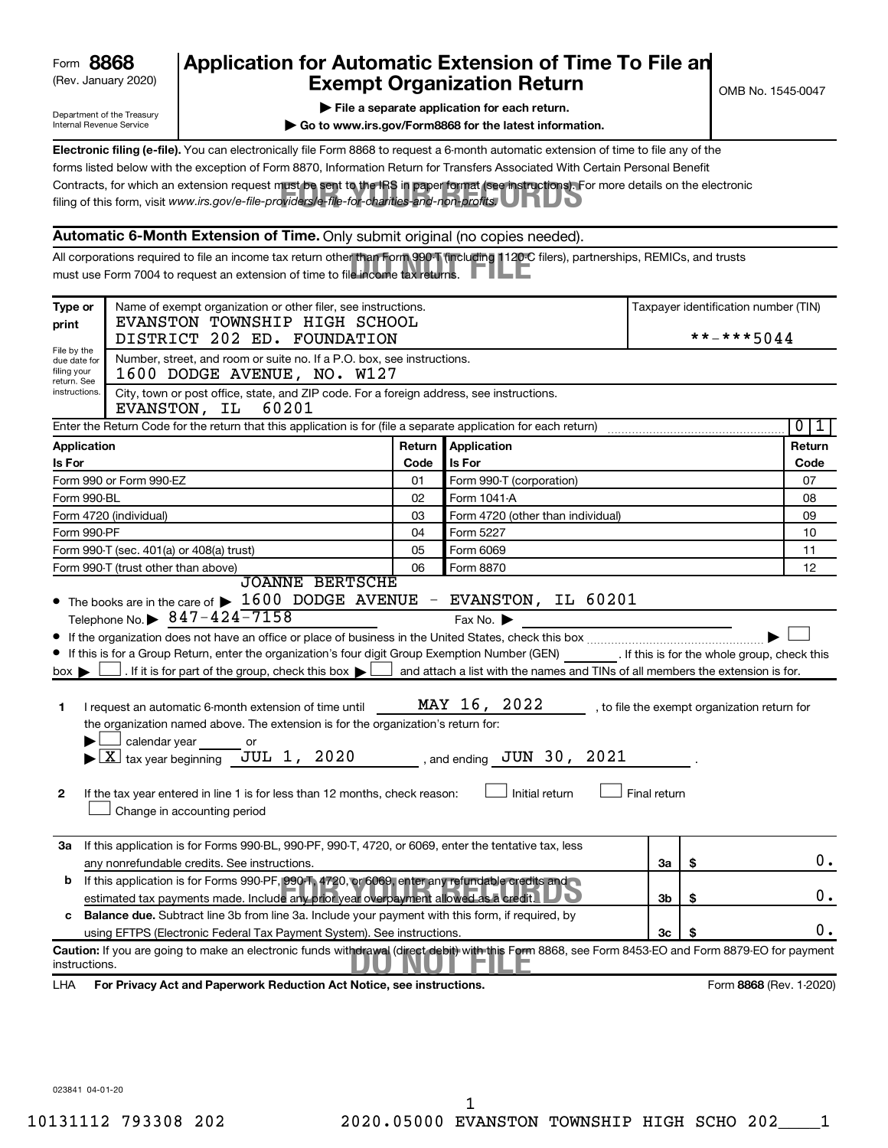| Form | 8868 |
|------|------|
|------|------|

# (Rev. January 2020) **Cxempt Organization Return** Manuary 2020) and the settern **Canadian Exempt Organization Return Form 8868 Application for Automatic Extension of Time To File an**<br>**Exempt Organization Beturn**

Department of the Treasury Internal Revenue Service

|  | $\blacktriangleright$ File a separate application for each return. |  |  |
|--|--------------------------------------------------------------------|--|--|

**| Go to www.irs.gov/Form8868 for the latest information.**

Contracts, for which an extension request must be sent to the IRS in paper format (see instructions). For more details on the electronic<br>filing of this form, visit www.irs.*gov/e-file-providers/e-file-for-charities-and-non* **Electronic filing (e-file).** You can electronically file Form 8868 to request a 6-month automatic extension of time to file any of the filing of this form, visit www.irs.gov/e-file-providers/e-file-for-charities-and-non-profits. forms listed below with the exception of Form 8870, Information Return for Transfers Associated With Certain Personal Benefit

### **Automatic 6-Month Extension of Time.** Only submit original (no copies needed).

All corporations required to file an income tax return other than Form 990-T (including 1120-C filers), partnerships, REMICs, and trusts<br>must use Form 7004 to request an extension of time to file income tax returns. must use Form 7004 to request an extension of time to file income tax returns.

| Type or<br>print                                          | Name of exempt organization or other filer, see instructions.<br>EVANSTON TOWNSHIP HIGH SCHOOL<br>DISTRICT 202 ED. FOUNDATION                                                                                                                        |          |                                                                                | Taxpayer identification number (TIN)<br>**-***5044 |                                              |                         |  |
|-----------------------------------------------------------|------------------------------------------------------------------------------------------------------------------------------------------------------------------------------------------------------------------------------------------------------|----------|--------------------------------------------------------------------------------|----------------------------------------------------|----------------------------------------------|-------------------------|--|
| File by the<br>due date for<br>filing your<br>return. See | Number, street, and room or suite no. If a P.O. box, see instructions.<br>1600 DODGE AVENUE, NO. W127                                                                                                                                                |          |                                                                                |                                                    |                                              |                         |  |
|                                                           | City, town or post office, state, and ZIP code. For a foreign address, see instructions.<br>instructions.<br>EVANSTON, IL<br>60201                                                                                                                   |          |                                                                                |                                                    |                                              |                         |  |
|                                                           | Enter the Return Code for the return that this application is for (file a separate application for each return)                                                                                                                                      |          |                                                                                |                                                    |                                              | 0<br>1                  |  |
| Application                                               |                                                                                                                                                                                                                                                      | Return I | Application                                                                    |                                                    |                                              | Return                  |  |
| Is For                                                    |                                                                                                                                                                                                                                                      | Code     | Is For                                                                         |                                                    |                                              | Code                    |  |
|                                                           | Form 990 or Form 990-EZ                                                                                                                                                                                                                              | 01       | Form 990-T (corporation)                                                       |                                                    |                                              | 07                      |  |
| Form 990-BL                                               |                                                                                                                                                                                                                                                      | 02       | Form 1041-A                                                                    |                                                    |                                              | 08                      |  |
|                                                           | Form 4720 (individual)                                                                                                                                                                                                                               | 03       | Form 4720 (other than individual)                                              |                                                    |                                              | 09                      |  |
| Form 990-PF                                               |                                                                                                                                                                                                                                                      | 04       | Form 5227                                                                      |                                                    |                                              | 10                      |  |
|                                                           | Form 990-T (sec. 401(a) or 408(a) trust)                                                                                                                                                                                                             | 05       | Form 6069                                                                      |                                                    |                                              | 11                      |  |
| 06<br>Form 990-T (trust other than above)<br>Form 8870    |                                                                                                                                                                                                                                                      |          | 12                                                                             |                                                    |                                              |                         |  |
|                                                           | <b>JOANNE BERTSCHE</b><br>• The books are in the care of > 1600 DODGE AVENUE - EVANSTON, IL 60201                                                                                                                                                    |          |                                                                                |                                                    |                                              |                         |  |
|                                                           | Telephone No. $\triangleright$ 847-424-7158                                                                                                                                                                                                          |          | Fax No. $\blacktriangleright$                                                  |                                                    |                                              |                         |  |
|                                                           | If this is for a Group Return, enter the organization's four digit Group Exemption Number (GEN) [If this is for the whole group, check this<br>. If it is for part of the group, check this box $\blacktriangleright$                                |          | and attach a list with the names and TINs of all members the extension is for. |                                                    |                                              |                         |  |
| $box \blacktriangleright$                                 |                                                                                                                                                                                                                                                      |          |                                                                                |                                                    |                                              |                         |  |
| 1                                                         | I request an automatic 6-month extension of time until<br>the organization named above. The extension is for the organization's return for:<br>$\Box$ calendar year<br>or<br>$\blacktriangleright$ $\boxed{\text{X}}$ tax year beginning JUL 1, 2020 |          | MAY 16, 2022<br>, and ending $JUN$ 30, 2021                                    |                                                    | , to file the exempt organization return for |                         |  |
| $\mathbf{2}$                                              | If the tax year entered in line 1 is for less than 12 months, check reason:<br>Change in accounting period                                                                                                                                           |          | Initial return                                                                 | Final return                                       |                                              |                         |  |
| За                                                        | If this application is for Forms 990-BL, 990-PF, 990-T, 4720, or 6069, enter the tentative tax, less                                                                                                                                                 |          |                                                                                |                                                    |                                              |                         |  |
|                                                           | any nonrefundable credits. See instructions.                                                                                                                                                                                                         |          |                                                                                | За                                                 | \$                                           | $0$ .                   |  |
|                                                           | <b>b</b> If this application is for Forms 990-PF, 990-T, 4720, or 6069, enter any refundable credits and<br>estimated tax payments made. Include any prior year overpayment allowed as a credit.                                                     |          |                                                                                | 3b                                                 | \$                                           | 0.                      |  |
|                                                           | <b>Balance due.</b> Subtract line 3b from line 3a. Include your payment with this form, if required, by                                                                                                                                              |          |                                                                                |                                                    |                                              |                         |  |
|                                                           | using EFTPS (Electronic Federal Tax Payment System). See instructions.                                                                                                                                                                               |          |                                                                                | 3c                                                 |                                              | 0.                      |  |
| instructions.                                             | Caution: If you are going to make an electronic funds withdrawal (direct debit) with this Form 8868, see Form 8453-EO and Form 8879-EO for payment                                                                                                   |          |                                                                                |                                                    |                                              |                         |  |
| LHA                                                       | For Privacy Act and Paperwork Reduction Act Notice, see instructions.                                                                                                                                                                                |          |                                                                                |                                                    |                                              | Form 8868 (Rev. 1-2020) |  |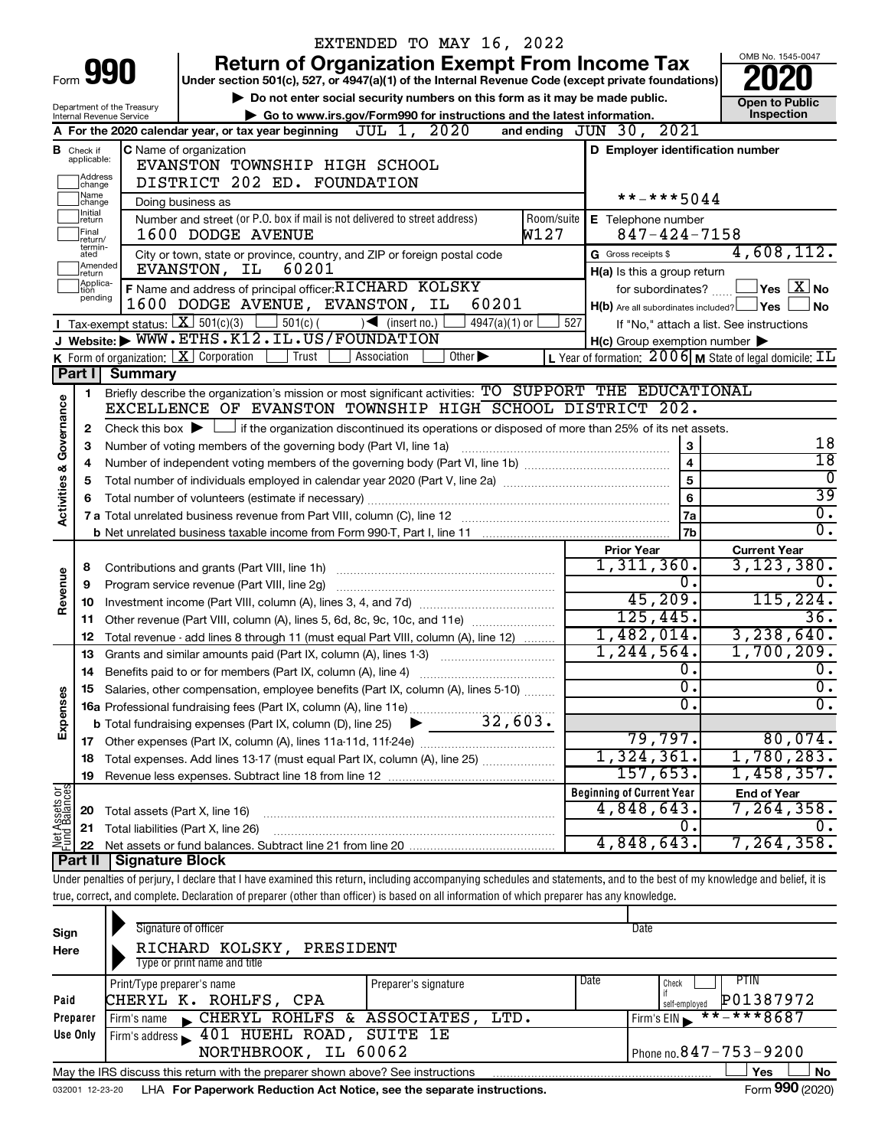|                                |                                                                                                                      |                                | EXTENDED TO MAY 16, 2022                                                                                                                                                   |                    |                                                     |                                                                    |
|--------------------------------|----------------------------------------------------------------------------------------------------------------------|--------------------------------|----------------------------------------------------------------------------------------------------------------------------------------------------------------------------|--------------------|-----------------------------------------------------|--------------------------------------------------------------------|
|                                |                                                                                                                      |                                | <b>Return of Organization Exempt From Income Tax</b>                                                                                                                       |                    |                                                     | OMB No. 1545-0047                                                  |
|                                |                                                                                                                      | Form 990                       | Under section 501(c), 527, or 4947(a)(1) of the Internal Revenue Code (except private foundations)                                                                         |                    |                                                     |                                                                    |
|                                |                                                                                                                      | Department of the Treasury     | Do not enter social security numbers on this form as it may be made public.                                                                                                |                    |                                                     | <b>Open to Public</b>                                              |
|                                |                                                                                                                      | Internal Revenue Service       | Go to www.irs.gov/Form990 for instructions and the latest information.                                                                                                     |                    |                                                     | Inspection                                                         |
|                                |                                                                                                                      |                                | A For the 2020 calendar year, or tax year beginning $JUL$ $1, 2020$                                                                                                        |                    | and ending $JUN 30, 2021$                           |                                                                    |
|                                | <b>B</b> Check if<br>applicable:                                                                                     |                                | C Name of organization                                                                                                                                                     |                    | D Employer identification number                    |                                                                    |
|                                |                                                                                                                      |                                | EVANSTON TOWNSHIP HIGH SCHOOL                                                                                                                                              |                    |                                                     |                                                                    |
|                                | ]Address<br>]change<br>Name                                                                                          |                                | DISTRICT 202 ED. FOUNDATION                                                                                                                                                |                    | **-***5044                                          |                                                                    |
|                                | change<br>Initial                                                                                                    |                                | Doing business as                                                                                                                                                          |                    |                                                     |                                                                    |
|                                | return<br>Final                                                                                                      |                                | Number and street (or P.O. box if mail is not delivered to street address)<br>1600 DODGE AVENUE                                                                            | Room/suite<br>W127 | E Telephone number<br>$847 - 424 - 7158$            |                                                                    |
|                                | return/<br>termin-                                                                                                   |                                |                                                                                                                                                                            |                    | G Gross receipts \$                                 | 4,608,112.                                                         |
|                                | City or town, state or province, country, and ZIP or foreign postal code<br>ated<br>Amended<br>60201<br>EVANSTON, IL |                                |                                                                                                                                                                            |                    |                                                     |                                                                    |
|                                | return<br>Applica-                                                                                                   |                                | F Name and address of principal officer: RICHARD KOLSKY                                                                                                                    |                    | H(a) Is this a group return<br>for subordinates?    | $ {\mathsf Y}{\mathsf e}{\mathsf s} \mid \overline{{\rm X}} $ No   |
|                                | tion<br>pending<br>60201<br>1600 DODGE AVENUE, EVANSTON, IL                                                          |                                |                                                                                                                                                                            |                    | $H(b)$ Are all subordinates included? $\Box$ Yes    | No                                                                 |
|                                |                                                                                                                      |                                | <b>T</b> Tax-exempt status: $X \ 501(c)(3)$ 501(c)(<br>$\sqrt{\frac{1}{1}}$ (insert no.)<br>$4947(a)(1)$ or                                                                | 527                |                                                     | If "No," attach a list. See instructions                           |
|                                |                                                                                                                      |                                | J Website: WWW.ETHS.K12.IL.US/FOUNDATION                                                                                                                                   |                    | $H(c)$ Group exemption number $\blacktriangleright$ |                                                                    |
|                                |                                                                                                                      |                                | <b>K</b> Form of organization: $\boxed{\mathbf{X}}$ Corporation<br>Trust<br>Other $\blacktriangleright$<br>Association                                                     |                    |                                                     | L Year of formation: $2006$ M State of legal domicile: $\text{TL}$ |
|                                | Part I                                                                                                               | Summary                        |                                                                                                                                                                            |                    |                                                     |                                                                    |
|                                | 1.                                                                                                                   |                                | Briefly describe the organization's mission or most significant activities: TO SUPPORT THE EDUCATIONAL                                                                     |                    |                                                     |                                                                    |
| Governance                     |                                                                                                                      |                                | EXCELLENCE OF EVANSTON TOWNSHIP HIGH SCHOOL DISTRICT 202.                                                                                                                  |                    |                                                     |                                                                    |
|                                | 2                                                                                                                    |                                | Check this box $\blacktriangleright$ $\Box$ if the organization discontinued its operations or disposed of more than 25% of its net assets.                                |                    |                                                     |                                                                    |
|                                | З                                                                                                                    |                                | Number of voting members of the governing body (Part VI, line 1a)                                                                                                          |                    | 3                                                   | 18                                                                 |
|                                |                                                                                                                      |                                |                                                                                                                                                                            |                    | $\overline{\mathbf{4}}$                             | $\overline{18}$                                                    |
|                                | 5                                                                                                                    |                                | Total number of individuals employed in calendar year 2020 (Part V, line 2a) manufacture of individuals employed in calendar year 2020 (Part V, line 2a)                   |                    | $\overline{5}$                                      | $\overline{0}$                                                     |
|                                |                                                                                                                      |                                |                                                                                                                                                                            |                    | 6                                                   | 39                                                                 |
| <b>Activities &amp;</b>        |                                                                                                                      |                                |                                                                                                                                                                            |                    | l 7a                                                | $\overline{0}$ .                                                   |
|                                |                                                                                                                      |                                |                                                                                                                                                                            |                    | 7b                                                  | σ.                                                                 |
|                                |                                                                                                                      |                                |                                                                                                                                                                            |                    | <b>Prior Year</b>                                   | <b>Current Year</b>                                                |
|                                | 8                                                                                                                    |                                | Contributions and grants (Part VIII, line 1h)                                                                                                                              |                    | 1,311,360.                                          | 3,123,380.                                                         |
| Revenue                        | 9                                                                                                                    |                                | Program service revenue (Part VIII, line 2g)                                                                                                                               |                    | $0$ .                                               | 0.                                                                 |
|                                | 10                                                                                                                   |                                |                                                                                                                                                                            |                    | 45,209.<br>125,445.                                 | 115, 224.                                                          |
|                                | 11                                                                                                                   |                                | Other revenue (Part VIII, column (A), lines 5, 6d, 8c, 9c, 10c, and 11e)                                                                                                   |                    |                                                     | 36.<br>3, 238, 640.                                                |
|                                | 12                                                                                                                   |                                | Total revenue - add lines 8 through 11 (must equal Part VIII, column (A), line 12)                                                                                         |                    | 1,482,014.<br>1, 244, 564.                          | 1,700,209.                                                         |
|                                | 13                                                                                                                   |                                | Grants and similar amounts paid (Part IX, column (A), lines 1-3)                                                                                                           |                    | 0.                                                  | Ο.                                                                 |
|                                | 14                                                                                                                   |                                | Benefits paid to or for members (Part IX, column (A), line 4)                                                                                                              |                    | $\overline{0}$ .                                    | $\overline{0}$ .                                                   |
| Expenses                       |                                                                                                                      |                                | 15 Salaries, other compensation, employee benefits (Part IX, column (A), lines 5-10)                                                                                       |                    | $\overline{0}$ .                                    | σ.                                                                 |
|                                |                                                                                                                      |                                |                                                                                                                                                                            |                    |                                                     |                                                                    |
|                                |                                                                                                                      |                                |                                                                                                                                                                            |                    | 79,797.                                             | 80,074.                                                            |
|                                | 18                                                                                                                   |                                | Total expenses. Add lines 13-17 (must equal Part IX, column (A), line 25)                                                                                                  |                    | 1,324,361.                                          | 1,780,283.                                                         |
|                                | 19                                                                                                                   |                                |                                                                                                                                                                            |                    | 157,653.                                            | 1,458,357.                                                         |
|                                |                                                                                                                      |                                |                                                                                                                                                                            |                    | <b>Beginning of Current Year</b>                    | <b>End of Year</b>                                                 |
|                                | 20                                                                                                                   | Total assets (Part X, line 16) |                                                                                                                                                                            |                    | 4,848,643.                                          | 7,264,358.                                                         |
| Net Assets or<br>Fund Balances | 21                                                                                                                   |                                | Total liabilities (Part X, line 26)                                                                                                                                        |                    | 0.                                                  | 0.                                                                 |
|                                | 22                                                                                                                   |                                |                                                                                                                                                                            |                    | 4,848,643.                                          | 7, 264, 358.                                                       |
|                                | Part II                                                                                                              | <b>Signature Block</b>         |                                                                                                                                                                            |                    |                                                     |                                                                    |
|                                |                                                                                                                      |                                | Under penalties of perjury, I declare that I have examined this return, including accompanying schedules and statements, and to the best of my knowledge and belief, it is |                    |                                                     |                                                                    |
|                                |                                                                                                                      |                                | true, correct, and complete. Declaration of preparer (other than officer) is based on all information of which preparer has any knowledge.                                 |                    |                                                     |                                                                    |
|                                |                                                                                                                      |                                |                                                                                                                                                                            |                    |                                                     |                                                                    |
| Sign                           |                                                                                                                      |                                | Signature of officer                                                                                                                                                       |                    | Date                                                |                                                                    |
| Here                           |                                                                                                                      |                                | RICHARD KOLSKY, PRESIDENT                                                                                                                                                  |                    |                                                     |                                                                    |
|                                |                                                                                                                      |                                | Type or print name and title                                                                                                                                               |                    |                                                     |                                                                    |

|          | Print/Type preparer's name                                                                          | Preparer's signature | Date | PTIN<br>Check                 |  |  |  |  |
|----------|-----------------------------------------------------------------------------------------------------|----------------------|------|-------------------------------|--|--|--|--|
| Paid     | CHERYL K. ROHLFS, CPA                                                                               |                      |      | P01387972<br>self-emploved    |  |  |  |  |
| Preparer | CHERYL ROHLFS & ASSOCIATES, LTD.<br>Firm's name                                                     |                      |      | $***$ ** * 8687<br>Firm's EIN |  |  |  |  |
| Use Only | Firm's address 101 HUEHL ROAD, SUITE 1E                                                             |                      |      |                               |  |  |  |  |
|          | NORTHBROOK, IL 60062                                                                                |                      |      | Phone no. $847 - 753 - 9200$  |  |  |  |  |
|          | No<br>May the IRS discuss this return with the preparer shown above? See instructions<br><b>Yes</b> |                      |      |                               |  |  |  |  |

032001 12-23-20 LHA **For Paperwork Reduction Act Notice, see the separate instructions.** Form 990 (2020)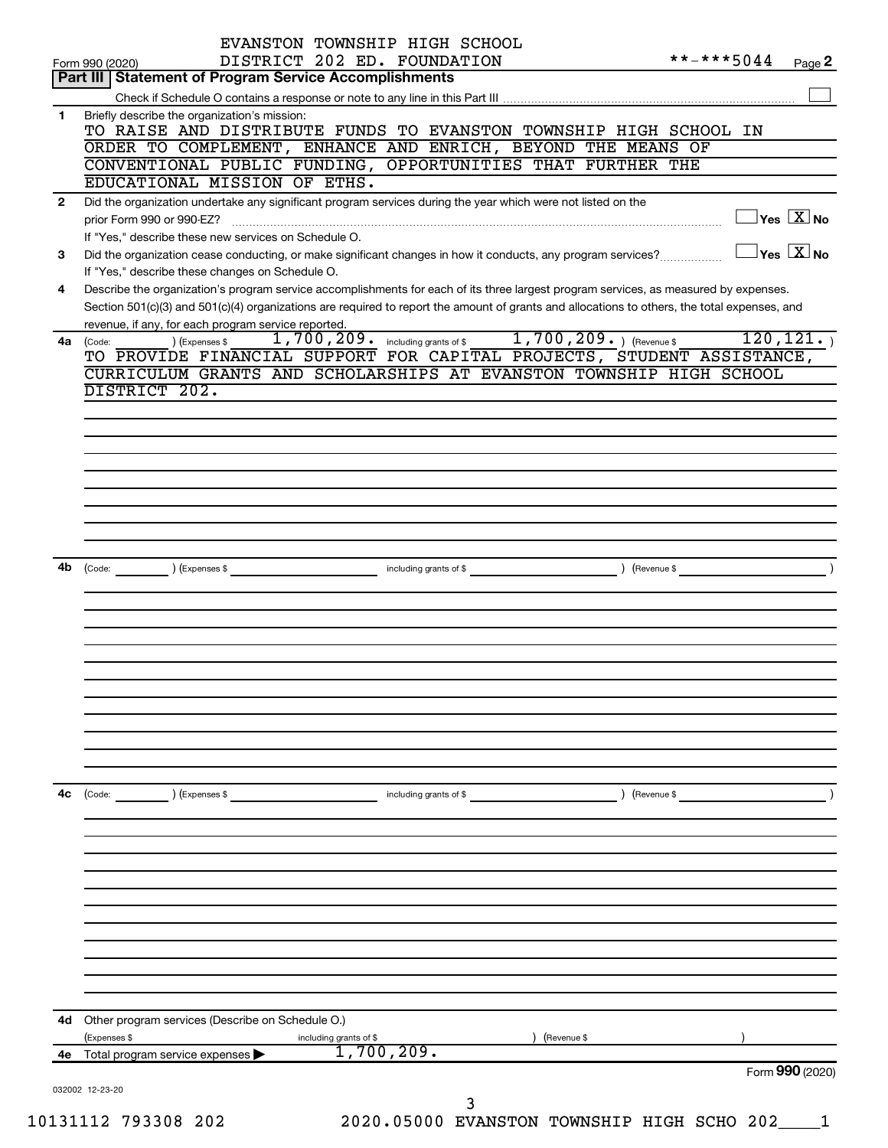|              | EVANSTON TOWNSHIP HIGH SCHOOL                                                                                                                                                                       |                                                 |                                         |
|--------------|-----------------------------------------------------------------------------------------------------------------------------------------------------------------------------------------------------|-------------------------------------------------|-----------------------------------------|
|              | DISTRICT 202 ED. FOUNDATION<br>Form 990 (2020)                                                                                                                                                      | **-***5044                                      | Page 2                                  |
|              | <b>Part III Statement of Program Service Accomplishments</b>                                                                                                                                        |                                                 |                                         |
|              |                                                                                                                                                                                                     |                                                 |                                         |
| 1            | Briefly describe the organization's mission:<br>TO RAISE AND DISTRIBUTE FUNDS TO EVANSTON TOWNSHIP HIGH SCHOOL IN                                                                                   |                                                 |                                         |
|              | ORDER TO COMPLEMENT, ENHANCE AND ENRICH, BEYOND THE MEANS OF                                                                                                                                        |                                                 |                                         |
|              | CONVENTIONAL PUBLIC FUNDING, OPPORTUNITIES THAT FURTHER THE                                                                                                                                         |                                                 |                                         |
|              | EDUCATIONAL MISSION OF ETHS.                                                                                                                                                                        |                                                 |                                         |
| $\mathbf{2}$ | Did the organization undertake any significant program services during the year which were not listed on the                                                                                        |                                                 |                                         |
|              |                                                                                                                                                                                                     |                                                 | $\Box$ Yes $[\overline{\mathrm{X}}]$ No |
|              | If "Yes," describe these new services on Schedule O.                                                                                                                                                |                                                 |                                         |
| 3            | Did the organization cease conducting, or make significant changes in how it conducts, any program services?                                                                                        | $\boxed{\phantom{1}}$ Yes $\boxed{\text{X}}$ No |                                         |
|              | If "Yes," describe these changes on Schedule O.                                                                                                                                                     |                                                 |                                         |
| 4            | Describe the organization's program service accomplishments for each of its three largest program services, as measured by expenses.                                                                |                                                 |                                         |
|              | Section 501(c)(3) and 501(c)(4) organizations are required to report the amount of grants and allocations to others, the total expenses, and<br>revenue, if any, for each program service reported. |                                                 |                                         |
|              | 1,700,209. including grants of \$1,700,209. ) (Revenue \$<br>) (Expenses \$<br>4a (Code:                                                                                                            |                                                 | 120, 121.                               |
|              | TO PROVIDE FINANCIAL SUPPORT FOR CAPITAL PROJECTS, STUDENT ASSISTANCE,                                                                                                                              |                                                 |                                         |
|              | CURRICULUM GRANTS AND SCHOLARSHIPS AT EVANSTON TOWNSHIP HIGH SCHOOL                                                                                                                                 |                                                 |                                         |
|              | DISTRICT 202.                                                                                                                                                                                       |                                                 |                                         |
|              |                                                                                                                                                                                                     |                                                 |                                         |
|              |                                                                                                                                                                                                     |                                                 |                                         |
|              |                                                                                                                                                                                                     |                                                 |                                         |
|              |                                                                                                                                                                                                     |                                                 |                                         |
|              |                                                                                                                                                                                                     |                                                 |                                         |
|              |                                                                                                                                                                                                     |                                                 |                                         |
|              |                                                                                                                                                                                                     |                                                 |                                         |
|              |                                                                                                                                                                                                     |                                                 |                                         |
|              |                                                                                                                                                                                                     |                                                 |                                         |
|              |                                                                                                                                                                                                     |                                                 |                                         |
|              |                                                                                                                                                                                                     |                                                 |                                         |
|              |                                                                                                                                                                                                     |                                                 |                                         |
|              |                                                                                                                                                                                                     |                                                 |                                         |
|              |                                                                                                                                                                                                     |                                                 |                                         |
|              |                                                                                                                                                                                                     |                                                 |                                         |
|              |                                                                                                                                                                                                     |                                                 |                                         |
|              |                                                                                                                                                                                                     |                                                 |                                         |
|              |                                                                                                                                                                                                     |                                                 |                                         |
|              |                                                                                                                                                                                                     |                                                 |                                         |
|              |                                                                                                                                                                                                     |                                                 |                                         |
| 4с           | (Code: ) (Expenses \$<br>including grants of \$                                                                                                                                                     | $\sqrt{2}$ (Revenue \$                          |                                         |
|              |                                                                                                                                                                                                     |                                                 |                                         |
|              |                                                                                                                                                                                                     |                                                 |                                         |
|              |                                                                                                                                                                                                     |                                                 |                                         |
|              |                                                                                                                                                                                                     |                                                 |                                         |
|              |                                                                                                                                                                                                     |                                                 |                                         |
|              |                                                                                                                                                                                                     |                                                 |                                         |
|              |                                                                                                                                                                                                     |                                                 |                                         |
|              |                                                                                                                                                                                                     |                                                 |                                         |
|              |                                                                                                                                                                                                     |                                                 |                                         |
|              |                                                                                                                                                                                                     |                                                 |                                         |
|              |                                                                                                                                                                                                     |                                                 |                                         |
|              | 4d Other program services (Describe on Schedule O.)                                                                                                                                                 |                                                 |                                         |
|              | (Expenses \$<br>(Revenue \$<br>including grants of \$                                                                                                                                               |                                                 |                                         |
| 4е           | 1,700,209.<br>Total program service expenses                                                                                                                                                        |                                                 |                                         |
|              |                                                                                                                                                                                                     |                                                 | Form 990 (2020)                         |
|              | 032002 12-23-20<br>3                                                                                                                                                                                |                                                 |                                         |
|              | 2020 AEAAA BIINNIAMAN MOLMIAUTR UTAU AAUA 202                                                                                                                                                       |                                                 |                                         |

10131112 793308 202 2020.05000 EVANSTON TOWNSHIP HIGH SCHO 202\_\_\_\_1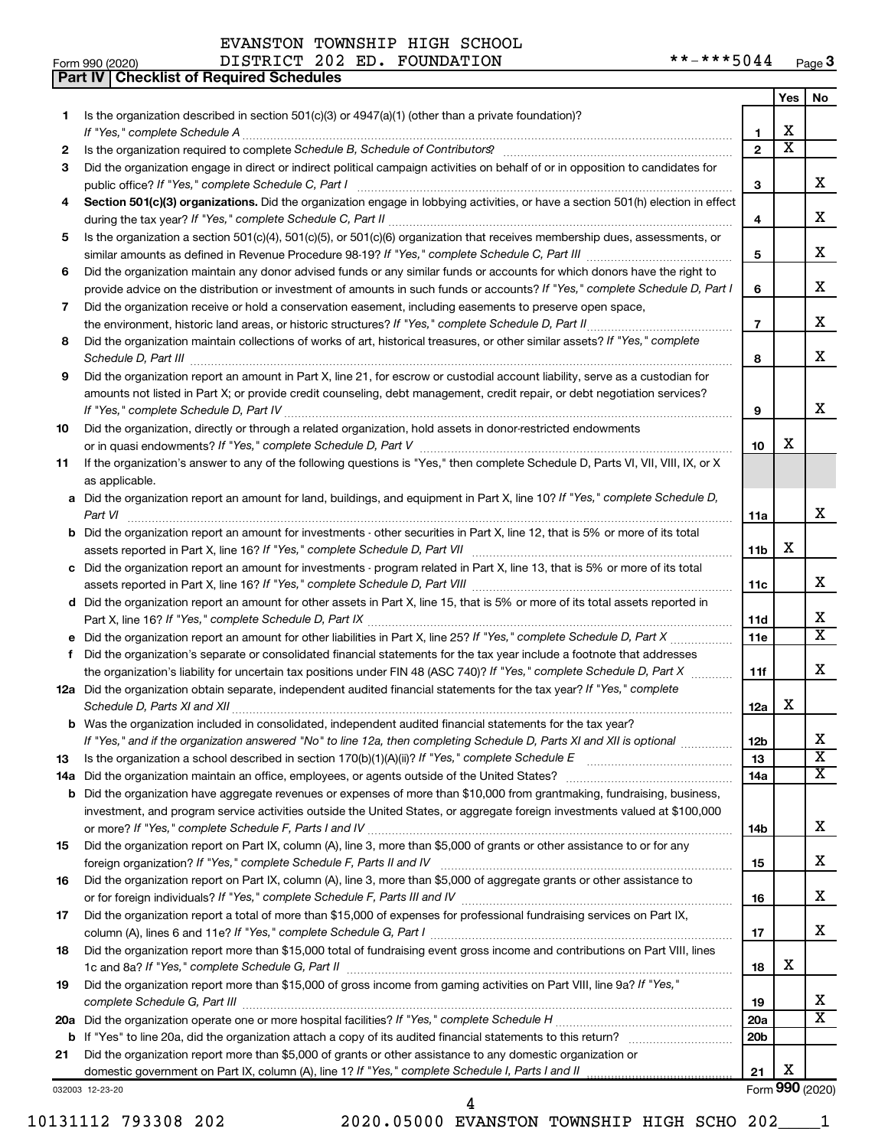| EVANSTON TOWNSHIP HIGH SCHOOL |  |
|-------------------------------|--|
|                               |  |

**Part IV Checklist of Required Schedules**

|     |                                                                                                                                                                                                                                      |                 | Yes                     | No.                          |
|-----|--------------------------------------------------------------------------------------------------------------------------------------------------------------------------------------------------------------------------------------|-----------------|-------------------------|------------------------------|
| 1.  | Is the organization described in section $501(c)(3)$ or $4947(a)(1)$ (other than a private foundation)?                                                                                                                              |                 |                         |                              |
|     | If "Yes," complete Schedule A                                                                                                                                                                                                        | 1               | х                       |                              |
| 2   |                                                                                                                                                                                                                                      | $\mathbf{2}$    | $\overline{\textbf{x}}$ |                              |
| 3   | Did the organization engage in direct or indirect political campaign activities on behalf of or in opposition to candidates for                                                                                                      |                 |                         |                              |
|     | public office? If "Yes," complete Schedule C, Part I                                                                                                                                                                                 | 3               |                         | X.                           |
| 4   | Section 501(c)(3) organizations. Did the organization engage in lobbying activities, or have a section 501(h) election in effect                                                                                                     |                 |                         |                              |
|     |                                                                                                                                                                                                                                      | 4               |                         | x                            |
| 5   | Is the organization a section 501(c)(4), 501(c)(5), or 501(c)(6) organization that receives membership dues, assessments, or                                                                                                         |                 |                         |                              |
|     |                                                                                                                                                                                                                                      | 5               |                         | х                            |
| 6   | Did the organization maintain any donor advised funds or any similar funds or accounts for which donors have the right to                                                                                                            |                 |                         | х                            |
|     | provide advice on the distribution or investment of amounts in such funds or accounts? If "Yes," complete Schedule D, Part I                                                                                                         | 6               |                         |                              |
| 7   | Did the organization receive or hold a conservation easement, including easements to preserve open space,                                                                                                                            | $\overline{7}$  |                         | х                            |
|     | the environment, historic land areas, or historic structures? If "Yes," complete Schedule D, Part II<br>Did the organization maintain collections of works of art, historical treasures, or other similar assets? If "Yes," complete |                 |                         |                              |
| 8   | Schedule D, Part III                                                                                                                                                                                                                 |                 |                         | X.                           |
| 9   | Did the organization report an amount in Part X, line 21, for escrow or custodial account liability, serve as a custodian for                                                                                                        | 8               |                         |                              |
|     | amounts not listed in Part X; or provide credit counseling, debt management, credit repair, or debt negotiation services?                                                                                                            |                 |                         |                              |
|     |                                                                                                                                                                                                                                      | 9               |                         | x                            |
| 10  | Did the organization, directly or through a related organization, hold assets in donor-restricted endowments                                                                                                                         |                 |                         |                              |
|     |                                                                                                                                                                                                                                      | 10              | х                       |                              |
| 11  | If the organization's answer to any of the following questions is "Yes," then complete Schedule D, Parts VI, VII, VIII, IX, or X                                                                                                     |                 |                         |                              |
|     | as applicable.                                                                                                                                                                                                                       |                 |                         |                              |
|     | a Did the organization report an amount for land, buildings, and equipment in Part X, line 10? If "Yes," complete Schedule D,                                                                                                        |                 |                         |                              |
|     | Part VI                                                                                                                                                                                                                              | 11a             |                         | x                            |
|     | <b>b</b> Did the organization report an amount for investments - other securities in Part X, line 12, that is 5% or more of its total                                                                                                |                 |                         |                              |
|     |                                                                                                                                                                                                                                      | 11b             | x                       |                              |
|     | c Did the organization report an amount for investments - program related in Part X, line 13, that is 5% or more of its total                                                                                                        |                 |                         |                              |
|     |                                                                                                                                                                                                                                      | 11c             |                         | x                            |
|     | d Did the organization report an amount for other assets in Part X, line 15, that is 5% or more of its total assets reported in                                                                                                      |                 |                         |                              |
|     |                                                                                                                                                                                                                                      | 11d             |                         | х                            |
|     | e Did the organization report an amount for other liabilities in Part X, line 25? If "Yes," complete Schedule D, Part X                                                                                                              | <b>11e</b>      |                         | $\overline{\mathtt{x}}$      |
| f.  | Did the organization's separate or consolidated financial statements for the tax year include a footnote that addresses                                                                                                              |                 |                         |                              |
|     | the organization's liability for uncertain tax positions under FIN 48 (ASC 740)? If "Yes," complete Schedule D, Part X                                                                                                               | 11f             |                         | x                            |
|     | 12a Did the organization obtain separate, independent audited financial statements for the tax year? If "Yes," complete                                                                                                              |                 |                         |                              |
|     | Schedule D, Parts XI and XII                                                                                                                                                                                                         | 12a             | x                       |                              |
|     | <b>b</b> Was the organization included in consolidated, independent audited financial statements for the tax year?                                                                                                                   |                 |                         |                              |
|     | If "Yes," and if the organization answered "No" to line 12a, then completing Schedule D, Parts XI and XII is optional                                                                                                                | 12 <sub>b</sub> |                         | х<br>$\overline{\textbf{x}}$ |
| 13  |                                                                                                                                                                                                                                      | 13              |                         | x                            |
| 14a | Did the organization maintain an office, employees, or agents outside of the United States?<br><b>b</b> Did the organization have aggregate revenues or expenses of more than \$10,000 from grantmaking, fundraising, business,      | 14a             |                         |                              |
|     | investment, and program service activities outside the United States, or aggregate foreign investments valued at \$100,000                                                                                                           |                 |                         |                              |
|     |                                                                                                                                                                                                                                      | 14b             |                         | x                            |
| 15  | Did the organization report on Part IX, column (A), line 3, more than \$5,000 of grants or other assistance to or for any                                                                                                            |                 |                         |                              |
|     |                                                                                                                                                                                                                                      | 15              |                         | X.                           |
| 16  | Did the organization report on Part IX, column (A), line 3, more than \$5,000 of aggregate grants or other assistance to                                                                                                             |                 |                         |                              |
|     |                                                                                                                                                                                                                                      | 16              |                         | х                            |
| 17  | Did the organization report a total of more than \$15,000 of expenses for professional fundraising services on Part IX,                                                                                                              |                 |                         |                              |
|     |                                                                                                                                                                                                                                      | 17              |                         | x                            |
| 18  | Did the organization report more than \$15,000 total of fundraising event gross income and contributions on Part VIII, lines                                                                                                         |                 |                         |                              |
|     |                                                                                                                                                                                                                                      | 18              | х                       |                              |
| 19  | Did the organization report more than \$15,000 of gross income from gaming activities on Part VIII, line 9a? If "Yes,"                                                                                                               |                 |                         |                              |
|     |                                                                                                                                                                                                                                      | 19              |                         | X                            |
|     |                                                                                                                                                                                                                                      | 20a             |                         | $\overline{\text{X}}$        |
|     |                                                                                                                                                                                                                                      | 20 <sub>b</sub> |                         |                              |
| 21  | Did the organization report more than \$5,000 of grants or other assistance to any domestic organization or                                                                                                                          |                 |                         |                              |
|     |                                                                                                                                                                                                                                      | 21              | x                       |                              |

032003 12-23-20

10131112 793308 202 2020.05000 EVANSTON TOWNSHIP HIGH SCHO 202\_\_\_\_1 4

Form (2020) **990**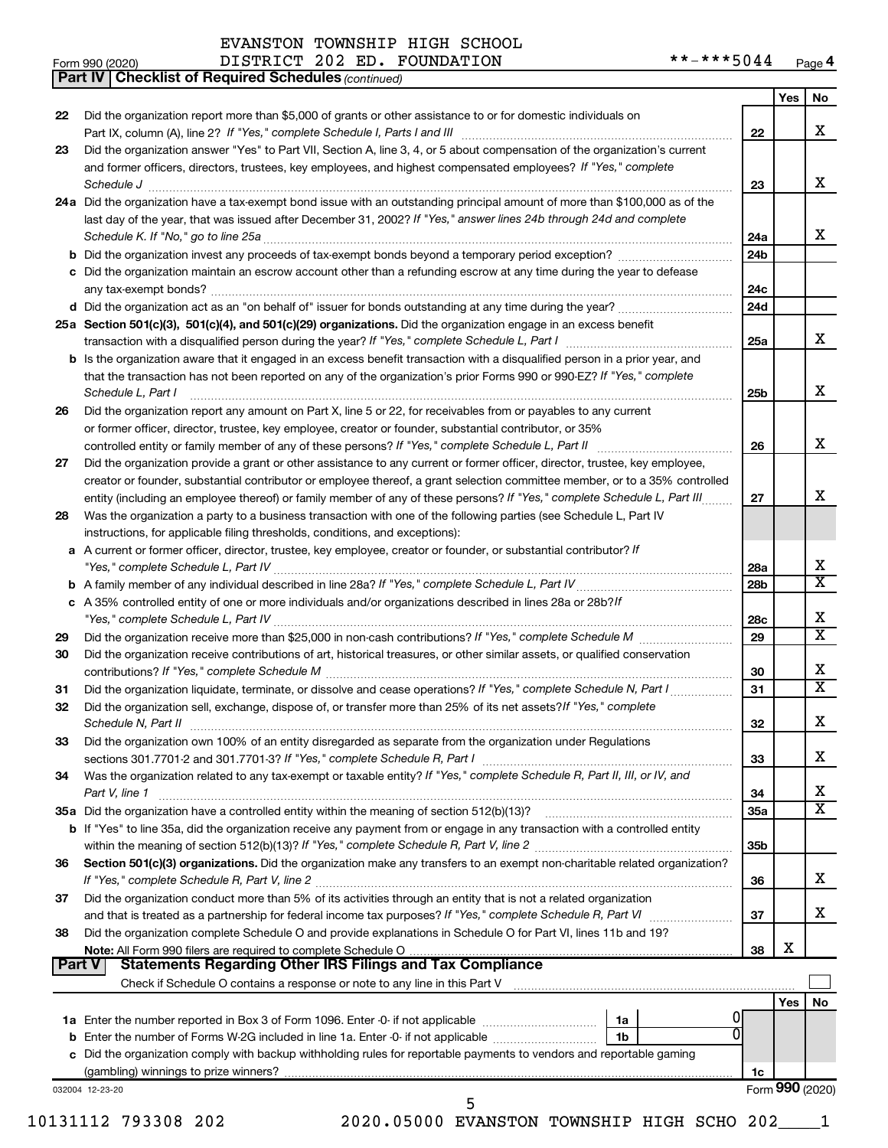|               | <b>Part IV   Checklist of Required Schedules (continued)</b>                                                                                                    |                 |     |                         |
|---------------|-----------------------------------------------------------------------------------------------------------------------------------------------------------------|-----------------|-----|-------------------------|
|               |                                                                                                                                                                 |                 | Yes | No                      |
| 22            | Did the organization report more than \$5,000 of grants or other assistance to or for domestic individuals on                                                   |                 |     |                         |
|               |                                                                                                                                                                 | 22              |     | X                       |
|               | Did the organization answer "Yes" to Part VII, Section A, line 3, 4, or 5 about compensation of the organization's current                                      |                 |     |                         |
| 23            |                                                                                                                                                                 |                 |     |                         |
|               | and former officers, directors, trustees, key employees, and highest compensated employees? If "Yes," complete                                                  |                 |     |                         |
|               | Schedule J <b>Production Construction Construction Construction Construction Construction</b>                                                                   | 23              |     | х                       |
|               | 24a Did the organization have a tax-exempt bond issue with an outstanding principal amount of more than \$100,000 as of the                                     |                 |     |                         |
|               | last day of the year, that was issued after December 31, 2002? If "Yes," answer lines 24b through 24d and complete                                              |                 |     |                         |
|               |                                                                                                                                                                 | 24a             |     | x                       |
|               |                                                                                                                                                                 | 24b             |     |                         |
|               | c Did the organization maintain an escrow account other than a refunding escrow at any time during the year to defease                                          |                 |     |                         |
|               |                                                                                                                                                                 | 24c             |     |                         |
|               |                                                                                                                                                                 | 24d             |     |                         |
|               | 25a Section 501(c)(3), 501(c)(4), and 501(c)(29) organizations. Did the organization engage in an excess benefit                                                |                 |     |                         |
|               |                                                                                                                                                                 |                 |     | x                       |
|               |                                                                                                                                                                 | 25a             |     |                         |
|               | <b>b</b> Is the organization aware that it engaged in an excess benefit transaction with a disqualified person in a prior year, and                             |                 |     |                         |
|               | that the transaction has not been reported on any of the organization's prior Forms 990 or 990-EZ? If "Yes," complete                                           |                 |     |                         |
|               | Schedule L, Part I                                                                                                                                              | 25b             |     | х                       |
| 26            | Did the organization report any amount on Part X, line 5 or 22, for receivables from or payables to any current                                                 |                 |     |                         |
|               | or former officer, director, trustee, key employee, creator or founder, substantial contributor, or 35%                                                         |                 |     |                         |
|               | controlled entity or family member of any of these persons? If "Yes," complete Schedule L, Part II                                                              | 26              |     | х                       |
| 27            | Did the organization provide a grant or other assistance to any current or former officer, director, trustee, key employee,                                     |                 |     |                         |
|               | creator or founder, substantial contributor or employee thereof, a grant selection committee member, or to a 35% controlled                                     |                 |     |                         |
|               | entity (including an employee thereof) or family member of any of these persons? If "Yes," complete Schedule L, Part III                                        | 27              |     | х                       |
| 28            | Was the organization a party to a business transaction with one of the following parties (see Schedule L, Part IV                                               |                 |     |                         |
|               |                                                                                                                                                                 |                 |     |                         |
|               | instructions, for applicable filing thresholds, conditions, and exceptions):                                                                                    |                 |     |                         |
|               | a A current or former officer, director, trustee, key employee, creator or founder, or substantial contributor? If                                              |                 |     |                         |
|               |                                                                                                                                                                 | 28a             |     | х                       |
|               |                                                                                                                                                                 | 28 <sub>b</sub> |     | $\overline{\text{X}}$   |
|               | c A 35% controlled entity of one or more individuals and/or organizations described in lines 28a or 28b?/f                                                      |                 |     |                         |
|               |                                                                                                                                                                 | 28c             |     | х                       |
| 29            |                                                                                                                                                                 | 29              |     | X                       |
| 30            | Did the organization receive contributions of art, historical treasures, or other similar assets, or qualified conservation                                     |                 |     |                         |
|               |                                                                                                                                                                 | 30              |     | х                       |
| 31            | Did the organization liquidate, terminate, or dissolve and cease operations? If "Yes," complete Schedule N, Part I                                              | 31              |     | X                       |
|               |                                                                                                                                                                 |                 |     |                         |
| 32            | Did the organization sell, exchange, dispose of, or transfer more than 25% of its net assets? If "Yes," complete                                                |                 |     | Χ                       |
|               |                                                                                                                                                                 | 32              |     |                         |
| 33            | Did the organization own 100% of an entity disregarded as separate from the organization under Regulations                                                      |                 |     |                         |
|               |                                                                                                                                                                 | 33              |     | x.                      |
| 34            | Was the organization related to any tax-exempt or taxable entity? If "Yes," complete Schedule R, Part II, III, or IV, and                                       |                 |     |                         |
|               | Part V, line 1                                                                                                                                                  | 34              |     | х                       |
|               |                                                                                                                                                                 | <b>35a</b>      |     | $\overline{\textbf{X}}$ |
|               | b If "Yes" to line 35a, did the organization receive any payment from or engage in any transaction with a controlled entity                                     |                 |     |                         |
|               |                                                                                                                                                                 | 35b             |     |                         |
| 36            | Section 501(c)(3) organizations. Did the organization make any transfers to an exempt non-charitable related organization?                                      |                 |     |                         |
|               |                                                                                                                                                                 | 36              |     | x.                      |
| 37            | Did the organization conduct more than 5% of its activities through an entity that is not a related organization                                                |                 |     |                         |
|               |                                                                                                                                                                 | 37              |     | x                       |
|               |                                                                                                                                                                 |                 |     |                         |
| 38            | Did the organization complete Schedule O and provide explanations in Schedule O for Part VI, lines 11b and 19?                                                  |                 | X   |                         |
| <b>Part V</b> |                                                                                                                                                                 | 38              |     |                         |
|               |                                                                                                                                                                 |                 |     |                         |
|               | Check if Schedule O contains a response or note to any line in this Part V [11] [12] Check if Schedule O contains a response or note to any line in this Part V |                 |     |                         |
|               |                                                                                                                                                                 |                 | Yes | No                      |
|               | 1а                                                                                                                                                              |                 |     |                         |
|               | 1b                                                                                                                                                              |                 |     |                         |
|               | c Did the organization comply with backup withholding rules for reportable payments to vendors and reportable gaming                                            |                 |     |                         |
|               |                                                                                                                                                                 | 1c              |     |                         |
|               | 032004 12-23-20                                                                                                                                                 |                 |     | Form 990 (2020)         |
|               | 5                                                                                                                                                               |                 |     |                         |

10131112 793308 202 2020.05000 EVANSTON TOWNSHIP HIGH SCHO 202\_\_\_\_1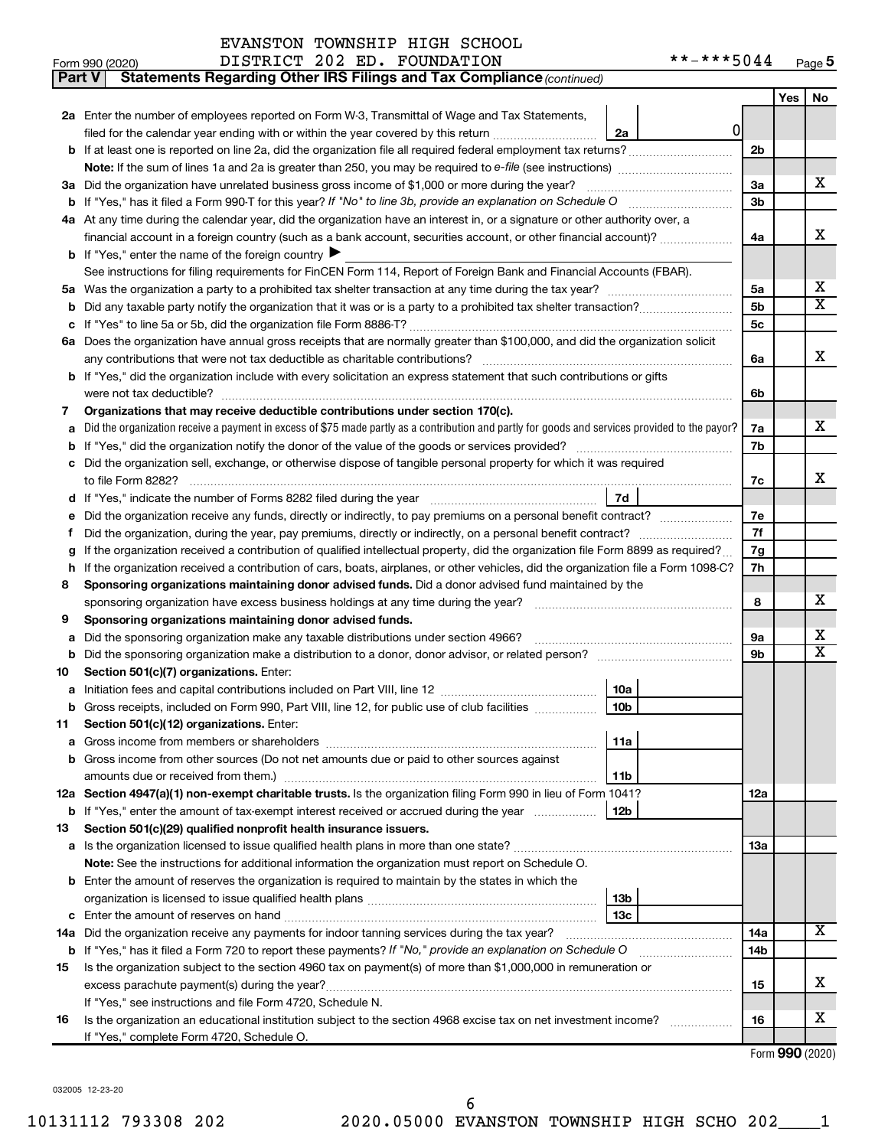| EVANSTON TOWNSHIP HIGH SCHOOL |  |
|-------------------------------|--|
|                               |  |

|    | Statements Regarding Other IRS Filings and Tax Compliance (continued)<br><b>Part V</b>                                                          |                |     |                         |  |
|----|-------------------------------------------------------------------------------------------------------------------------------------------------|----------------|-----|-------------------------|--|
|    |                                                                                                                                                 |                | Yes | No                      |  |
|    | 2a Enter the number of employees reported on Form W-3, Transmittal of Wage and Tax Statements,                                                  |                |     |                         |  |
|    | <sup>0</sup><br>filed for the calendar year ending with or within the year covered by this return<br>2a                                         |                |     |                         |  |
|    | b If at least one is reported on line 2a, did the organization file all required federal employment tax returns?                                | 2 <sub>b</sub> |     |                         |  |
|    |                                                                                                                                                 |                |     |                         |  |
|    | 3a Did the organization have unrelated business gross income of \$1,000 or more during the year?                                                | За             |     | х                       |  |
|    |                                                                                                                                                 | 3b             |     |                         |  |
|    | 4a At any time during the calendar year, did the organization have an interest in, or a signature or other authority over, a                    |                |     |                         |  |
|    | financial account in a foreign country (such as a bank account, securities account, or other financial account)?                                | 4a             |     | x                       |  |
|    | <b>b</b> If "Yes," enter the name of the foreign country $\blacktriangleright$                                                                  |                |     |                         |  |
|    | See instructions for filing requirements for FinCEN Form 114, Report of Foreign Bank and Financial Accounts (FBAR).                             |                |     |                         |  |
|    |                                                                                                                                                 | 5a             |     | х                       |  |
| b  |                                                                                                                                                 | 5 <sub>b</sub> |     | $\overline{\textbf{X}}$ |  |
|    |                                                                                                                                                 | <b>5c</b>      |     |                         |  |
|    | 6a Does the organization have annual gross receipts that are normally greater than \$100,000, and did the organization solicit                  |                |     |                         |  |
|    |                                                                                                                                                 | 6a             |     | x                       |  |
|    | <b>b</b> If "Yes," did the organization include with every solicitation an express statement that such contributions or gifts                   |                |     |                         |  |
|    |                                                                                                                                                 | 6b             |     |                         |  |
| 7  | Organizations that may receive deductible contributions under section 170(c).                                                                   |                |     |                         |  |
| a  | Did the organization receive a payment in excess of \$75 made partly as a contribution and partly for goods and services provided to the payor? | 7a             |     | х                       |  |
|    |                                                                                                                                                 | 7b             |     |                         |  |
|    | c Did the organization sell, exchange, or otherwise dispose of tangible personal property for which it was required                             |                |     |                         |  |
|    |                                                                                                                                                 | 7c             |     | x                       |  |
|    | 7d                                                                                                                                              |                |     |                         |  |
| е  |                                                                                                                                                 | 7е             |     |                         |  |
| f. |                                                                                                                                                 | 7f             |     |                         |  |
|    | If the organization received a contribution of qualified intellectual property, did the organization file Form 8899 as required?                |                |     |                         |  |
|    | h If the organization received a contribution of cars, boats, airplanes, or other vehicles, did the organization file a Form 1098-C?            |                |     |                         |  |
| 8  | Sponsoring organizations maintaining donor advised funds. Did a donor advised fund maintained by the                                            |                |     |                         |  |
|    |                                                                                                                                                 | 8              |     | х                       |  |
| 9  | Sponsoring organizations maintaining donor advised funds.                                                                                       |                |     |                         |  |
| а  | Did the sponsoring organization make any taxable distributions under section 4966?                                                              | 9а             |     | x                       |  |
|    | Did the sponsoring organization make a distribution to a donor, donor advisor, or related person?                                               | 9b             |     | X                       |  |
| 10 | Section 501(c)(7) organizations. Enter:                                                                                                         |                |     |                         |  |
|    | 10a                                                                                                                                             |                |     |                         |  |
|    | b Gross receipts, included on Form 990, Part VIII, line 12, for public use of club facilities<br>10 <sub>b</sub>                                |                |     |                         |  |
| 11 | Section 501(c)(12) organizations. Enter:                                                                                                        |                |     |                         |  |
| а  | 11a                                                                                                                                             |                |     |                         |  |
|    | b Gross income from other sources (Do not net amounts due or paid to other sources against                                                      |                |     |                         |  |
|    | 11b                                                                                                                                             |                |     |                         |  |
|    | 12a Section 4947(a)(1) non-exempt charitable trusts. Is the organization filing Form 990 in lieu of Form 1041?                                  | 12a            |     |                         |  |
|    | 12 <sub>b</sub><br><b>b</b> If "Yes," enter the amount of tax-exempt interest received or accrued during the year                               |                |     |                         |  |
| 13 | Section 501(c)(29) qualified nonprofit health insurance issuers.                                                                                |                |     |                         |  |
|    | a Is the organization licensed to issue qualified health plans in more than one state?                                                          | 1За            |     |                         |  |
|    | Note: See the instructions for additional information the organization must report on Schedule O.                                               |                |     |                         |  |
|    | <b>b</b> Enter the amount of reserves the organization is required to maintain by the states in which the                                       |                |     |                         |  |
|    | 13b                                                                                                                                             |                |     |                         |  |
|    | 13c                                                                                                                                             |                |     |                         |  |
|    | 14a Did the organization receive any payments for indoor tanning services during the tax year?                                                  | 14a            |     | x                       |  |
|    | <b>b</b> If "Yes," has it filed a Form 720 to report these payments? If "No," provide an explanation on Schedule O                              | 14b            |     |                         |  |
| 15 | Is the organization subject to the section 4960 tax on payment(s) of more than \$1,000,000 in remuneration or                                   |                |     |                         |  |
|    |                                                                                                                                                 | 15             |     | х                       |  |
|    | If "Yes," see instructions and file Form 4720, Schedule N.                                                                                      |                |     |                         |  |
| 16 | Is the organization an educational institution subject to the section 4968 excise tax on net investment income?                                 | 16             |     | х                       |  |
|    | If "Yes," complete Form 4720, Schedule O.                                                                                                       |                |     |                         |  |

Form (2020) **990**

032005 12-23-20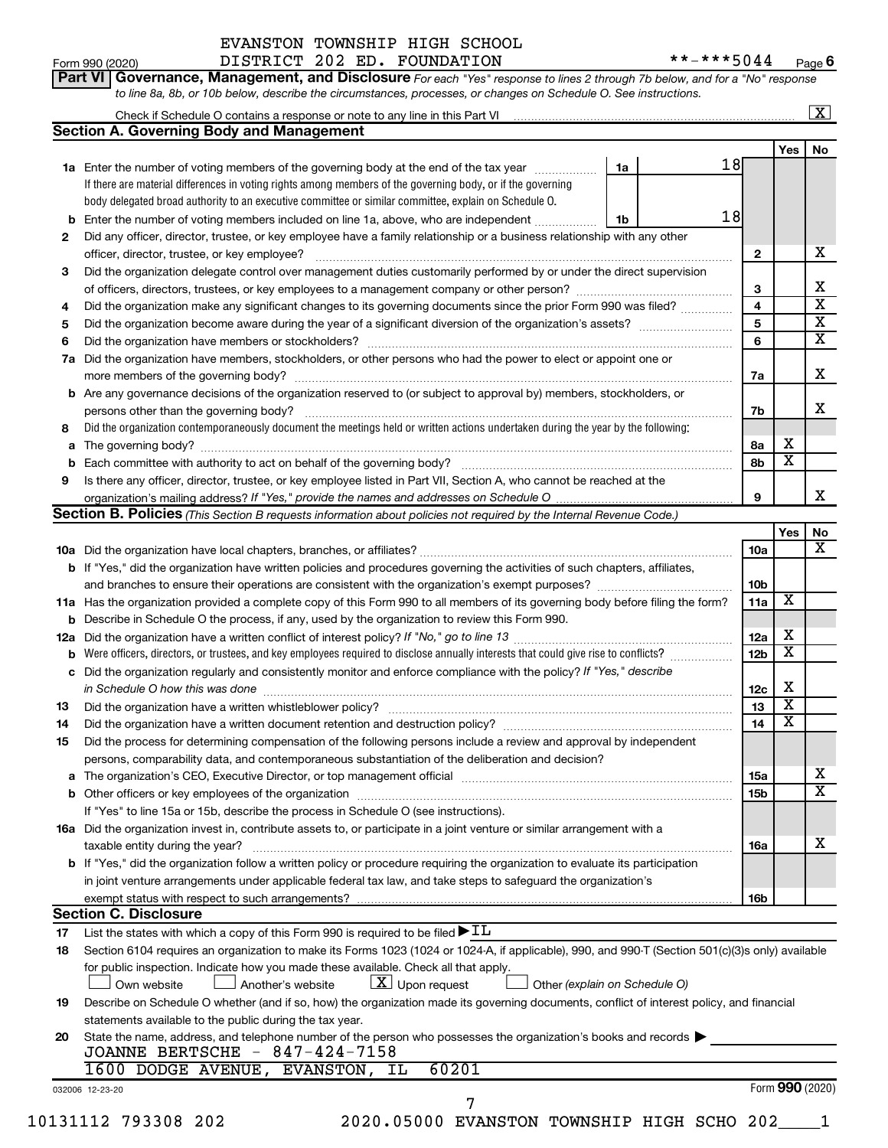# **Porm 990 (2020)**<br>**Part VI Govern**

# EVANSTON TOWNSHIP HIGH SCHOOL

Form 990 (2020) DISTRICT 202 ED. FOUNDATION \*\*-\*\*\*5044 <sub>Page</sub> **6**

| <b>Part VI   Governance, Management, and Disclosure</b> For each "Yes" response to lines 2 through 7b below, and for a "No" response |                         |
|--------------------------------------------------------------------------------------------------------------------------------------|-------------------------|
| to line 8a, 8b, or 10b below, describe the circumstances, processes, or changes on Schedule O. See instructions.                     |                         |
| Check if Schedule O contains a response or note to any line in this Part VI                                                          | $\overline{\mathbf{X}}$ |

|     |                                                                                                                                                                                                                         |                         | <b>Yes</b>              | No |
|-----|-------------------------------------------------------------------------------------------------------------------------------------------------------------------------------------------------------------------------|-------------------------|-------------------------|----|
|     | 18<br>1a<br>1a Enter the number of voting members of the governing body at the end of the tax year                                                                                                                      |                         |                         |    |
|     | If there are material differences in voting rights among members of the governing body, or if the governing                                                                                                             |                         |                         |    |
|     | body delegated broad authority to an executive committee or similar committee, explain on Schedule O.                                                                                                                   |                         |                         |    |
| b   | 18<br>Enter the number of voting members included on line 1a, above, who are independent<br>1b                                                                                                                          |                         |                         |    |
| 2   | Did any officer, director, trustee, or key employee have a family relationship or a business relationship with any other                                                                                                |                         |                         |    |
|     | officer, director, trustee, or key employee?                                                                                                                                                                            | 2                       |                         |    |
| 3   | Did the organization delegate control over management duties customarily performed by or under the direct supervision                                                                                                   |                         |                         |    |
|     |                                                                                                                                                                                                                         | 3                       |                         |    |
| 4   | Did the organization make any significant changes to its governing documents since the prior Form 990 was filed?                                                                                                        | 4                       |                         |    |
| 5   |                                                                                                                                                                                                                         | $\overline{\mathbf{5}}$ |                         |    |
| 6   |                                                                                                                                                                                                                         | 6                       |                         |    |
| 7a  | Did the organization have members, stockholders, or other persons who had the power to elect or appoint one or                                                                                                          | 7a                      |                         |    |
|     | <b>b</b> Are any governance decisions of the organization reserved to (or subject to approval by) members, stockholders, or                                                                                             |                         |                         |    |
|     | persons other than the governing body?                                                                                                                                                                                  | 7b                      |                         |    |
| 8   | Did the organization contemporaneously document the meetings held or written actions undertaken during the year by the following:                                                                                       |                         |                         |    |
| а   |                                                                                                                                                                                                                         | 8а                      | х                       |    |
|     |                                                                                                                                                                                                                         | 8b                      | $\overline{\textbf{x}}$ |    |
| 9   | Is there any officer, director, trustee, or key employee listed in Part VII, Section A, who cannot be reached at the                                                                                                    |                         |                         |    |
|     | organization's mailing address? If "Yes," provide the names and addresses on Schedule O                                                                                                                                 | 9                       |                         |    |
|     | Section B. Policies (This Section B requests information about policies not required by the Internal Revenue Code.)                                                                                                     |                         |                         |    |
|     |                                                                                                                                                                                                                         |                         | Yes                     |    |
|     |                                                                                                                                                                                                                         | 10a                     |                         |    |
|     | b If "Yes," did the organization have written policies and procedures governing the activities of such chapters, affiliates,                                                                                            |                         |                         |    |
|     |                                                                                                                                                                                                                         | 10 <sub>b</sub>         |                         |    |
|     |                                                                                                                                                                                                                         | 11a                     | $\overline{\textbf{x}}$ |    |
|     | 11a Has the organization provided a complete copy of this Form 990 to all members of its governing body before filing the form?                                                                                         |                         |                         |    |
|     | <b>b</b> Describe in Schedule O the process, if any, used by the organization to review this Form 990.                                                                                                                  | 12a                     | х                       |    |
| 12a | Were officers, directors, or trustees, and key employees required to disclose annually interests that could give rise to conflicts?                                                                                     | 12 <sub>b</sub>         | $\overline{\text{x}}$   |    |
|     | c Did the organization regularly and consistently monitor and enforce compliance with the policy? If "Yes," describe                                                                                                    |                         |                         |    |
|     |                                                                                                                                                                                                                         |                         | х                       |    |
|     | in Schedule O how this was done manufactured and continuum control of the state of the state of the state of t                                                                                                          | 12c<br>13               | $\overline{\text{x}}$   |    |
| 13  |                                                                                                                                                                                                                         | 14                      | $\overline{\text{x}}$   |    |
| 14  | Did the organization have a written document retention and destruction policy? [11] manufaction manufaction in                                                                                                          |                         |                         |    |
| 15  | Did the process for determining compensation of the following persons include a review and approval by independent<br>persons, comparability data, and contemporaneous substantiation of the deliberation and decision? |                         |                         |    |
|     |                                                                                                                                                                                                                         | 15a                     |                         |    |
|     |                                                                                                                                                                                                                         | 15b                     |                         |    |
|     | If "Yes" to line 15a or 15b, describe the process in Schedule O (see instructions).                                                                                                                                     |                         |                         |    |
|     | 16a Did the organization invest in, contribute assets to, or participate in a joint venture or similar arrangement with a                                                                                               |                         |                         |    |
|     | taxable entity during the year?                                                                                                                                                                                         | <b>16a</b>              |                         |    |
|     | b If "Yes," did the organization follow a written policy or procedure requiring the organization to evaluate its participation                                                                                          |                         |                         |    |
|     | in joint venture arrangements under applicable federal tax law, and take steps to safeguard the organization's                                                                                                          |                         |                         |    |
|     |                                                                                                                                                                                                                         | 16b                     |                         |    |
|     | <b>Section C. Disclosure</b>                                                                                                                                                                                            |                         |                         |    |
| 17  | List the states with which a copy of this Form 990 is required to be filed $\blacktriangleright$ IL                                                                                                                     |                         |                         |    |
| 18  | Section 6104 requires an organization to make its Forms 1023 (1024 or 1024-A, if applicable), 990, and 990-T (Section 501(c)(3)s only) available                                                                        |                         |                         |    |
|     | for public inspection. Indicate how you made these available. Check all that apply.<br>$\lfloor x \rfloor$ Upon request<br>Other (explain on Schedule O)<br>Own website<br>Another's website                            |                         |                         |    |
| 19  | Describe on Schedule O whether (and if so, how) the organization made its governing documents, conflict of interest policy, and financial                                                                               |                         |                         |    |
|     | statements available to the public during the tax year.                                                                                                                                                                 |                         |                         |    |
| 20  | State the name, address, and telephone number of the person who possesses the organization's books and records $\blacktriangleright$                                                                                    |                         |                         |    |
|     | JOANNE BERTSCHE - 847-424-7158                                                                                                                                                                                          |                         |                         |    |
|     |                                                                                                                                                                                                                         |                         |                         |    |
|     | 1600 DODGE AVENUE, EVANSTON, IL<br>60201                                                                                                                                                                                |                         |                         |    |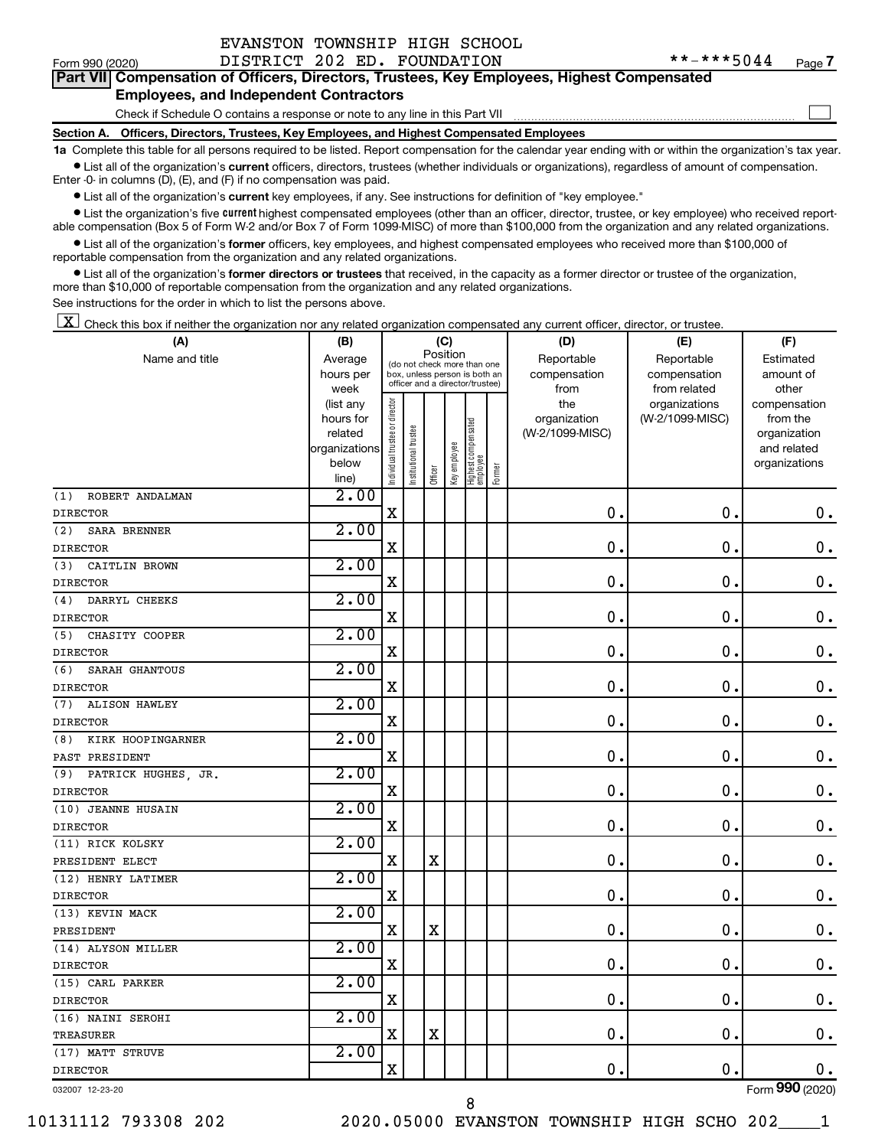| EVANSTON TOWNSHIP HIGH SCHOOL |  |
|-------------------------------|--|
|                               |  |

 $\Box$ 

| Part VII Compensation of Officers, Directors, Trustees, Key Employees, Highest Compensated |  |  |  |
|--------------------------------------------------------------------------------------------|--|--|--|
| <b>Employees, and Independent Contractors</b>                                              |  |  |  |

#### Check if Schedule O contains a response or note to any line in this Part VII

**Section A. Officers, Directors, Trustees, Key Employees, and Highest Compensated Employees**

**1a**  Complete this table for all persons required to be listed. Report compensation for the calendar year ending with or within the organization's tax year.  $\bullet$  List all of the organization's current officers, directors, trustees (whether individuals or organizations), regardless of amount of compensation.

Enter -0- in columns (D), (E), and (F) if no compensation was paid.

**•** List all of the organization's current key employees, if any. See instructions for definition of "key employee."

• List the organization's five *current* highest compensated employees (other than an officer, director, trustee, or key employee) who received reportable compensation (Box 5 of Form W-2 and/or Box 7 of Form 1099-MISC) of more than \$100,000 from the organization and any related organizations.

 $\bullet$  List all of the organization's former officers, key employees, and highest compensated employees who received more than \$100,000 of reportable compensation from the organization and any related organizations.

**•** List all of the organization's former directors or trustees that received, in the capacity as a former director or trustee of the organization, more than \$10,000 of reportable compensation from the organization and any related organizations.

See instructions for the order in which to list the persons above.

 $\boxed{\textbf{X}}$  Check this box if neither the organization nor any related organization compensated any current officer, director, or trustee.

| (A)                         | (B)                      |                               |                                 | (C)         |              |                                 |        | (D)             | (E)              | (F)                         |
|-----------------------------|--------------------------|-------------------------------|---------------------------------|-------------|--------------|---------------------------------|--------|-----------------|------------------|-----------------------------|
| Name and title              | Average                  |                               | (do not check more than one     | Position    |              |                                 |        | Reportable      | Reportable       | Estimated                   |
|                             | hours per                |                               | box, unless person is both an   |             |              |                                 |        | compensation    | compensation     | amount of                   |
|                             | week                     |                               | officer and a director/trustee) |             |              |                                 |        | from            | from related     | other                       |
|                             | (list any                |                               |                                 |             |              |                                 |        | the             | organizations    | compensation                |
|                             | hours for                |                               |                                 |             |              |                                 |        | organization    | (W-2/1099-MISC)  | from the                    |
|                             | related<br>organizations |                               |                                 |             |              |                                 |        | (W-2/1099-MISC) |                  | organization<br>and related |
|                             | below                    |                               |                                 |             |              |                                 |        |                 |                  | organizations               |
|                             | line)                    | ndividual trustee or director | nstitutional trustee            | Officer     | Key employee | Highest compensated<br>employee | Former |                 |                  |                             |
| ROBERT ANDALMAN<br>(1)      | 2.00                     |                               |                                 |             |              |                                 |        |                 |                  |                             |
| <b>DIRECTOR</b>             |                          | X                             |                                 |             |              |                                 |        | 0.              | $\mathbf 0$      | 0.                          |
| <b>SARA BRENNER</b><br>(2)  | 2.00                     |                               |                                 |             |              |                                 |        |                 |                  |                             |
| <b>DIRECTOR</b>             |                          | $\mathbf X$                   |                                 |             |              |                                 |        | $\mathbf 0$ .   | $\mathbf 0$      | $\mathbf 0$ .               |
| (3)<br>CAITLIN BROWN        | 2.00                     |                               |                                 |             |              |                                 |        |                 |                  |                             |
| <b>DIRECTOR</b>             |                          | Χ                             |                                 |             |              |                                 |        | 0.              | $\pmb{0}$        | $\mathbf 0$ .               |
| DARRYL CHEEKS<br>(4)        | 2.00                     |                               |                                 |             |              |                                 |        |                 |                  |                             |
| <b>DIRECTOR</b>             |                          | X                             |                                 |             |              |                                 |        | 0.              | 0                | $\mathbf 0$ .               |
| (5)<br>CHASITY COOPER       | 2.00                     |                               |                                 |             |              |                                 |        |                 |                  |                             |
| <b>DIRECTOR</b>             |                          | $\mathbf X$                   |                                 |             |              |                                 |        | $\mathbf 0$ .   | $\mathbf 0$      | $0$ .                       |
| SARAH GHANTOUS<br>(6)       | 2.00                     |                               |                                 |             |              |                                 |        |                 |                  |                             |
| <b>DIRECTOR</b>             |                          | $\mathbf X$                   |                                 |             |              |                                 |        | 0.              | $\mathbf 0$      | $\mathbf 0$ .               |
| <b>ALISON HAWLEY</b><br>(7) | 2.00                     |                               |                                 |             |              |                                 |        |                 |                  |                             |
| <b>DIRECTOR</b>             |                          | $\mathbf x$                   |                                 |             |              |                                 |        | 0.              | $\mathbf 0$      | $\mathbf 0$ .               |
| KIRK HOOPINGARNER<br>(8)    | 2.00                     |                               |                                 |             |              |                                 |        |                 |                  |                             |
| PAST PRESIDENT              |                          | X                             |                                 |             |              |                                 |        | $\mathbf 0$ .   | 0                | $\mathbf 0$ .               |
| (9)<br>PATRICK HUGHES, JR.  | 2.00                     |                               |                                 |             |              |                                 |        |                 |                  |                             |
| <b>DIRECTOR</b>             |                          | X                             |                                 |             |              |                                 |        | $\mathbf 0$ .   | 0                | 0.                          |
| (10) JEANNE HUSAIN          | 2.00                     |                               |                                 |             |              |                                 |        |                 |                  |                             |
| <b>DIRECTOR</b>             |                          | X                             |                                 |             |              |                                 |        | 0.              | $\boldsymbol{0}$ | 0.                          |
| (11) RICK KOLSKY            | 2.00                     |                               |                                 |             |              |                                 |        |                 |                  |                             |
| PRESIDENT ELECT             |                          | X                             |                                 | $\mathbf X$ |              |                                 |        | 0.              | $\mathbf 0$      | $\mathbf 0$ .               |
| (12) HENRY LATIMER          | 2.00                     |                               |                                 |             |              |                                 |        |                 |                  |                             |
| <b>DIRECTOR</b>             |                          | X                             |                                 |             |              |                                 |        | $\mathbf 0$ .   | $\mathbf 0$      | $0$ .                       |
| (13) KEVIN MACK             | 2.00                     |                               |                                 |             |              |                                 |        |                 |                  |                             |
| PRESIDENT                   |                          | X                             |                                 | X           |              |                                 |        | 0.              | $\mathbf 0$      | $\mathbf 0$ .               |
| (14) ALYSON MILLER          | 2.00                     |                               |                                 |             |              |                                 |        |                 |                  |                             |
| <b>DIRECTOR</b>             |                          | X                             |                                 |             |              |                                 |        | $\mathbf 0$ .   | $\mathbf 0$      | $\mathbf 0$ .               |
| (15) CARL PARKER            | 2.00                     |                               |                                 |             |              |                                 |        |                 |                  |                             |
| <b>DIRECTOR</b>             |                          | $\mathbf X$                   |                                 |             |              |                                 |        | 0.              | $\mathbf 0$      | $\mathbf 0$ .               |
| (16) NAINI SEROHI           | 2.00                     |                               |                                 |             |              |                                 |        |                 |                  |                             |
| <b>TREASURER</b>            |                          | $\mathbf X$                   |                                 | X           |              |                                 |        | $\mathbf 0$ .   | $\mathbf 0$      | $\mathbf 0$ .               |
| (17) MATT STRUVE            | 2.00                     |                               |                                 |             |              |                                 |        |                 |                  |                             |
| <b>DIRECTOR</b>             |                          | X                             |                                 |             |              |                                 |        | $\mathbf 0$ .   | 0                | 0.                          |
| 032007 12-23-20             |                          |                               |                                 |             |              |                                 |        |                 |                  | Form 990 (2020)             |

10131112 793308 202 2020.05000 EVANSTON TOWNSHIP HIGH SCHO 202\_\_\_\_1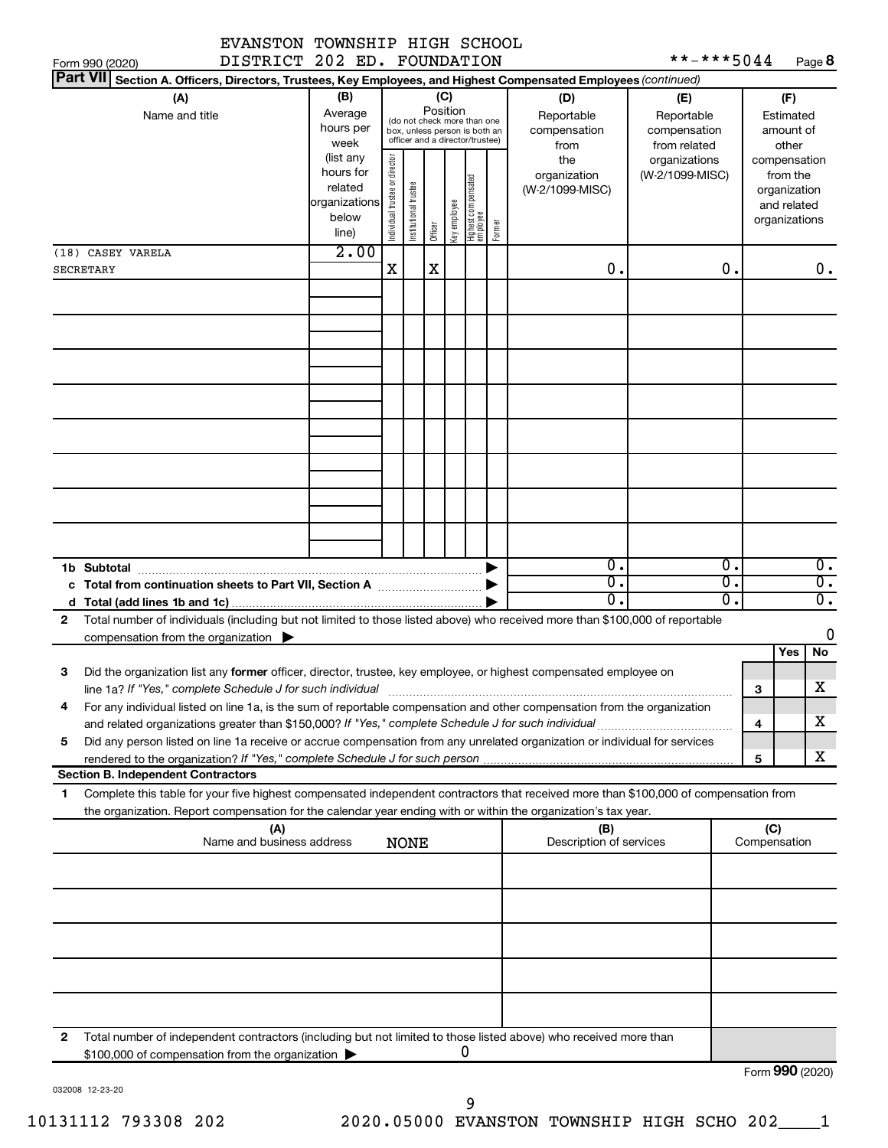|  | EVANSTON TOWNSHIP HIGH SCHOOL |
|--|-------------------------------|
|  | DISTRICT 202 ED. FOUNDATION   |

| **-***5044 | Page 8 |
|------------|--------|
|------------|--------|

|   | DISTRICT 202 ED. FOUNDATION<br>**-***5044<br>Page 8<br>Form 990 (2020)                                                                                                                                                                                 |                                                                      |                               |                       |         |                                                                                                                    |                                   |        |                                           |                                                   |          |                     |                                                                          |
|---|--------------------------------------------------------------------------------------------------------------------------------------------------------------------------------------------------------------------------------------------------------|----------------------------------------------------------------------|-------------------------------|-----------------------|---------|--------------------------------------------------------------------------------------------------------------------|-----------------------------------|--------|-------------------------------------------|---------------------------------------------------|----------|---------------------|--------------------------------------------------------------------------|
|   | <b>Part VII</b><br>Section A. Officers, Directors, Trustees, Key Employees, and Highest Compensated Employees (continued)                                                                                                                              |                                                                      |                               |                       |         |                                                                                                                    |                                   |        |                                           |                                                   |          |                     |                                                                          |
|   | (A)<br>Name and title                                                                                                                                                                                                                                  | (B)<br>Average<br>hours per<br>week                                  |                               |                       |         | (C)<br>Position<br>(do not check more than one<br>box, unless person is both an<br>officer and a director/trustee) |                                   |        | (D)<br>Reportable<br>compensation<br>from | (E)<br>Reportable<br>compensation<br>from related |          |                     | (F)<br>Estimated<br>amount of<br>other                                   |
|   |                                                                                                                                                                                                                                                        | (list any<br>hours for<br>related<br>organizations<br>below<br>line) | ndividual trustee or director | Institutional trustee | Officer | Key employee                                                                                                       | Highest compensated<br>  employee | Former | the<br>organization<br>(W-2/1099-MISC)    | organizations<br>(W-2/1099-MISC)                  |          |                     | compensation<br>from the<br>organization<br>and related<br>organizations |
|   | (18) CASEY VARELA                                                                                                                                                                                                                                      | 2.00                                                                 |                               |                       |         |                                                                                                                    |                                   |        |                                           |                                                   |          |                     |                                                                          |
|   | <b>SECRETARY</b>                                                                                                                                                                                                                                       |                                                                      | X                             |                       | X       |                                                                                                                    |                                   |        | 0.                                        |                                                   | 0.       |                     | 0.                                                                       |
|   |                                                                                                                                                                                                                                                        |                                                                      |                               |                       |         |                                                                                                                    |                                   |        |                                           |                                                   |          |                     |                                                                          |
|   |                                                                                                                                                                                                                                                        |                                                                      |                               |                       |         |                                                                                                                    |                                   |        |                                           |                                                   |          |                     |                                                                          |
|   |                                                                                                                                                                                                                                                        |                                                                      |                               |                       |         |                                                                                                                    |                                   |        |                                           |                                                   |          |                     |                                                                          |
|   |                                                                                                                                                                                                                                                        |                                                                      |                               |                       |         |                                                                                                                    |                                   |        |                                           |                                                   |          |                     |                                                                          |
|   |                                                                                                                                                                                                                                                        |                                                                      |                               |                       |         |                                                                                                                    |                                   |        |                                           |                                                   |          |                     |                                                                          |
|   |                                                                                                                                                                                                                                                        |                                                                      |                               |                       |         |                                                                                                                    |                                   |        |                                           |                                                   |          |                     |                                                                          |
|   |                                                                                                                                                                                                                                                        |                                                                      |                               |                       |         |                                                                                                                    |                                   |        |                                           |                                                   |          |                     |                                                                          |
|   |                                                                                                                                                                                                                                                        |                                                                      |                               |                       |         |                                                                                                                    |                                   |        |                                           |                                                   |          |                     |                                                                          |
|   |                                                                                                                                                                                                                                                        |                                                                      |                               |                       |         |                                                                                                                    |                                   |        |                                           |                                                   |          |                     |                                                                          |
|   | 1b Subtotal                                                                                                                                                                                                                                            |                                                                      |                               |                       |         |                                                                                                                    |                                   |        | σ.                                        |                                                   | 0.       |                     | $\overline{0}$ .                                                         |
|   | c Total from continuation sheets to Part VII, Section A <b>Constitution</b>                                                                                                                                                                            |                                                                      |                               |                       |         |                                                                                                                    |                                   |        | σ.<br>Ο.                                  |                                                   | σ.<br>σ. |                     | $\overline{0}$ .<br>$\overline{0}$ .                                     |
| 2 | Total number of individuals (including but not limited to those listed above) who received more than \$100,000 of reportable                                                                                                                           |                                                                      |                               |                       |         |                                                                                                                    |                                   |        |                                           |                                                   |          |                     |                                                                          |
|   | compensation from the organization $\blacktriangleright$                                                                                                                                                                                               |                                                                      |                               |                       |         |                                                                                                                    |                                   |        |                                           |                                                   |          |                     | 0<br>Yes<br>No                                                           |
| 3 | Did the organization list any former officer, director, trustee, key employee, or highest compensated employee on                                                                                                                                      |                                                                      |                               |                       |         |                                                                                                                    |                                   |        |                                           |                                                   |          |                     |                                                                          |
|   | line 1a? If "Yes," complete Schedule J for such individual manufactured content to the content of the complete<br>For any individual listed on line 1a, is the sum of reportable compensation and other compensation from the organization             |                                                                      |                               |                       |         |                                                                                                                    |                                   |        |                                           |                                                   |          | 3                   | х                                                                        |
| 5 | and related organizations greater than \$150,000? If "Yes," complete Schedule J for such individual<br>Did any person listed on line 1a receive or accrue compensation from any unrelated organization or individual for services                      |                                                                      |                               |                       |         |                                                                                                                    |                                   |        |                                           |                                                   |          | 4                   | х                                                                        |
|   |                                                                                                                                                                                                                                                        |                                                                      |                               |                       |         |                                                                                                                    |                                   |        |                                           |                                                   |          | 5                   | х                                                                        |
|   | <b>Section B. Independent Contractors</b>                                                                                                                                                                                                              |                                                                      |                               |                       |         |                                                                                                                    |                                   |        |                                           |                                                   |          |                     |                                                                          |
| 1 | Complete this table for your five highest compensated independent contractors that received more than \$100,000 of compensation from<br>the organization. Report compensation for the calendar year ending with or within the organization's tax year. |                                                                      |                               |                       |         |                                                                                                                    |                                   |        |                                           |                                                   |          |                     |                                                                          |
|   | (A)<br>Name and business address                                                                                                                                                                                                                       |                                                                      |                               | <b>NONE</b>           |         |                                                                                                                    |                                   |        | (B)<br>Description of services            |                                                   |          | (C)<br>Compensation |                                                                          |
|   |                                                                                                                                                                                                                                                        |                                                                      |                               |                       |         |                                                                                                                    |                                   |        |                                           |                                                   |          |                     |                                                                          |
|   |                                                                                                                                                                                                                                                        |                                                                      |                               |                       |         |                                                                                                                    |                                   |        |                                           |                                                   |          |                     |                                                                          |
|   |                                                                                                                                                                                                                                                        |                                                                      |                               |                       |         |                                                                                                                    |                                   |        |                                           |                                                   |          |                     |                                                                          |
|   |                                                                                                                                                                                                                                                        |                                                                      |                               |                       |         |                                                                                                                    |                                   |        |                                           |                                                   |          |                     |                                                                          |
|   |                                                                                                                                                                                                                                                        |                                                                      |                               |                       |         |                                                                                                                    |                                   |        |                                           |                                                   |          |                     |                                                                          |
|   |                                                                                                                                                                                                                                                        |                                                                      |                               |                       |         |                                                                                                                    |                                   |        |                                           |                                                   |          |                     |                                                                          |
| 2 | Total number of independent contractors (including but not limited to those listed above) who received more than<br>\$100,000 of compensation from the organization                                                                                    |                                                                      |                               |                       |         |                                                                                                                    | 0                                 |        |                                           |                                                   |          |                     |                                                                          |

032008 12-23-20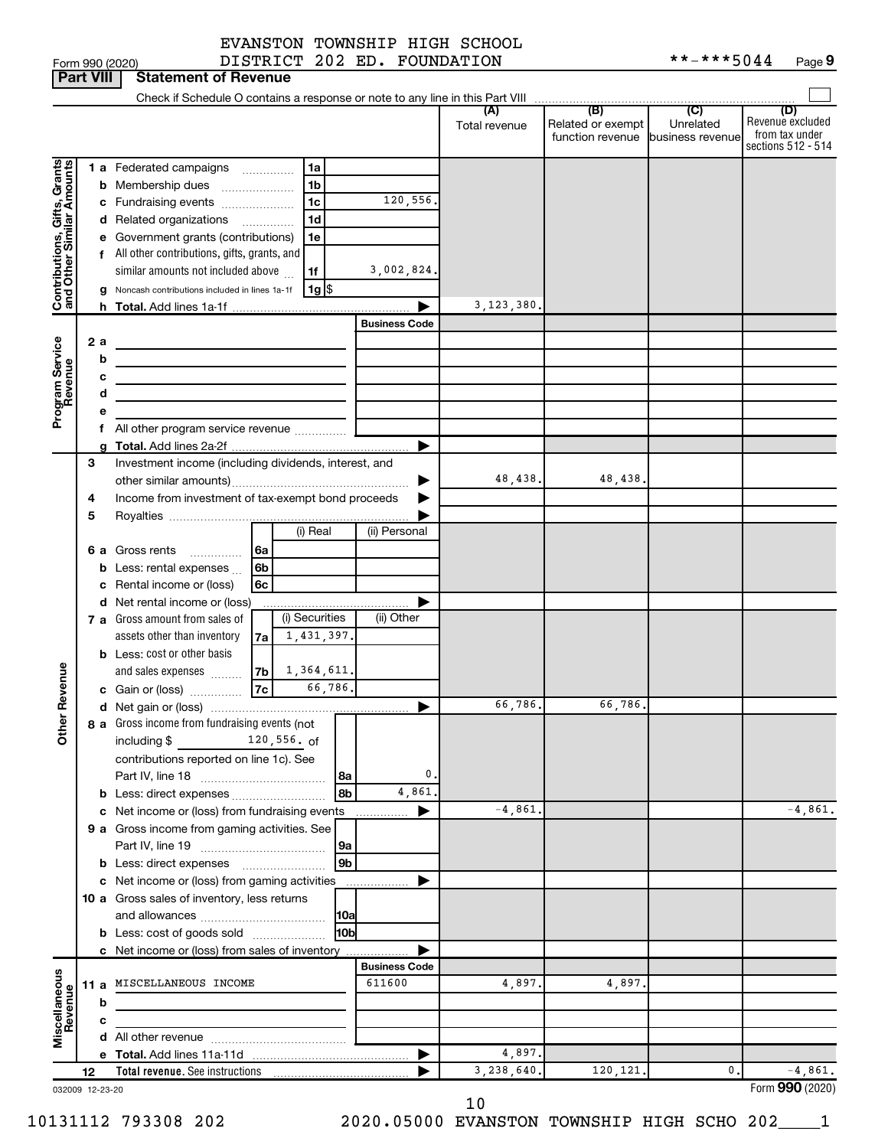| Form 990 (2020 |  |
|----------------|--|

Form 990 (2020) DISTRICT 202 ED. FOUNDATION \*\*-\*\*\*5044 Page

|                                                           | <b>Part VIII</b> |        | <b>Statement of Revenue</b>                                                                  |                      |                      |                                                               |                             |                                                                 |
|-----------------------------------------------------------|------------------|--------|----------------------------------------------------------------------------------------------|----------------------|----------------------|---------------------------------------------------------------|-----------------------------|-----------------------------------------------------------------|
|                                                           |                  |        |                                                                                              |                      |                      |                                                               |                             |                                                                 |
|                                                           |                  |        |                                                                                              |                      | (A)<br>Total revenue | (B)<br>Related or exempt<br>function revenue business revenue | $\overline{C}$<br>Unrelated | (D)<br>Revenue excluded<br>from tax under<br>sections 512 - 514 |
|                                                           |                  |        | <b>1 a</b> Federated campaigns<br>1a                                                         |                      |                      |                                                               |                             |                                                                 |
|                                                           |                  |        | 1 <sub>b</sub><br><b>b</b> Membership dues                                                   |                      |                      |                                                               |                             |                                                                 |
|                                                           |                  |        | 1 <sub>c</sub><br>c Fundraising events                                                       | 120,556.             |                      |                                                               |                             |                                                                 |
|                                                           |                  |        | 1 <sub>d</sub><br>d Related organizations                                                    |                      |                      |                                                               |                             |                                                                 |
| Contributions, Gifts, Grants<br>and Other Similar Amounts |                  |        | e Government grants (contributions)<br>1e                                                    |                      |                      |                                                               |                             |                                                                 |
|                                                           |                  |        | f All other contributions, gifts, grants, and                                                |                      |                      |                                                               |                             |                                                                 |
|                                                           |                  |        | similar amounts not included above<br>1f                                                     | 3,002,824.           |                      |                                                               |                             |                                                                 |
|                                                           |                  |        | $1g$ $\frac{1}{3}$<br>g Noncash contributions included in lines 1a-1f                        |                      |                      |                                                               |                             |                                                                 |
|                                                           |                  |        |                                                                                              |                      | 3, 123, 380.         |                                                               |                             |                                                                 |
|                                                           |                  |        |                                                                                              | <b>Business Code</b> |                      |                                                               |                             |                                                                 |
| Program Service<br>Revenue                                | 2а               |        |                                                                                              |                      |                      |                                                               |                             |                                                                 |
|                                                           |                  | b<br>c | the control of the control of the control of the control of the control of                   |                      |                      |                                                               |                             |                                                                 |
|                                                           |                  | d      |                                                                                              |                      |                      |                                                               |                             |                                                                 |
|                                                           |                  | е      |                                                                                              |                      |                      |                                                               |                             |                                                                 |
|                                                           |                  | f.     | All other program service revenue                                                            |                      |                      |                                                               |                             |                                                                 |
|                                                           |                  | a      |                                                                                              |                      |                      |                                                               |                             |                                                                 |
|                                                           | 3                |        | Investment income (including dividends, interest, and                                        |                      |                      |                                                               |                             |                                                                 |
|                                                           |                  |        |                                                                                              | ▶                    | 48,438.              | 48,438.                                                       |                             |                                                                 |
|                                                           | 4                |        | Income from investment of tax-exempt bond proceeds                                           |                      |                      |                                                               |                             |                                                                 |
|                                                           | 5                |        |                                                                                              |                      |                      |                                                               |                             |                                                                 |
|                                                           |                  |        | (i) Real                                                                                     | (ii) Personal        |                      |                                                               |                             |                                                                 |
|                                                           |                  |        | 6 a Gross rents<br>6a                                                                        |                      |                      |                                                               |                             |                                                                 |
|                                                           |                  |        | 6 <sub>b</sub><br><b>b</b> Less: rental expenses $\ldots$                                    |                      |                      |                                                               |                             |                                                                 |
|                                                           |                  |        | c Rental income or (loss)<br>6c                                                              |                      |                      |                                                               |                             |                                                                 |
|                                                           |                  |        | d Net rental income or (loss)<br>(i) Securities                                              | (ii) Other           |                      |                                                               |                             |                                                                 |
|                                                           |                  |        | 7 a Gross amount from sales of<br>1,431,397.                                                 |                      |                      |                                                               |                             |                                                                 |
|                                                           |                  |        | assets other than inventory<br>7a<br><b>b</b> Less: cost or other basis                      |                      |                      |                                                               |                             |                                                                 |
|                                                           |                  |        | 1,364,611.                                                                                   |                      |                      |                                                               |                             |                                                                 |
| Revenue                                                   |                  |        | 66,786.                                                                                      |                      |                      |                                                               |                             |                                                                 |
|                                                           |                  |        |                                                                                              |                      | 66,786.              | 66,786.                                                       |                             |                                                                 |
|                                                           |                  |        | 8 a Gross income from fundraising events (not                                                |                      |                      |                                                               |                             |                                                                 |
| <b>Other</b>                                              |                  |        | including \$<br>120,556. of                                                                  |                      |                      |                                                               |                             |                                                                 |
|                                                           |                  |        | contributions reported on line 1c). See                                                      |                      |                      |                                                               |                             |                                                                 |
|                                                           |                  |        | 8a                                                                                           | 0                    |                      |                                                               |                             |                                                                 |
|                                                           |                  |        | 8b<br><b>b</b> Less: direct expenses                                                         | 4,861                |                      |                                                               |                             |                                                                 |
|                                                           |                  |        | c Net income or (loss) from fundraising events                                               | .                    | $-4,861$             |                                                               |                             | $-4,861.$                                                       |
|                                                           |                  |        | 9 a Gross income from gaming activities. See                                                 |                      |                      |                                                               |                             |                                                                 |
|                                                           |                  |        | 9a                                                                                           |                      |                      |                                                               |                             |                                                                 |
|                                                           |                  |        | 9 <sub>b</sub>                                                                               |                      |                      |                                                               |                             |                                                                 |
|                                                           |                  |        | c Net income or (loss) from gaming activities<br>10 a Gross sales of inventory, less returns | .                    |                      |                                                               |                             |                                                                 |
|                                                           |                  |        | 10a                                                                                          |                      |                      |                                                               |                             |                                                                 |
|                                                           |                  |        | <b>b</b> Less: cost of goods sold<br>10b                                                     |                      |                      |                                                               |                             |                                                                 |
|                                                           |                  |        | c Net income or (loss) from sales of inventory                                               |                      |                      |                                                               |                             |                                                                 |
|                                                           |                  |        |                                                                                              | <b>Business Code</b> |                      |                                                               |                             |                                                                 |
| Miscellaneous<br>Revenue                                  |                  |        | 11 a MISCELLANEOUS INCOME                                                                    | 611600               | 4,897.               | 4,897.                                                        |                             |                                                                 |
|                                                           |                  | b      |                                                                                              |                      |                      |                                                               |                             |                                                                 |
|                                                           |                  | c      |                                                                                              |                      |                      |                                                               |                             |                                                                 |
|                                                           |                  |        |                                                                                              |                      |                      |                                                               |                             |                                                                 |
|                                                           |                  |        |                                                                                              |                      | 4,897.               |                                                               |                             |                                                                 |
|                                                           | 12               |        | Total revenue. See instructions                                                              |                      | 3,238,640.           | 120,121.                                                      | 0.                          | $-4,861.$                                                       |
| 032009 12-23-20                                           |                  |        |                                                                                              |                      |                      |                                                               |                             | Form 990 (2020)                                                 |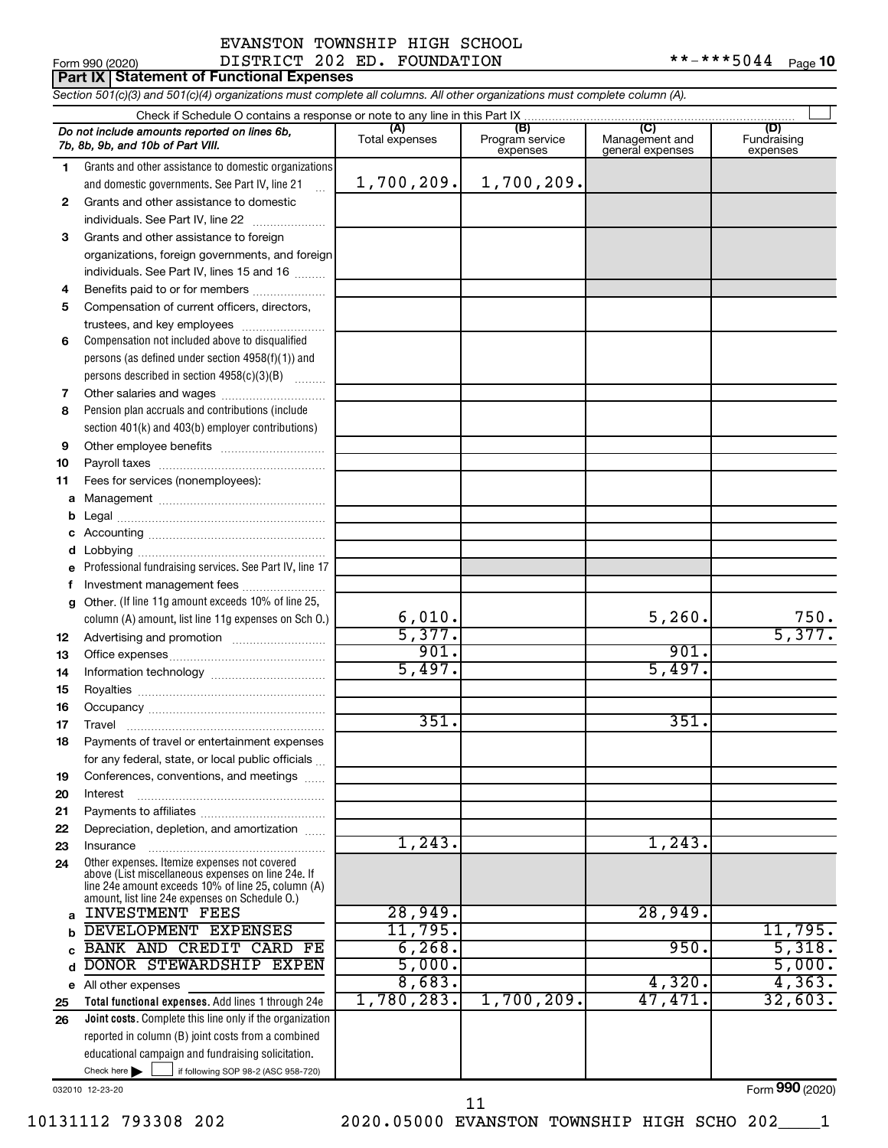# Form 990 (2020) DISTRICT 202 ED. FOUNDATION \*\*-\*\*\*5044 <sub>Page</sub> EVANSTON TOWNSHIP HIGH SCHOOL

**Part IX Statement of Functional Expenses**

*Section 501(c)(3) and 501(c)(4) organizations must complete all columns. All other organizations must complete column (A).*

|    | $\cdots$                                                                                                                      |                |                 |                                    |                 |  |  |  |  |
|----|-------------------------------------------------------------------------------------------------------------------------------|----------------|-----------------|------------------------------------|-----------------|--|--|--|--|
|    | Do not include amounts reported on lines 6b,                                                                                  | (A)            | (B)             | $\overline{C}$                     | (D)             |  |  |  |  |
|    | 7b, 8b, 9b, and 10b of Part VIII.                                                                                             | Total expenses | Program service | Management and<br>general expenses | Fundraising     |  |  |  |  |
|    |                                                                                                                               |                | expenses        |                                    | expenses        |  |  |  |  |
| 1. | Grants and other assistance to domestic organizations                                                                         |                |                 |                                    |                 |  |  |  |  |
|    | and domestic governments. See Part IV, line 21                                                                                | 1,700,209.     | 1,700,209.      |                                    |                 |  |  |  |  |
| 2  | Grants and other assistance to domestic                                                                                       |                |                 |                                    |                 |  |  |  |  |
|    | individuals. See Part IV, line 22                                                                                             |                |                 |                                    |                 |  |  |  |  |
| 3  | Grants and other assistance to foreign                                                                                        |                |                 |                                    |                 |  |  |  |  |
|    | organizations, foreign governments, and foreign                                                                               |                |                 |                                    |                 |  |  |  |  |
|    | individuals. See Part IV, lines 15 and 16                                                                                     |                |                 |                                    |                 |  |  |  |  |
| 4  | Benefits paid to or for members                                                                                               |                |                 |                                    |                 |  |  |  |  |
| 5  | Compensation of current officers, directors,                                                                                  |                |                 |                                    |                 |  |  |  |  |
|    | trustees, and key employees                                                                                                   |                |                 |                                    |                 |  |  |  |  |
| 6  | Compensation not included above to disqualified                                                                               |                |                 |                                    |                 |  |  |  |  |
|    | persons (as defined under section 4958(f)(1)) and                                                                             |                |                 |                                    |                 |  |  |  |  |
|    | persons described in section 4958(c)(3)(B)                                                                                    |                |                 |                                    |                 |  |  |  |  |
|    |                                                                                                                               |                |                 |                                    |                 |  |  |  |  |
| 7  |                                                                                                                               |                |                 |                                    |                 |  |  |  |  |
| 8  | Pension plan accruals and contributions (include                                                                              |                |                 |                                    |                 |  |  |  |  |
|    | section 401(k) and 403(b) employer contributions)                                                                             |                |                 |                                    |                 |  |  |  |  |
| 9  |                                                                                                                               |                |                 |                                    |                 |  |  |  |  |
| 10 |                                                                                                                               |                |                 |                                    |                 |  |  |  |  |
| 11 | Fees for services (nonemployees):                                                                                             |                |                 |                                    |                 |  |  |  |  |
| а  |                                                                                                                               |                |                 |                                    |                 |  |  |  |  |
| b  |                                                                                                                               |                |                 |                                    |                 |  |  |  |  |
| с  |                                                                                                                               |                |                 |                                    |                 |  |  |  |  |
| d  |                                                                                                                               |                |                 |                                    |                 |  |  |  |  |
| е  | Professional fundraising services. See Part IV, line 17                                                                       |                |                 |                                    |                 |  |  |  |  |
| f  | Investment management fees                                                                                                    |                |                 |                                    |                 |  |  |  |  |
| g  | Other. (If line 11g amount exceeds 10% of line 25,                                                                            |                |                 |                                    |                 |  |  |  |  |
|    | column (A) amount, list line 11g expenses on Sch O.)                                                                          | 6,010.         |                 | 5,260.                             | 750.            |  |  |  |  |
| 12 |                                                                                                                               | 5,377.         |                 |                                    | 5,377.          |  |  |  |  |
| 13 |                                                                                                                               | 901.           |                 | 901.                               |                 |  |  |  |  |
| 14 |                                                                                                                               | 5,497.         |                 | 5,497.                             |                 |  |  |  |  |
| 15 |                                                                                                                               |                |                 |                                    |                 |  |  |  |  |
| 16 |                                                                                                                               |                |                 |                                    |                 |  |  |  |  |
| 17 | Travel                                                                                                                        | 351.           |                 | 351.                               |                 |  |  |  |  |
| 18 | Payments of travel or entertainment expenses                                                                                  |                |                 |                                    |                 |  |  |  |  |
|    | for any federal, state, or local public officials                                                                             |                |                 |                                    |                 |  |  |  |  |
| 19 | Conferences, conventions, and meetings                                                                                        |                |                 |                                    |                 |  |  |  |  |
| 20 | Interest                                                                                                                      |                |                 |                                    |                 |  |  |  |  |
| 21 |                                                                                                                               |                |                 |                                    |                 |  |  |  |  |
| 22 | Depreciation, depletion, and amortization                                                                                     |                |                 |                                    |                 |  |  |  |  |
| 23 | Insurance                                                                                                                     | 1,243.         |                 | 1,243.                             |                 |  |  |  |  |
| 24 | Other expenses. Itemize expenses not covered<br>above (List miscellaneous expenses on line 24e. If                            |                |                 |                                    |                 |  |  |  |  |
|    | line 24e amount exceeds 10% of line 25, column (A)                                                                            |                |                 |                                    |                 |  |  |  |  |
|    | amount, list line 24e expenses on Schedule O.)<br><b>INVESTMENT FEES</b>                                                      | 28,949.        |                 | 28,949.                            |                 |  |  |  |  |
| a  | DEVELOPMENT EXPENSES                                                                                                          | 11,795.        |                 |                                    | 11,795.         |  |  |  |  |
| b  | BANK AND CREDIT CARD FE                                                                                                       | 6, 268.        |                 | 950.                               | 5,318.          |  |  |  |  |
| C  | DONOR STEWARDSHIP EXPEN                                                                                                       | 5,000.         |                 |                                    | 5,000.          |  |  |  |  |
| d  |                                                                                                                               | 8,683.         |                 | 4,320.                             | 4, 363.         |  |  |  |  |
| е  | All other expenses<br>Total functional expenses. Add lines 1 through 24e                                                      | 1,780,283.     | 1,700,209.      | 47,471.                            | 32,603.         |  |  |  |  |
| 25 | Joint costs. Complete this line only if the organization                                                                      |                |                 |                                    |                 |  |  |  |  |
| 26 | reported in column (B) joint costs from a combined                                                                            |                |                 |                                    |                 |  |  |  |  |
|    |                                                                                                                               |                |                 |                                    |                 |  |  |  |  |
|    | educational campaign and fundraising solicitation.<br>Check here $\blacktriangleright$<br>if following SOP 98-2 (ASC 958-720) |                |                 |                                    |                 |  |  |  |  |
|    | 032010 12-23-20                                                                                                               |                |                 |                                    | Form 990 (2020) |  |  |  |  |
|    |                                                                                                                               |                |                 |                                    |                 |  |  |  |  |

10131112 793308 202 2020.05000 EVANSTON TOWNSHIP HIGH SCHO 202\_\_\_\_1 11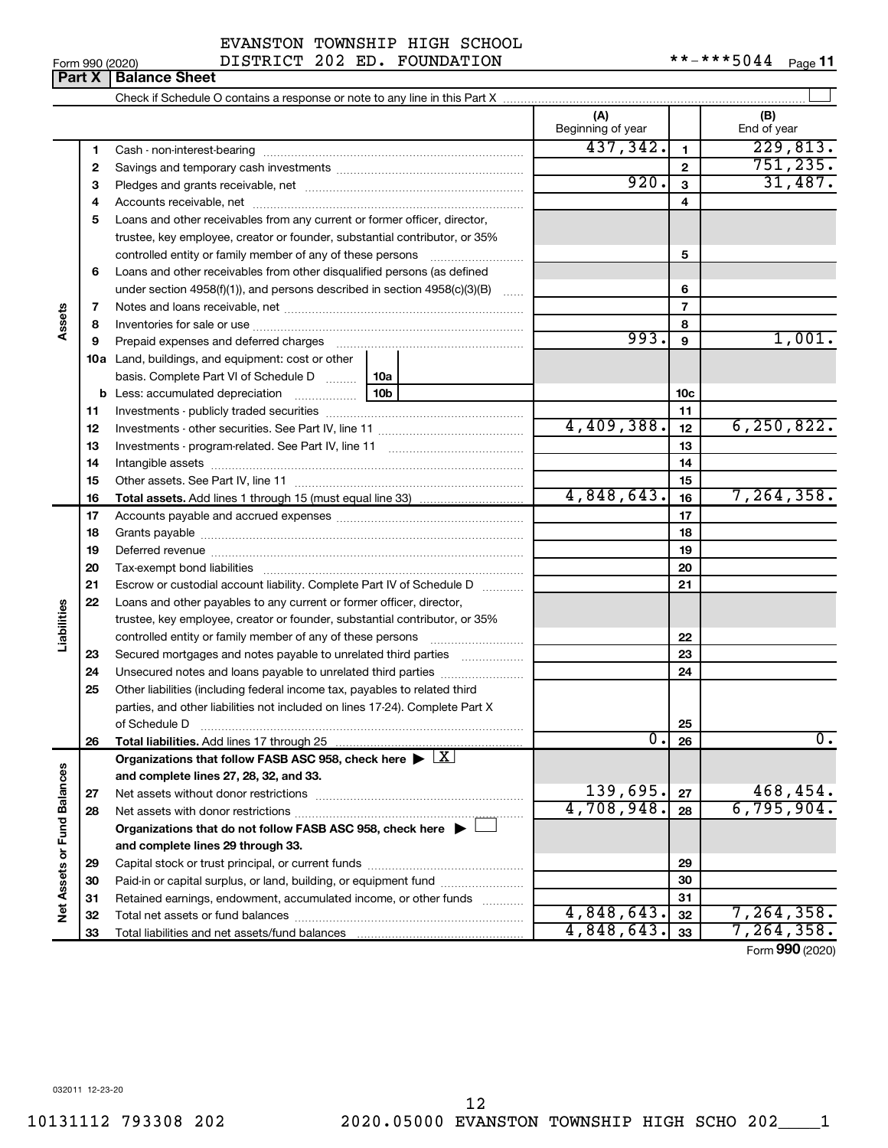| EVANSTON TOWNSHIP HIGH SCHOOL |  |
|-------------------------------|--|
|                               |  |

Form 990 (2020) DISTRICT 202 ED. FOUNDATION \*\*-\*\*\*5044 Page

 $***$   $***$  5044 Page 11

|                             |    |                                                                                                                |            | (A)<br>Beginning of year |                 | (B)<br>End of year |
|-----------------------------|----|----------------------------------------------------------------------------------------------------------------|------------|--------------------------|-----------------|--------------------|
|                             | 1  |                                                                                                                |            | 437,342.                 | $\mathbf{1}$    | 229,813.           |
|                             | 2  |                                                                                                                |            | $\overline{2}$           | 751, 235.       |                    |
|                             | з  |                                                                                                                |            | 920.                     | 3               | 31,487.            |
|                             | 4  |                                                                                                                |            | 4                        |                 |                    |
|                             | 5  | Loans and other receivables from any current or former officer, director,                                      |            |                          |                 |                    |
|                             |    | trustee, key employee, creator or founder, substantial contributor, or 35%                                     |            |                          |                 |                    |
|                             |    | controlled entity or family member of any of these persons [                                                   |            | 5                        |                 |                    |
|                             | 6  | Loans and other receivables from other disqualified persons (as defined                                        |            |                          |                 |                    |
|                             |    | under section 4958(f)(1)), and persons described in section 4958(c)(3)(B) $\ldots$                             |            | 6                        |                 |                    |
|                             | 7  |                                                                                                                |            | $\overline{7}$           |                 |                    |
|                             | 8  |                                                                                                                |            |                          | 8               |                    |
|                             | 9  | Prepaid expenses and deferred charges [11] [11] Prepaid expenses and deferred charges [11] [11] [11] [11] [11] |            | 993.                     | 9               | 1,001.             |
|                             |    | 10a Land, buildings, and equipment: cost or other                                                              |            |                          |                 |                    |
|                             |    | basis. Complete Part VI of Schedule D                                                                          | 10a        |                          |                 |                    |
|                             |    |                                                                                                                |            |                          | 10 <sub>c</sub> |                    |
|                             | 11 |                                                                                                                |            | 11                       |                 |                    |
|                             | 12 |                                                                                                                | 4,409,388. | 12                       | 6, 250, 822.    |                    |
|                             | 13 |                                                                                                                |            | 13                       |                 |                    |
|                             | 14 |                                                                                                                |            |                          | 14              |                    |
|                             | 15 |                                                                                                                |            | 15                       |                 |                    |
|                             | 16 |                                                                                                                |            | 4,848,643.               | 16              | 7, 264, 358.       |
|                             | 17 |                                                                                                                |            |                          | 17              |                    |
|                             | 18 |                                                                                                                |            | 18                       |                 |                    |
|                             | 19 |                                                                                                                |            | 19                       |                 |                    |
|                             | 20 |                                                                                                                |            |                          | 20              |                    |
|                             | 21 | Escrow or custodial account liability. Complete Part IV of Schedule D                                          |            |                          | 21              |                    |
|                             | 22 | Loans and other payables to any current or former officer, director,                                           |            |                          |                 |                    |
| Liabilities                 |    | trustee, key employee, creator or founder, substantial contributor, or 35%                                     |            |                          |                 |                    |
|                             |    | controlled entity or family member of any of these persons                                                     |            |                          | 22              |                    |
|                             | 23 | Secured mortgages and notes payable to unrelated third parties                                                 |            |                          | 23              |                    |
|                             | 24 |                                                                                                                |            |                          | 24              |                    |
|                             | 25 | Other liabilities (including federal income tax, payables to related third                                     |            |                          |                 |                    |
|                             |    | parties, and other liabilities not included on lines 17-24). Complete Part X                                   |            |                          |                 |                    |
|                             |    | of Schedule D                                                                                                  |            |                          | 25              |                    |
|                             | 26 | Total liabilities. Add lines 17 through 25                                                                     |            | υ.                       | 26              | 0.                 |
|                             |    | Organizations that follow FASB ASC 958, check here $\blacktriangleright$ $\boxed{X}$                           |            |                          |                 |                    |
|                             |    | and complete lines 27, 28, 32, and 33.                                                                         |            |                          |                 |                    |
|                             | 27 | Net assets without donor restrictions                                                                          |            | 139,695.                 | 27              | 468, 454.          |
|                             | 28 |                                                                                                                |            | 4,708,948.               | 28              | 6,795,904.         |
|                             |    | Organizations that do not follow FASB ASC 958, check here $\blacktriangleright$                                |            |                          |                 |                    |
|                             |    | and complete lines 29 through 33.                                                                              |            |                          |                 |                    |
| Net Assets or Fund Balances | 29 |                                                                                                                |            |                          | 29              |                    |
|                             | 30 | Paid-in or capital surplus, or land, building, or equipment fund                                               |            |                          | 30              |                    |
|                             | 31 | Retained earnings, endowment, accumulated income, or other funds                                               |            |                          | 31              |                    |
|                             | 32 |                                                                                                                |            | 4,848,643.               | 32              | 7,264,358.         |
|                             | 33 |                                                                                                                | 4,848,643. | 33                       | 7, 264, 358.    |                    |

**Part X Balance Sheet** 

Form (2020) **990**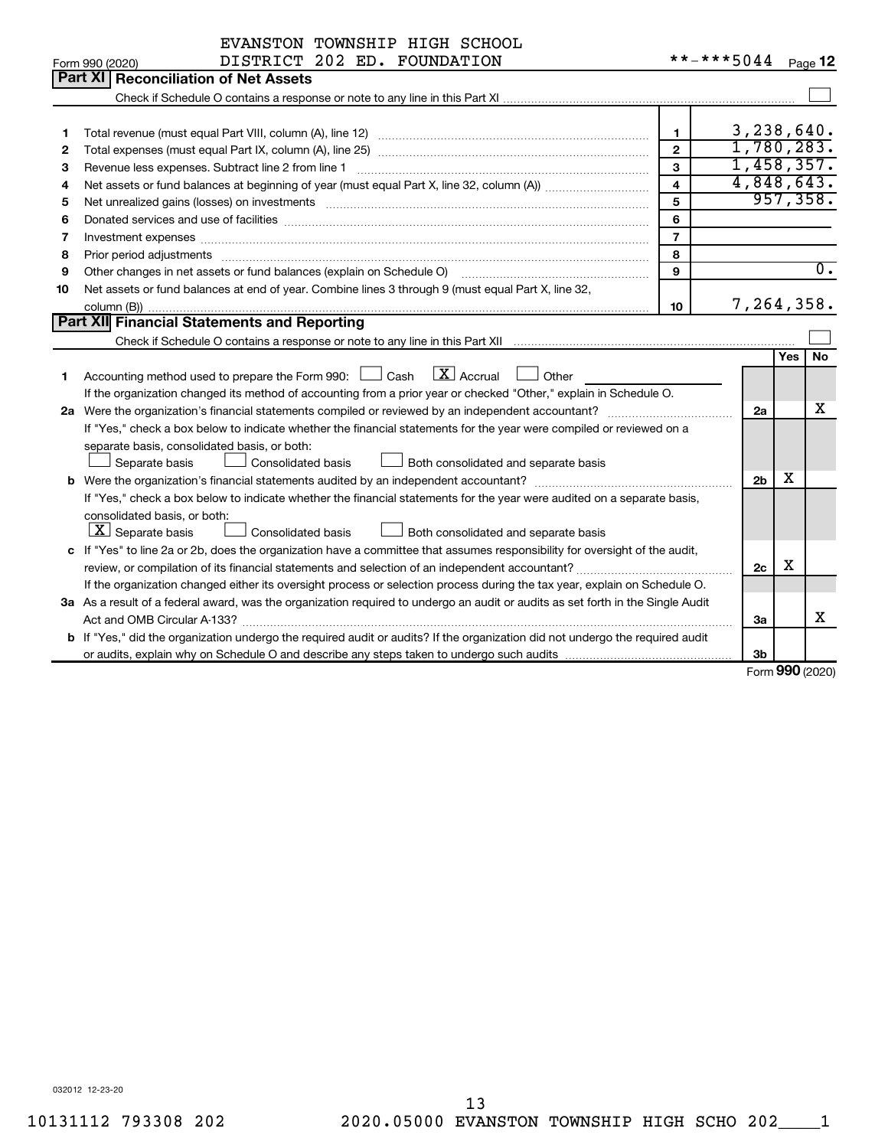| **-***5044 Page 12<br>DISTRICT 202 ED. FOUNDATION<br>Form 990 (2020)<br>Part XI<br><b>Reconciliation of Net Assets</b><br>3,238,640.<br>$\mathbf{1}$<br>1<br>1,780,283.<br>$\mathbf{2}$<br>2<br>1,458,357.<br>$\mathbf{a}$<br>Revenue less expenses. Subtract line 2 from line 1<br>3<br>4,848,643.<br>$\overline{\mathbf{4}}$<br>4<br>957, 358.<br>5<br>5<br>6<br>6<br>$\overline{7}$<br>7<br>Investment expenses www.communication.com/www.communication.com/www.communication.com/www.com<br>8<br>Prior period adjustments<br>8<br>$\overline{0}$ .<br>Other changes in net assets or fund balances (explain on Schedule O)<br>$\mathbf{Q}$<br>9<br>Net assets or fund balances at end of year. Combine lines 3 through 9 (must equal Part X, line 32,<br>10<br>7,264,358.<br>10<br>Part XII Financial Statements and Reporting<br><b>No</b><br><b>Yes</b><br>$\boxed{\mathbf{X}}$ Accrual<br>Accounting method used to prepare the Form 990: $\Box$ Cash<br>Other<br>1<br>If the organization changed its method of accounting from a prior year or checked "Other," explain in Schedule O.<br>x<br>2a Were the organization's financial statements compiled or reviewed by an independent accountant?<br>2a<br>If "Yes," check a box below to indicate whether the financial statements for the year were compiled or reviewed on a<br>separate basis, consolidated basis, or both:<br>Separate basis<br><b>Consolidated basis</b><br>Both consolidated and separate basis<br>х<br>2 <sub>b</sub><br>If "Yes," check a box below to indicate whether the financial statements for the year were audited on a separate basis,<br>consolidated basis, or both:<br>$ \mathbf{X} $ Separate basis<br><b>Consolidated basis</b><br>Both consolidated and separate basis<br>c If "Yes" to line 2a or 2b, does the organization have a committee that assumes responsibility for oversight of the audit,<br>X<br>2c<br>If the organization changed either its oversight process or selection process during the tax year, explain on Schedule O.<br>3a As a result of a federal award, was the organization required to undergo an audit or audits as set forth in the Single Audit<br>х<br>За<br><b>b</b> If "Yes," did the organization undergo the required audit or audits? If the organization did not undergo the required audit<br>Зb | EVANSTON TOWNSHIP HIGH SCHOOL |  |  |
|--------------------------------------------------------------------------------------------------------------------------------------------------------------------------------------------------------------------------------------------------------------------------------------------------------------------------------------------------------------------------------------------------------------------------------------------------------------------------------------------------------------------------------------------------------------------------------------------------------------------------------------------------------------------------------------------------------------------------------------------------------------------------------------------------------------------------------------------------------------------------------------------------------------------------------------------------------------------------------------------------------------------------------------------------------------------------------------------------------------------------------------------------------------------------------------------------------------------------------------------------------------------------------------------------------------------------------------------------------------------------------------------------------------------------------------------------------------------------------------------------------------------------------------------------------------------------------------------------------------------------------------------------------------------------------------------------------------------------------------------------------------------------------------------------------------------------------------------------------------------------------------------------------------------------------------------------------------------------------------------------------------------------------------------------------------------------------------------------------------------------------------------------------------------------------------------------------------------------------------------------------------------------------------------------------------------------------------------|-------------------------------|--|--|
|                                                                                                                                                                                                                                                                                                                                                                                                                                                                                                                                                                                                                                                                                                                                                                                                                                                                                                                                                                                                                                                                                                                                                                                                                                                                                                                                                                                                                                                                                                                                                                                                                                                                                                                                                                                                                                                                                                                                                                                                                                                                                                                                                                                                                                                                                                                                            |                               |  |  |
|                                                                                                                                                                                                                                                                                                                                                                                                                                                                                                                                                                                                                                                                                                                                                                                                                                                                                                                                                                                                                                                                                                                                                                                                                                                                                                                                                                                                                                                                                                                                                                                                                                                                                                                                                                                                                                                                                                                                                                                                                                                                                                                                                                                                                                                                                                                                            |                               |  |  |
|                                                                                                                                                                                                                                                                                                                                                                                                                                                                                                                                                                                                                                                                                                                                                                                                                                                                                                                                                                                                                                                                                                                                                                                                                                                                                                                                                                                                                                                                                                                                                                                                                                                                                                                                                                                                                                                                                                                                                                                                                                                                                                                                                                                                                                                                                                                                            |                               |  |  |
|                                                                                                                                                                                                                                                                                                                                                                                                                                                                                                                                                                                                                                                                                                                                                                                                                                                                                                                                                                                                                                                                                                                                                                                                                                                                                                                                                                                                                                                                                                                                                                                                                                                                                                                                                                                                                                                                                                                                                                                                                                                                                                                                                                                                                                                                                                                                            |                               |  |  |
|                                                                                                                                                                                                                                                                                                                                                                                                                                                                                                                                                                                                                                                                                                                                                                                                                                                                                                                                                                                                                                                                                                                                                                                                                                                                                                                                                                                                                                                                                                                                                                                                                                                                                                                                                                                                                                                                                                                                                                                                                                                                                                                                                                                                                                                                                                                                            |                               |  |  |
|                                                                                                                                                                                                                                                                                                                                                                                                                                                                                                                                                                                                                                                                                                                                                                                                                                                                                                                                                                                                                                                                                                                                                                                                                                                                                                                                                                                                                                                                                                                                                                                                                                                                                                                                                                                                                                                                                                                                                                                                                                                                                                                                                                                                                                                                                                                                            |                               |  |  |
|                                                                                                                                                                                                                                                                                                                                                                                                                                                                                                                                                                                                                                                                                                                                                                                                                                                                                                                                                                                                                                                                                                                                                                                                                                                                                                                                                                                                                                                                                                                                                                                                                                                                                                                                                                                                                                                                                                                                                                                                                                                                                                                                                                                                                                                                                                                                            |                               |  |  |
|                                                                                                                                                                                                                                                                                                                                                                                                                                                                                                                                                                                                                                                                                                                                                                                                                                                                                                                                                                                                                                                                                                                                                                                                                                                                                                                                                                                                                                                                                                                                                                                                                                                                                                                                                                                                                                                                                                                                                                                                                                                                                                                                                                                                                                                                                                                                            |                               |  |  |
|                                                                                                                                                                                                                                                                                                                                                                                                                                                                                                                                                                                                                                                                                                                                                                                                                                                                                                                                                                                                                                                                                                                                                                                                                                                                                                                                                                                                                                                                                                                                                                                                                                                                                                                                                                                                                                                                                                                                                                                                                                                                                                                                                                                                                                                                                                                                            |                               |  |  |
|                                                                                                                                                                                                                                                                                                                                                                                                                                                                                                                                                                                                                                                                                                                                                                                                                                                                                                                                                                                                                                                                                                                                                                                                                                                                                                                                                                                                                                                                                                                                                                                                                                                                                                                                                                                                                                                                                                                                                                                                                                                                                                                                                                                                                                                                                                                                            |                               |  |  |
|                                                                                                                                                                                                                                                                                                                                                                                                                                                                                                                                                                                                                                                                                                                                                                                                                                                                                                                                                                                                                                                                                                                                                                                                                                                                                                                                                                                                                                                                                                                                                                                                                                                                                                                                                                                                                                                                                                                                                                                                                                                                                                                                                                                                                                                                                                                                            |                               |  |  |
|                                                                                                                                                                                                                                                                                                                                                                                                                                                                                                                                                                                                                                                                                                                                                                                                                                                                                                                                                                                                                                                                                                                                                                                                                                                                                                                                                                                                                                                                                                                                                                                                                                                                                                                                                                                                                                                                                                                                                                                                                                                                                                                                                                                                                                                                                                                                            |                               |  |  |
|                                                                                                                                                                                                                                                                                                                                                                                                                                                                                                                                                                                                                                                                                                                                                                                                                                                                                                                                                                                                                                                                                                                                                                                                                                                                                                                                                                                                                                                                                                                                                                                                                                                                                                                                                                                                                                                                                                                                                                                                                                                                                                                                                                                                                                                                                                                                            |                               |  |  |
|                                                                                                                                                                                                                                                                                                                                                                                                                                                                                                                                                                                                                                                                                                                                                                                                                                                                                                                                                                                                                                                                                                                                                                                                                                                                                                                                                                                                                                                                                                                                                                                                                                                                                                                                                                                                                                                                                                                                                                                                                                                                                                                                                                                                                                                                                                                                            |                               |  |  |
|                                                                                                                                                                                                                                                                                                                                                                                                                                                                                                                                                                                                                                                                                                                                                                                                                                                                                                                                                                                                                                                                                                                                                                                                                                                                                                                                                                                                                                                                                                                                                                                                                                                                                                                                                                                                                                                                                                                                                                                                                                                                                                                                                                                                                                                                                                                                            |                               |  |  |
|                                                                                                                                                                                                                                                                                                                                                                                                                                                                                                                                                                                                                                                                                                                                                                                                                                                                                                                                                                                                                                                                                                                                                                                                                                                                                                                                                                                                                                                                                                                                                                                                                                                                                                                                                                                                                                                                                                                                                                                                                                                                                                                                                                                                                                                                                                                                            |                               |  |  |
|                                                                                                                                                                                                                                                                                                                                                                                                                                                                                                                                                                                                                                                                                                                                                                                                                                                                                                                                                                                                                                                                                                                                                                                                                                                                                                                                                                                                                                                                                                                                                                                                                                                                                                                                                                                                                                                                                                                                                                                                                                                                                                                                                                                                                                                                                                                                            |                               |  |  |
|                                                                                                                                                                                                                                                                                                                                                                                                                                                                                                                                                                                                                                                                                                                                                                                                                                                                                                                                                                                                                                                                                                                                                                                                                                                                                                                                                                                                                                                                                                                                                                                                                                                                                                                                                                                                                                                                                                                                                                                                                                                                                                                                                                                                                                                                                                                                            |                               |  |  |
|                                                                                                                                                                                                                                                                                                                                                                                                                                                                                                                                                                                                                                                                                                                                                                                                                                                                                                                                                                                                                                                                                                                                                                                                                                                                                                                                                                                                                                                                                                                                                                                                                                                                                                                                                                                                                                                                                                                                                                                                                                                                                                                                                                                                                                                                                                                                            |                               |  |  |
|                                                                                                                                                                                                                                                                                                                                                                                                                                                                                                                                                                                                                                                                                                                                                                                                                                                                                                                                                                                                                                                                                                                                                                                                                                                                                                                                                                                                                                                                                                                                                                                                                                                                                                                                                                                                                                                                                                                                                                                                                                                                                                                                                                                                                                                                                                                                            |                               |  |  |
|                                                                                                                                                                                                                                                                                                                                                                                                                                                                                                                                                                                                                                                                                                                                                                                                                                                                                                                                                                                                                                                                                                                                                                                                                                                                                                                                                                                                                                                                                                                                                                                                                                                                                                                                                                                                                                                                                                                                                                                                                                                                                                                                                                                                                                                                                                                                            |                               |  |  |
|                                                                                                                                                                                                                                                                                                                                                                                                                                                                                                                                                                                                                                                                                                                                                                                                                                                                                                                                                                                                                                                                                                                                                                                                                                                                                                                                                                                                                                                                                                                                                                                                                                                                                                                                                                                                                                                                                                                                                                                                                                                                                                                                                                                                                                                                                                                                            |                               |  |  |
|                                                                                                                                                                                                                                                                                                                                                                                                                                                                                                                                                                                                                                                                                                                                                                                                                                                                                                                                                                                                                                                                                                                                                                                                                                                                                                                                                                                                                                                                                                                                                                                                                                                                                                                                                                                                                                                                                                                                                                                                                                                                                                                                                                                                                                                                                                                                            |                               |  |  |
|                                                                                                                                                                                                                                                                                                                                                                                                                                                                                                                                                                                                                                                                                                                                                                                                                                                                                                                                                                                                                                                                                                                                                                                                                                                                                                                                                                                                                                                                                                                                                                                                                                                                                                                                                                                                                                                                                                                                                                                                                                                                                                                                                                                                                                                                                                                                            |                               |  |  |
|                                                                                                                                                                                                                                                                                                                                                                                                                                                                                                                                                                                                                                                                                                                                                                                                                                                                                                                                                                                                                                                                                                                                                                                                                                                                                                                                                                                                                                                                                                                                                                                                                                                                                                                                                                                                                                                                                                                                                                                                                                                                                                                                                                                                                                                                                                                                            |                               |  |  |
|                                                                                                                                                                                                                                                                                                                                                                                                                                                                                                                                                                                                                                                                                                                                                                                                                                                                                                                                                                                                                                                                                                                                                                                                                                                                                                                                                                                                                                                                                                                                                                                                                                                                                                                                                                                                                                                                                                                                                                                                                                                                                                                                                                                                                                                                                                                                            |                               |  |  |
|                                                                                                                                                                                                                                                                                                                                                                                                                                                                                                                                                                                                                                                                                                                                                                                                                                                                                                                                                                                                                                                                                                                                                                                                                                                                                                                                                                                                                                                                                                                                                                                                                                                                                                                                                                                                                                                                                                                                                                                                                                                                                                                                                                                                                                                                                                                                            |                               |  |  |
|                                                                                                                                                                                                                                                                                                                                                                                                                                                                                                                                                                                                                                                                                                                                                                                                                                                                                                                                                                                                                                                                                                                                                                                                                                                                                                                                                                                                                                                                                                                                                                                                                                                                                                                                                                                                                                                                                                                                                                                                                                                                                                                                                                                                                                                                                                                                            |                               |  |  |
|                                                                                                                                                                                                                                                                                                                                                                                                                                                                                                                                                                                                                                                                                                                                                                                                                                                                                                                                                                                                                                                                                                                                                                                                                                                                                                                                                                                                                                                                                                                                                                                                                                                                                                                                                                                                                                                                                                                                                                                                                                                                                                                                                                                                                                                                                                                                            |                               |  |  |
|                                                                                                                                                                                                                                                                                                                                                                                                                                                                                                                                                                                                                                                                                                                                                                                                                                                                                                                                                                                                                                                                                                                                                                                                                                                                                                                                                                                                                                                                                                                                                                                                                                                                                                                                                                                                                                                                                                                                                                                                                                                                                                                                                                                                                                                                                                                                            |                               |  |  |
|                                                                                                                                                                                                                                                                                                                                                                                                                                                                                                                                                                                                                                                                                                                                                                                                                                                                                                                                                                                                                                                                                                                                                                                                                                                                                                                                                                                                                                                                                                                                                                                                                                                                                                                                                                                                                                                                                                                                                                                                                                                                                                                                                                                                                                                                                                                                            |                               |  |  |
|                                                                                                                                                                                                                                                                                                                                                                                                                                                                                                                                                                                                                                                                                                                                                                                                                                                                                                                                                                                                                                                                                                                                                                                                                                                                                                                                                                                                                                                                                                                                                                                                                                                                                                                                                                                                                                                                                                                                                                                                                                                                                                                                                                                                                                                                                                                                            |                               |  |  |
|                                                                                                                                                                                                                                                                                                                                                                                                                                                                                                                                                                                                                                                                                                                                                                                                                                                                                                                                                                                                                                                                                                                                                                                                                                                                                                                                                                                                                                                                                                                                                                                                                                                                                                                                                                                                                                                                                                                                                                                                                                                                                                                                                                                                                                                                                                                                            |                               |  |  |
|                                                                                                                                                                                                                                                                                                                                                                                                                                                                                                                                                                                                                                                                                                                                                                                                                                                                                                                                                                                                                                                                                                                                                                                                                                                                                                                                                                                                                                                                                                                                                                                                                                                                                                                                                                                                                                                                                                                                                                                                                                                                                                                                                                                                                                                                                                                                            |                               |  |  |
| $F_{\alpha r m}$ 990 (2020)                                                                                                                                                                                                                                                                                                                                                                                                                                                                                                                                                                                                                                                                                                                                                                                                                                                                                                                                                                                                                                                                                                                                                                                                                                                                                                                                                                                                                                                                                                                                                                                                                                                                                                                                                                                                                                                                                                                                                                                                                                                                                                                                                                                                                                                                                                                |                               |  |  |

Form (2020) **990**

032012 12-23-20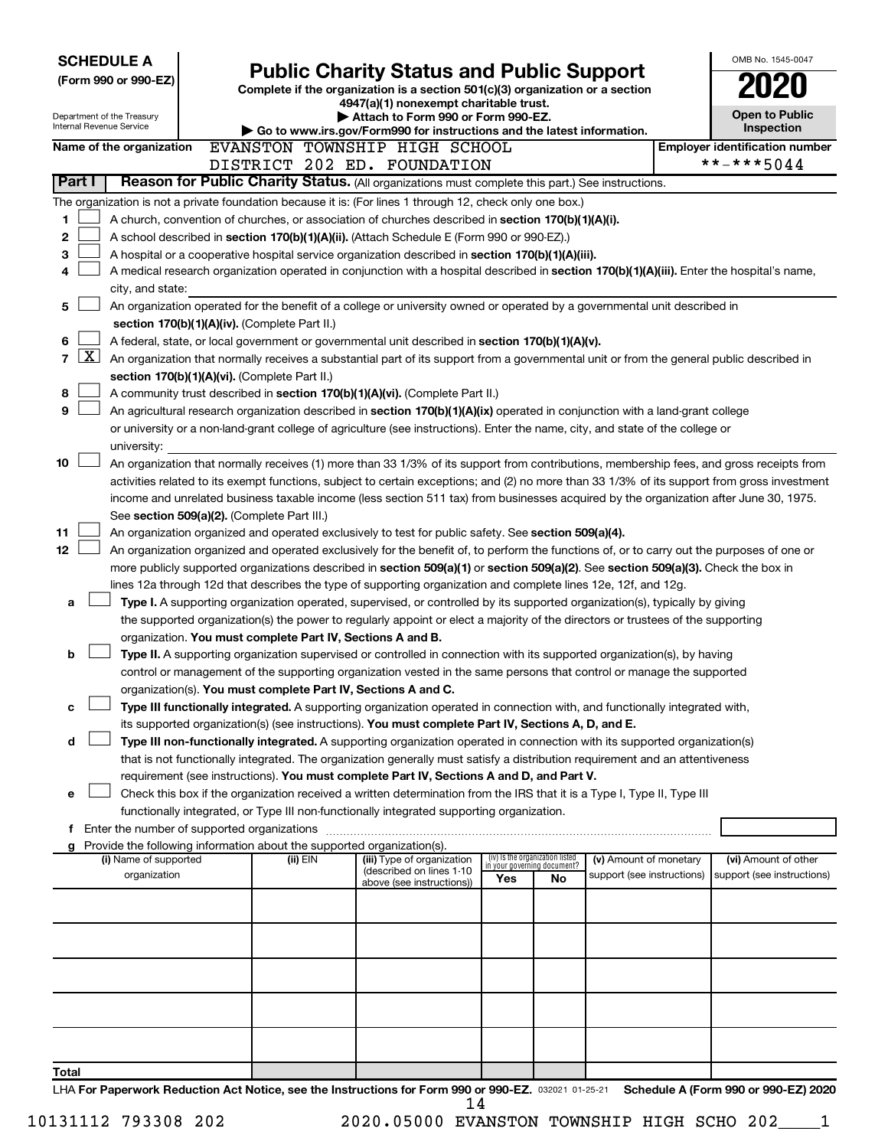| <b>SCHEDULE A</b>                             |                                                                                                                                  |                                               |                                                                                                                                                                                       |     |                                                                |                            | OMB No. 1545-0047                     |                                      |  |  |
|-----------------------------------------------|----------------------------------------------------------------------------------------------------------------------------------|-----------------------------------------------|---------------------------------------------------------------------------------------------------------------------------------------------------------------------------------------|-----|----------------------------------------------------------------|----------------------------|---------------------------------------|--------------------------------------|--|--|
| (Form 990 or 990-EZ)                          | <b>Public Charity Status and Public Support</b><br>Complete if the organization is a section 501(c)(3) organization or a section |                                               |                                                                                                                                                                                       |     |                                                                |                            |                                       |                                      |  |  |
|                                               |                                                                                                                                  |                                               | 4947(a)(1) nonexempt charitable trust.                                                                                                                                                |     |                                                                |                            |                                       |                                      |  |  |
| Department of the Treasury                    |                                                                                                                                  |                                               | Attach to Form 990 or Form 990-EZ.                                                                                                                                                    |     |                                                                |                            |                                       | <b>Open to Public</b>                |  |  |
| <b>Internal Revenue Service</b>               |                                                                                                                                  |                                               | Go to www.irs.gov/Form990 for instructions and the latest information.                                                                                                                |     |                                                                |                            |                                       | Inspection                           |  |  |
| Name of the organization                      |                                                                                                                                  |                                               | EVANSTON TOWNSHIP HIGH SCHOOL                                                                                                                                                         |     |                                                                |                            | <b>Employer identification number</b> |                                      |  |  |
|                                               |                                                                                                                                  |                                               | DISTRICT 202 ED. FOUNDATION                                                                                                                                                           |     |                                                                |                            | **-***5044                            |                                      |  |  |
| Part I                                        |                                                                                                                                  |                                               | Reason for Public Charity Status. (All organizations must complete this part.) See instructions.                                                                                      |     |                                                                |                            |                                       |                                      |  |  |
|                                               |                                                                                                                                  |                                               | The organization is not a private foundation because it is: (For lines 1 through 12, check only one box.)                                                                             |     |                                                                |                            |                                       |                                      |  |  |
| 1                                             |                                                                                                                                  |                                               | A church, convention of churches, or association of churches described in section 170(b)(1)(A)(i).                                                                                    |     |                                                                |                            |                                       |                                      |  |  |
| 2                                             |                                                                                                                                  |                                               | A school described in section 170(b)(1)(A)(ii). (Attach Schedule E (Form 990 or 990-EZ).)                                                                                             |     |                                                                |                            |                                       |                                      |  |  |
| 3                                             |                                                                                                                                  |                                               | A hospital or a cooperative hospital service organization described in section 170(b)(1)(A)(iii).                                                                                     |     |                                                                |                            |                                       |                                      |  |  |
| 4                                             |                                                                                                                                  |                                               | A medical research organization operated in conjunction with a hospital described in section 170(b)(1)(A)(iii). Enter the hospital's name,                                            |     |                                                                |                            |                                       |                                      |  |  |
| city, and state:                              |                                                                                                                                  |                                               |                                                                                                                                                                                       |     |                                                                |                            |                                       |                                      |  |  |
| 5                                             |                                                                                                                                  |                                               | An organization operated for the benefit of a college or university owned or operated by a governmental unit described in                                                             |     |                                                                |                            |                                       |                                      |  |  |
|                                               |                                                                                                                                  | section 170(b)(1)(A)(iv). (Complete Part II.) |                                                                                                                                                                                       |     |                                                                |                            |                                       |                                      |  |  |
| 6                                             |                                                                                                                                  |                                               | A federal, state, or local government or governmental unit described in section 170(b)(1)(A)(v).                                                                                      |     |                                                                |                            |                                       |                                      |  |  |
| $\lfloor x \rfloor$<br>7                      |                                                                                                                                  |                                               | An organization that normally receives a substantial part of its support from a governmental unit or from the general public described in                                             |     |                                                                |                            |                                       |                                      |  |  |
|                                               |                                                                                                                                  | section 170(b)(1)(A)(vi). (Complete Part II.) |                                                                                                                                                                                       |     |                                                                |                            |                                       |                                      |  |  |
| 8                                             |                                                                                                                                  |                                               | A community trust described in section 170(b)(1)(A)(vi). (Complete Part II.)                                                                                                          |     |                                                                |                            |                                       |                                      |  |  |
| 9                                             |                                                                                                                                  |                                               | An agricultural research organization described in section 170(b)(1)(A)(ix) operated in conjunction with a land-grant college                                                         |     |                                                                |                            |                                       |                                      |  |  |
|                                               |                                                                                                                                  |                                               | or university or a non-land-grant college of agriculture (see instructions). Enter the name, city, and state of the college or                                                        |     |                                                                |                            |                                       |                                      |  |  |
| university:                                   |                                                                                                                                  |                                               |                                                                                                                                                                                       |     |                                                                |                            |                                       |                                      |  |  |
| 10                                            |                                                                                                                                  |                                               | An organization that normally receives (1) more than 33 1/3% of its support from contributions, membership fees, and gross receipts from                                              |     |                                                                |                            |                                       |                                      |  |  |
|                                               |                                                                                                                                  |                                               | activities related to its exempt functions, subject to certain exceptions; and (2) no more than 33 1/3% of its support from gross investment                                          |     |                                                                |                            |                                       |                                      |  |  |
|                                               |                                                                                                                                  |                                               | income and unrelated business taxable income (less section 511 tax) from businesses acquired by the organization after June 30, 1975.                                                 |     |                                                                |                            |                                       |                                      |  |  |
|                                               |                                                                                                                                  | See section 509(a)(2). (Complete Part III.)   |                                                                                                                                                                                       |     |                                                                |                            |                                       |                                      |  |  |
| 11                                            |                                                                                                                                  |                                               | An organization organized and operated exclusively to test for public safety. See section 509(a)(4).                                                                                  |     |                                                                |                            |                                       |                                      |  |  |
| 12                                            |                                                                                                                                  |                                               | An organization organized and operated exclusively for the benefit of, to perform the functions of, or to carry out the purposes of one or                                            |     |                                                                |                            |                                       |                                      |  |  |
|                                               |                                                                                                                                  |                                               | more publicly supported organizations described in section 509(a)(1) or section 509(a)(2). See section 509(a)(3). Check the box in                                                    |     |                                                                |                            |                                       |                                      |  |  |
|                                               |                                                                                                                                  |                                               | lines 12a through 12d that describes the type of supporting organization and complete lines 12e, 12f, and 12g.                                                                        |     |                                                                |                            |                                       |                                      |  |  |
| a                                             |                                                                                                                                  |                                               | Type I. A supporting organization operated, supervised, or controlled by its supported organization(s), typically by giving                                                           |     |                                                                |                            |                                       |                                      |  |  |
|                                               |                                                                                                                                  |                                               | the supported organization(s) the power to regularly appoint or elect a majority of the directors or trustees of the supporting                                                       |     |                                                                |                            |                                       |                                      |  |  |
|                                               |                                                                                                                                  |                                               | organization. You must complete Part IV, Sections A and B.                                                                                                                            |     |                                                                |                            |                                       |                                      |  |  |
| b                                             |                                                                                                                                  |                                               | Type II. A supporting organization supervised or controlled in connection with its supported organization(s), by having                                                               |     |                                                                |                            |                                       |                                      |  |  |
|                                               |                                                                                                                                  |                                               | control or management of the supporting organization vested in the same persons that control or manage the supported<br>organization(s). You must complete Part IV, Sections A and C. |     |                                                                |                            |                                       |                                      |  |  |
| с                                             |                                                                                                                                  |                                               | Type III functionally integrated. A supporting organization operated in connection with, and functionally integrated with,                                                            |     |                                                                |                            |                                       |                                      |  |  |
|                                               |                                                                                                                                  |                                               | its supported organization(s) (see instructions). You must complete Part IV, Sections A, D, and E.                                                                                    |     |                                                                |                            |                                       |                                      |  |  |
| d                                             |                                                                                                                                  |                                               | Type III non-functionally integrated. A supporting organization operated in connection with its supported organization(s)                                                             |     |                                                                |                            |                                       |                                      |  |  |
|                                               |                                                                                                                                  |                                               | that is not functionally integrated. The organization generally must satisfy a distribution requirement and an attentiveness                                                          |     |                                                                |                            |                                       |                                      |  |  |
|                                               |                                                                                                                                  |                                               | requirement (see instructions). You must complete Part IV, Sections A and D, and Part V.                                                                                              |     |                                                                |                            |                                       |                                      |  |  |
| е                                             |                                                                                                                                  |                                               | Check this box if the organization received a written determination from the IRS that it is a Type I, Type II, Type III                                                               |     |                                                                |                            |                                       |                                      |  |  |
|                                               |                                                                                                                                  |                                               | functionally integrated, or Type III non-functionally integrated supporting organization.                                                                                             |     |                                                                |                            |                                       |                                      |  |  |
| f Enter the number of supported organizations |                                                                                                                                  |                                               |                                                                                                                                                                                       |     |                                                                |                            |                                       |                                      |  |  |
|                                               |                                                                                                                                  |                                               | g Provide the following information about the supported organization(s).                                                                                                              |     |                                                                |                            |                                       |                                      |  |  |
| (i) Name of supported                         |                                                                                                                                  | (ii) EIN                                      | (iii) Type of organization                                                                                                                                                            |     | (iv) Is the organization listed<br>in your governing document? | (v) Amount of monetary     |                                       | (vi) Amount of other                 |  |  |
| organization                                  |                                                                                                                                  |                                               | (described on lines 1-10<br>above (see instructions))                                                                                                                                 | Yes | No                                                             | support (see instructions) |                                       | support (see instructions)           |  |  |
|                                               |                                                                                                                                  |                                               |                                                                                                                                                                                       |     |                                                                |                            |                                       |                                      |  |  |
|                                               |                                                                                                                                  |                                               |                                                                                                                                                                                       |     |                                                                |                            |                                       |                                      |  |  |
|                                               |                                                                                                                                  |                                               |                                                                                                                                                                                       |     |                                                                |                            |                                       |                                      |  |  |
|                                               |                                                                                                                                  |                                               |                                                                                                                                                                                       |     |                                                                |                            |                                       |                                      |  |  |
|                                               |                                                                                                                                  |                                               |                                                                                                                                                                                       |     |                                                                |                            |                                       |                                      |  |  |
|                                               |                                                                                                                                  |                                               |                                                                                                                                                                                       |     |                                                                |                            |                                       |                                      |  |  |
|                                               |                                                                                                                                  |                                               |                                                                                                                                                                                       |     |                                                                |                            |                                       |                                      |  |  |
|                                               |                                                                                                                                  |                                               |                                                                                                                                                                                       |     |                                                                |                            |                                       |                                      |  |  |
|                                               |                                                                                                                                  |                                               |                                                                                                                                                                                       |     |                                                                |                            |                                       |                                      |  |  |
|                                               |                                                                                                                                  |                                               |                                                                                                                                                                                       |     |                                                                |                            |                                       |                                      |  |  |
| Total                                         |                                                                                                                                  |                                               |                                                                                                                                                                                       |     |                                                                |                            |                                       |                                      |  |  |
|                                               |                                                                                                                                  |                                               | LHA For Paperwork Reduction Act Notice, see the Instructions for Form 990 or 990-EZ. 032021 01-25-21                                                                                  |     |                                                                |                            |                                       | Schedule A (Form 990 or 990-EZ) 2020 |  |  |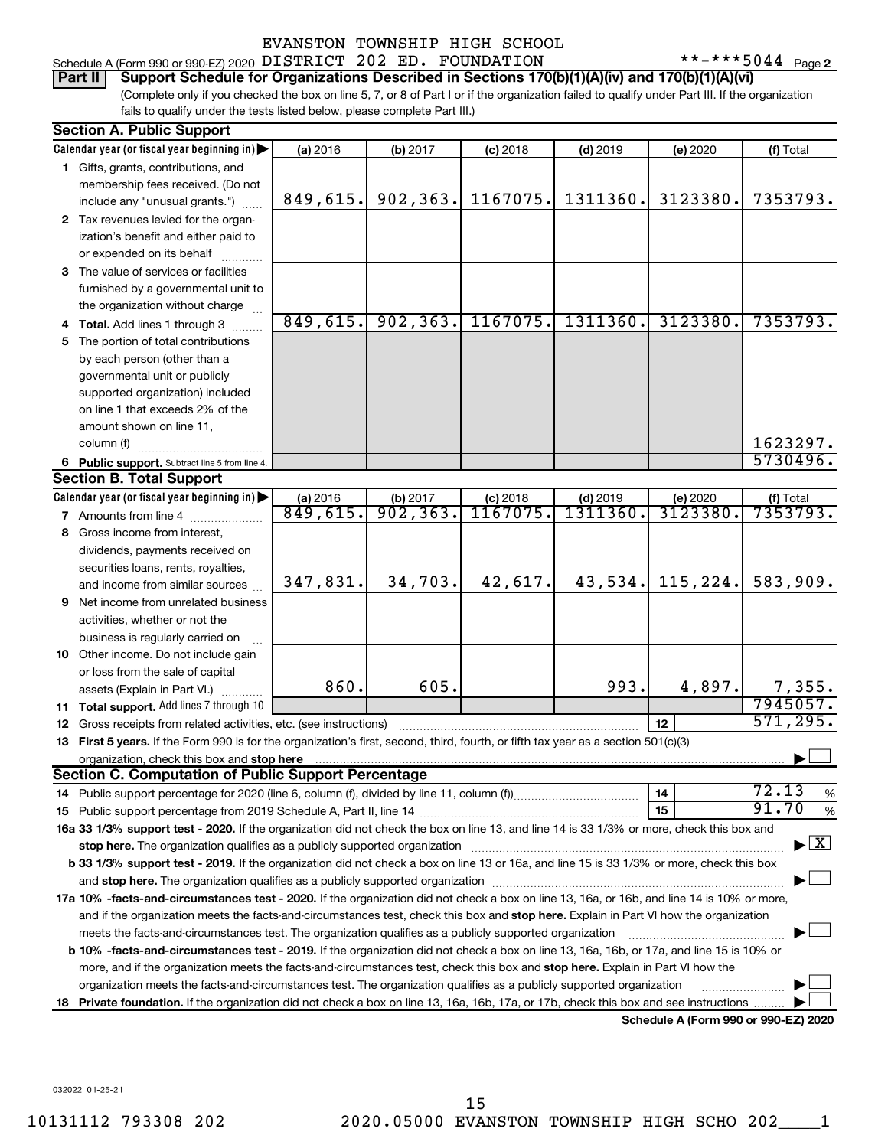# Schedule A (Form 990 or 990-EZ) 2020  $\,$  <code>DISTRICT 202 ED. FOUNDATION</code>  $\,$  \*\*-\*\*\*5044 <code>Page</code>

 $***$   $***$  5044 Page 2

(Complete only if you checked the box on line 5, 7, or 8 of Part I or if the organization failed to qualify under Part III. If the organization fails to qualify under the tests listed below, please complete Part III.) **Part II Support Schedule for Organizations Described in Sections 170(b)(1)(A)(iv) and 170(b)(1)(A)(vi)**

|    | <b>Section A. Public Support</b>                                                                                                                                                                                                                           |                      |                        |                        |                       |                                      |                                 |
|----|------------------------------------------------------------------------------------------------------------------------------------------------------------------------------------------------------------------------------------------------------------|----------------------|------------------------|------------------------|-----------------------|--------------------------------------|---------------------------------|
|    | Calendar year (or fiscal year beginning in)                                                                                                                                                                                                                | (a) 2016             | (b) 2017               | $(c)$ 2018             | $(d)$ 2019            | (e) 2020                             | (f) Total                       |
|    | 1 Gifts, grants, contributions, and                                                                                                                                                                                                                        |                      |                        |                        |                       |                                      |                                 |
|    | membership fees received. (Do not                                                                                                                                                                                                                          |                      |                        |                        |                       |                                      |                                 |
|    | include any "unusual grants.")                                                                                                                                                                                                                             | 849,615.             | 902,363.               | 1167075.               | 1311360.              | 3123380.                             | 7353793.                        |
|    | 2 Tax revenues levied for the organ-                                                                                                                                                                                                                       |                      |                        |                        |                       |                                      |                                 |
|    | ization's benefit and either paid to                                                                                                                                                                                                                       |                      |                        |                        |                       |                                      |                                 |
|    | or expended on its behalf                                                                                                                                                                                                                                  |                      |                        |                        |                       |                                      |                                 |
|    | 3 The value of services or facilities                                                                                                                                                                                                                      |                      |                        |                        |                       |                                      |                                 |
|    | furnished by a governmental unit to                                                                                                                                                                                                                        |                      |                        |                        |                       |                                      |                                 |
|    | the organization without charge                                                                                                                                                                                                                            |                      |                        |                        |                       |                                      |                                 |
|    | 4 Total. Add lines 1 through 3                                                                                                                                                                                                                             | 849,615.             | 902, 363.              | 1167075.               | 1311360.              | 3123380.                             | 7353793.                        |
| 5  | The portion of total contributions                                                                                                                                                                                                                         |                      |                        |                        |                       |                                      |                                 |
|    | by each person (other than a                                                                                                                                                                                                                               |                      |                        |                        |                       |                                      |                                 |
|    | governmental unit or publicly                                                                                                                                                                                                                              |                      |                        |                        |                       |                                      |                                 |
|    | supported organization) included                                                                                                                                                                                                                           |                      |                        |                        |                       |                                      |                                 |
|    | on line 1 that exceeds 2% of the                                                                                                                                                                                                                           |                      |                        |                        |                       |                                      |                                 |
|    | amount shown on line 11,                                                                                                                                                                                                                                   |                      |                        |                        |                       |                                      |                                 |
|    | column (f)                                                                                                                                                                                                                                                 |                      |                        |                        |                       |                                      | 1623297.                        |
|    | 6 Public support. Subtract line 5 from line 4.                                                                                                                                                                                                             |                      |                        |                        |                       |                                      | 5730496.                        |
|    | <b>Section B. Total Support</b>                                                                                                                                                                                                                            |                      |                        |                        |                       |                                      |                                 |
|    | Calendar year (or fiscal year beginning in)                                                                                                                                                                                                                | (a) 2016<br>849,615. | $\frac{1}{902}$ , 363. | $(c)$ 2018<br>1167075. | $(d)$ 2019<br>1311360 | (e) 2020<br>3123380.                 | (f) Total<br>7353793.           |
|    | 7 Amounts from line 4                                                                                                                                                                                                                                      |                      |                        |                        |                       |                                      |                                 |
| 8. | Gross income from interest,                                                                                                                                                                                                                                |                      |                        |                        |                       |                                      |                                 |
|    | dividends, payments received on                                                                                                                                                                                                                            |                      |                        |                        |                       |                                      |                                 |
|    | securities loans, rents, royalties,<br>and income from similar sources                                                                                                                                                                                     | 347,831.             | 34,703.                | 42,617.                | 43,534.               | 115, 224.                            | 583,909.                        |
| 9  | Net income from unrelated business                                                                                                                                                                                                                         |                      |                        |                        |                       |                                      |                                 |
|    | activities, whether or not the                                                                                                                                                                                                                             |                      |                        |                        |                       |                                      |                                 |
|    | business is regularly carried on                                                                                                                                                                                                                           |                      |                        |                        |                       |                                      |                                 |
|    | 10 Other income. Do not include gain                                                                                                                                                                                                                       |                      |                        |                        |                       |                                      |                                 |
|    | or loss from the sale of capital                                                                                                                                                                                                                           |                      |                        |                        |                       |                                      |                                 |
|    | assets (Explain in Part VI.)                                                                                                                                                                                                                               | 860.                 | 605.                   |                        | 993.                  | 4,897.                               | 7,355.                          |
|    | 11 Total support. Add lines 7 through 10                                                                                                                                                                                                                   |                      |                        |                        |                       |                                      | 7945057.                        |
| 12 | Gross receipts from related activities, etc. (see instructions)                                                                                                                                                                                            |                      |                        |                        |                       | 12                                   | 571, 295.                       |
| 13 | First 5 years. If the Form 990 is for the organization's first, second, third, fourth, or fifth tax year as a section 501(c)(3)                                                                                                                            |                      |                        |                        |                       |                                      |                                 |
|    | organization, check this box and stop here                                                                                                                                                                                                                 |                      |                        |                        |                       |                                      |                                 |
|    | <b>Section C. Computation of Public Support Percentage</b>                                                                                                                                                                                                 |                      |                        |                        |                       |                                      |                                 |
|    |                                                                                                                                                                                                                                                            |                      |                        |                        |                       | 14                                   | 72.13<br>%                      |
|    |                                                                                                                                                                                                                                                            |                      |                        |                        |                       | 15                                   | 91.70<br>%                      |
|    | 16a 33 1/3% support test - 2020. If the organization did not check the box on line 13, and line 14 is 33 1/3% or more, check this box and                                                                                                                  |                      |                        |                        |                       |                                      |                                 |
|    | stop here. The organization qualifies as a publicly supported organization                                                                                                                                                                                 |                      |                        |                        |                       |                                      | $\blacktriangleright$ $\vert$ X |
|    | b 33 1/3% support test - 2019. If the organization did not check a box on line 13 or 16a, and line 15 is 33 1/3% or more, check this box                                                                                                                   |                      |                        |                        |                       |                                      |                                 |
|    |                                                                                                                                                                                                                                                            |                      |                        |                        |                       |                                      |                                 |
|    | 17a 10% -facts-and-circumstances test - 2020. If the organization did not check a box on line 13, 16a, or 16b, and line 14 is 10% or more,                                                                                                                 |                      |                        |                        |                       |                                      |                                 |
|    | and if the organization meets the facts-and-circumstances test, check this box and stop here. Explain in Part VI how the organization                                                                                                                      |                      |                        |                        |                       |                                      |                                 |
|    | meets the facts-and-circumstances test. The organization qualifies as a publicly supported organization                                                                                                                                                    |                      |                        |                        |                       |                                      |                                 |
|    | b 10% -facts-and-circumstances test - 2019. If the organization did not check a box on line 13, 16a, 16b, or 17a, and line 15 is 10% or                                                                                                                    |                      |                        |                        |                       |                                      |                                 |
|    | more, and if the organization meets the facts-and-circumstances test, check this box and stop here. Explain in Part VI how the                                                                                                                             |                      |                        |                        |                       |                                      |                                 |
|    | organization meets the facts-and-circumstances test. The organization qualifies as a publicly supported organization<br>Private foundation. If the organization did not check a box on line 13, 16a, 16b, 17a, or 17b, check this box and see instructions |                      |                        |                        |                       |                                      |                                 |
| 18 |                                                                                                                                                                                                                                                            |                      |                        |                        |                       | Schedule A (Form 990 or 990-EZ) 2020 |                                 |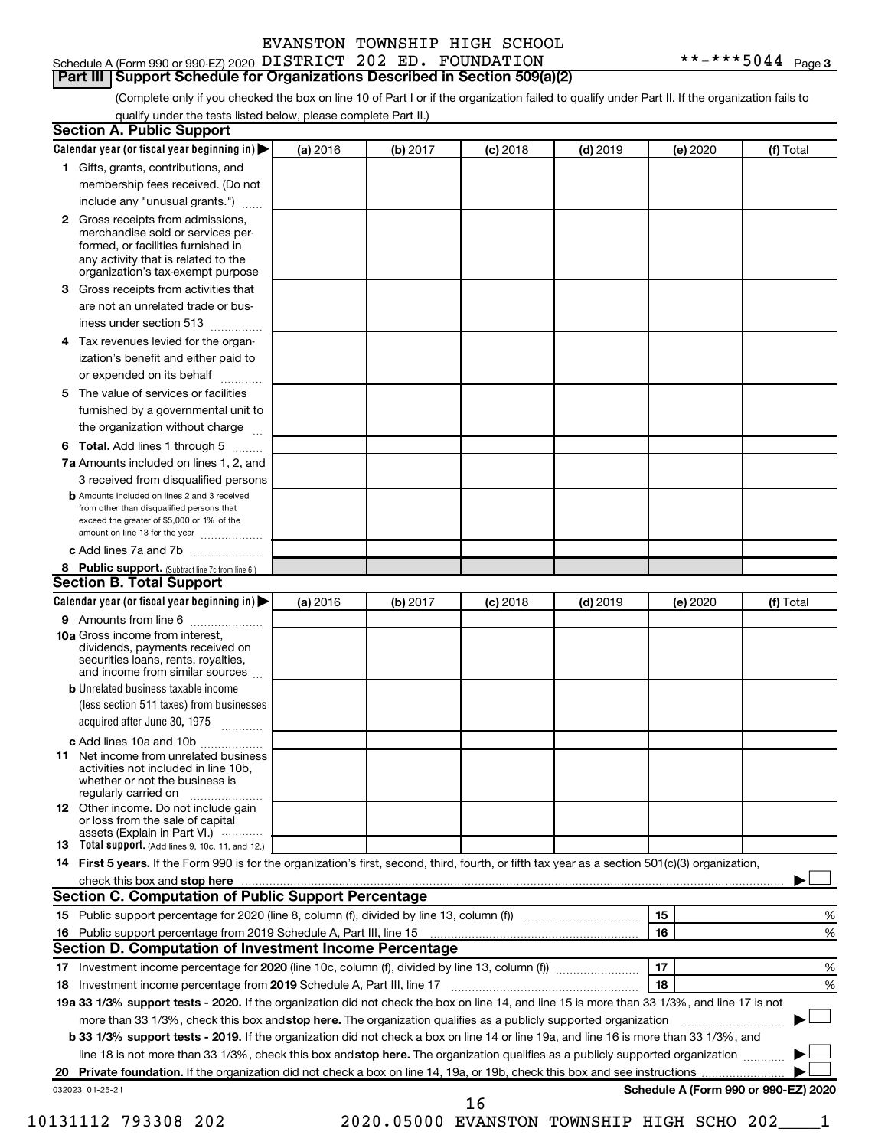#### Schedule A (Form 990 or 990-EZ) 2020  $\,$  <code>DISTRICT 202 ED. FOUNDATION</code>  $\,$  \*\*-\*\*\*5044 <code>Page</code> **Part III Support Schedule for Organizations Described in Section 509(a)(2)**

(Complete only if you checked the box on line 10 of Part I or if the organization failed to qualify under Part II. If the organization fails to qualify under the tests listed below, please complete Part II.)

|   | Calendar year (or fiscal year beginning in)                                                                                                                                                                                                                      | (a) 2016 | (b) 2017 | $(c)$ 2018                                    | $(d)$ 2019 | (e) 2020 | (f) Total                            |
|---|------------------------------------------------------------------------------------------------------------------------------------------------------------------------------------------------------------------------------------------------------------------|----------|----------|-----------------------------------------------|------------|----------|--------------------------------------|
|   | 1 Gifts, grants, contributions, and                                                                                                                                                                                                                              |          |          |                                               |            |          |                                      |
|   | membership fees received. (Do not                                                                                                                                                                                                                                |          |          |                                               |            |          |                                      |
|   | include any "unusual grants.")                                                                                                                                                                                                                                   |          |          |                                               |            |          |                                      |
|   | 2 Gross receipts from admissions,<br>merchandise sold or services per-                                                                                                                                                                                           |          |          |                                               |            |          |                                      |
|   | formed, or facilities furnished in<br>any activity that is related to the                                                                                                                                                                                        |          |          |                                               |            |          |                                      |
|   | organization's tax-exempt purpose                                                                                                                                                                                                                                |          |          |                                               |            |          |                                      |
| з | Gross receipts from activities that                                                                                                                                                                                                                              |          |          |                                               |            |          |                                      |
|   | are not an unrelated trade or bus-<br>iness under section 513                                                                                                                                                                                                    |          |          |                                               |            |          |                                      |
|   | Tax revenues levied for the organ-                                                                                                                                                                                                                               |          |          |                                               |            |          |                                      |
| 4 | ization's benefit and either paid to                                                                                                                                                                                                                             |          |          |                                               |            |          |                                      |
|   | or expended on its behalf<br>.                                                                                                                                                                                                                                   |          |          |                                               |            |          |                                      |
| 5 | The value of services or facilities                                                                                                                                                                                                                              |          |          |                                               |            |          |                                      |
|   | furnished by a governmental unit to                                                                                                                                                                                                                              |          |          |                                               |            |          |                                      |
|   | the organization without charge                                                                                                                                                                                                                                  |          |          |                                               |            |          |                                      |
| 6 | Total. Add lines 1 through 5                                                                                                                                                                                                                                     |          |          |                                               |            |          |                                      |
|   | 7a Amounts included on lines 1, 2, and                                                                                                                                                                                                                           |          |          |                                               |            |          |                                      |
|   | 3 received from disqualified persons                                                                                                                                                                                                                             |          |          |                                               |            |          |                                      |
|   | <b>b</b> Amounts included on lines 2 and 3 received                                                                                                                                                                                                              |          |          |                                               |            |          |                                      |
|   | from other than disqualified persons that<br>exceed the greater of \$5,000 or 1% of the                                                                                                                                                                          |          |          |                                               |            |          |                                      |
|   | amount on line 13 for the year                                                                                                                                                                                                                                   |          |          |                                               |            |          |                                      |
|   | c Add lines 7a and 7b<br>8 Public support. (Subtract line 7c from line 6.)                                                                                                                                                                                       |          |          |                                               |            |          |                                      |
|   | <b>Section B. Total Support</b>                                                                                                                                                                                                                                  |          |          |                                               |            |          |                                      |
|   | Calendar year (or fiscal year beginning in)                                                                                                                                                                                                                      | (a) 2016 | (b) 2017 | $(c)$ 2018                                    | $(d)$ 2019 | (e) 2020 | (f) Total                            |
|   | 9 Amounts from line 6                                                                                                                                                                                                                                            |          |          |                                               |            |          |                                      |
|   | <b>10a</b> Gross income from interest,<br>dividends, payments received on<br>securities loans, rents, royalties,<br>and income from similar sources                                                                                                              |          |          |                                               |            |          |                                      |
|   | <b>b</b> Unrelated business taxable income                                                                                                                                                                                                                       |          |          |                                               |            |          |                                      |
|   | (less section 511 taxes) from businesses<br>acquired after June 30, 1975                                                                                                                                                                                         |          |          |                                               |            |          |                                      |
|   |                                                                                                                                                                                                                                                                  |          |          |                                               |            |          |                                      |
|   | c Add lines 10a and 10b<br><b>11</b> Net income from unrelated business<br>activities not included in line 10b.<br>whether or not the business is<br>regularly carried on                                                                                        |          |          |                                               |            |          |                                      |
|   | 12 Other income. Do not include gain<br>or loss from the sale of capital                                                                                                                                                                                         |          |          |                                               |            |          |                                      |
|   | assets (Explain in Part VI.)<br>13 Total support. (Add lines 9, 10c, 11, and 12.)                                                                                                                                                                                |          |          |                                               |            |          |                                      |
|   | 14 First 5 years. If the Form 990 is for the organization's first, second, third, fourth, or fifth tax year as a section 501(c)(3) organization,                                                                                                                 |          |          |                                               |            |          |                                      |
|   | check this box and stop here measurements and the contract of the state of the state of the state of the state of the state of the state of the state of the state of the state of the state of the state of the state of the                                    |          |          |                                               |            |          |                                      |
|   | <b>Section C. Computation of Public Support Percentage</b>                                                                                                                                                                                                       |          |          |                                               |            |          |                                      |
|   |                                                                                                                                                                                                                                                                  |          |          |                                               |            | 15       | %                                    |
|   |                                                                                                                                                                                                                                                                  |          |          |                                               |            | 16       | %                                    |
|   | Section D. Computation of Investment Income Percentage                                                                                                                                                                                                           |          |          |                                               |            |          |                                      |
|   |                                                                                                                                                                                                                                                                  |          |          |                                               |            | 17       | %                                    |
|   |                                                                                                                                                                                                                                                                  |          |          |                                               |            | 18       | %                                    |
|   | 19a 33 1/3% support tests - 2020. If the organization did not check the box on line 14, and line 15 is more than 33 1/3%, and line 17 is not                                                                                                                     |          |          |                                               |            |          |                                      |
|   |                                                                                                                                                                                                                                                                  |          |          |                                               |            |          |                                      |
|   | more than 33 1/3%, check this box and stop here. The organization qualifies as a publicly supported organization<br><b>b 33 1/3% support tests - 2019.</b> If the organization did not check a box on line 14 or line 19a, and line 16 is more than 33 1/3%, and |          |          |                                               |            |          |                                      |
|   |                                                                                                                                                                                                                                                                  |          |          |                                               |            |          |                                      |
|   | line 18 is not more than 33 1/3%, check this box and stop here. The organization qualifies as a publicly supported organization                                                                                                                                  |          |          |                                               |            |          |                                      |
|   |                                                                                                                                                                                                                                                                  |          |          |                                               |            |          |                                      |
|   | 032023 01-25-21                                                                                                                                                                                                                                                  |          |          | 16                                            |            |          | Schedule A (Form 990 or 990-EZ) 2020 |
|   | 10131112 793308 202                                                                                                                                                                                                                                              |          |          | 2020.05000 EVANSTON TOWNSHIP HIGH SCHO 202___ |            |          |                                      |
|   |                                                                                                                                                                                                                                                                  |          |          |                                               |            |          |                                      |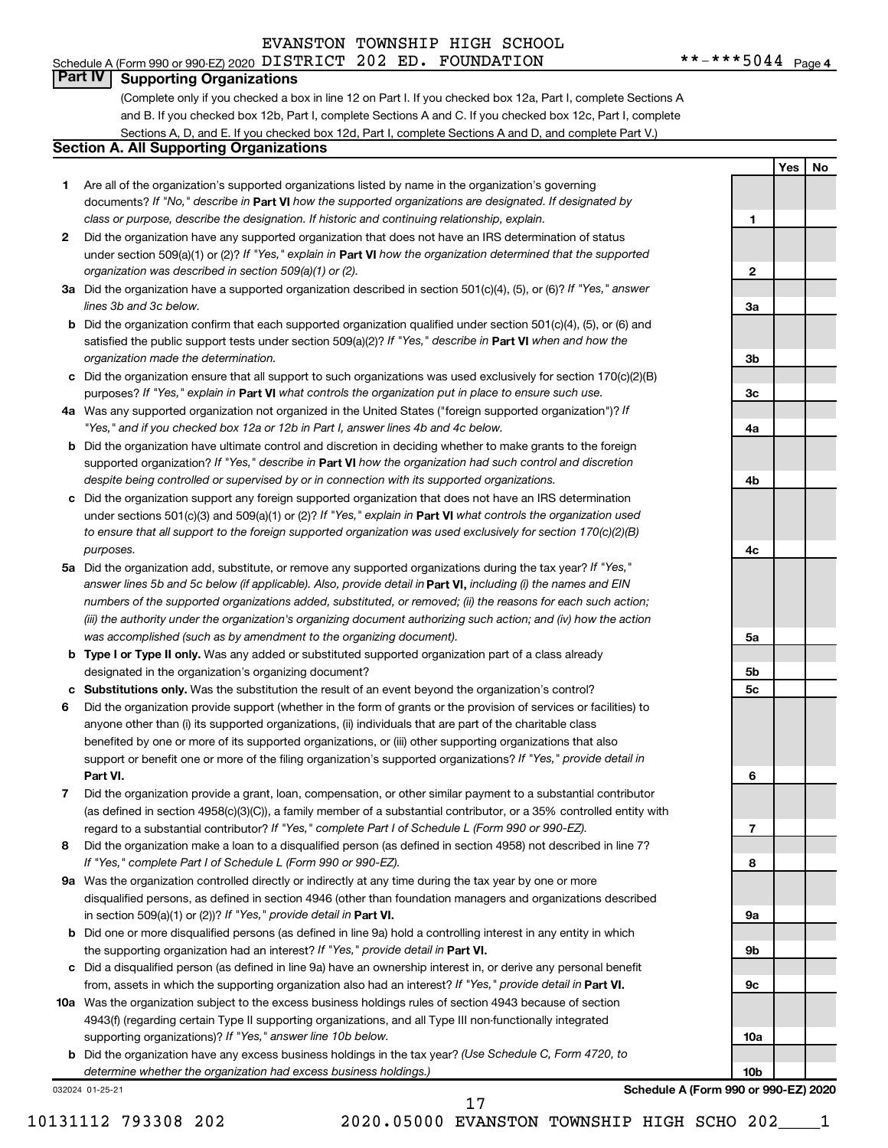# Schedule A (Form 990 or 990-EZ) 2020  $\,$  <code>DISTRICT 202 ED. FOUNDATION</code>  $\,$  \*\*-\*\*\*5044 <code>Page</code>

**1**

**2**

**3a**

**3b**

**3c**

**4a**

**4b**

**4c**

**5a**

**5b 5c**

**6**

**7**

**8**

**9a**

**9b**

**9c**

**10a**

**10b**

**Yes No**

## **Part IV Supporting Organizations**

(Complete only if you checked a box in line 12 on Part I. If you checked box 12a, Part I, complete Sections A and B. If you checked box 12b, Part I, complete Sections A and C. If you checked box 12c, Part I, complete Sections A, D, and E. If you checked box 12d, Part I, complete Sections A and D, and complete Part V.)

# **Section A. All Supporting Organizations**

- **1** Are all of the organization's supported organizations listed by name in the organization's governing documents? If "No," describe in Part VI how the supported organizations are designated. If designated by *class or purpose, describe the designation. If historic and continuing relationship, explain.*
- **2** Did the organization have any supported organization that does not have an IRS determination of status under section 509(a)(1) or (2)? If "Yes," explain in Part **VI** how the organization determined that the supported *organization was described in section 509(a)(1) or (2).*
- **3a** Did the organization have a supported organization described in section 501(c)(4), (5), or (6)? If "Yes," answer *lines 3b and 3c below.*
- **b** Did the organization confirm that each supported organization qualified under section 501(c)(4), (5), or (6) and satisfied the public support tests under section 509(a)(2)? If "Yes," describe in Part VI when and how the *organization made the determination.*
- **c** Did the organization ensure that all support to such organizations was used exclusively for section 170(c)(2)(B) purposes? If "Yes," explain in Part VI what controls the organization put in place to ensure such use.
- **4 a** *If* Was any supported organization not organized in the United States ("foreign supported organization")? *"Yes," and if you checked box 12a or 12b in Part I, answer lines 4b and 4c below.*
- **b** Did the organization have ultimate control and discretion in deciding whether to make grants to the foreign supported organization? If "Yes," describe in Part VI how the organization had such control and discretion *despite being controlled or supervised by or in connection with its supported organizations.*
- **c** Did the organization support any foreign supported organization that does not have an IRS determination under sections 501(c)(3) and 509(a)(1) or (2)? If "Yes," explain in Part VI what controls the organization used *to ensure that all support to the foreign supported organization was used exclusively for section 170(c)(2)(B) purposes.*
- **5a** Did the organization add, substitute, or remove any supported organizations during the tax year? If "Yes," answer lines 5b and 5c below (if applicable). Also, provide detail in **Part VI,** including (i) the names and EIN *numbers of the supported organizations added, substituted, or removed; (ii) the reasons for each such action; (iii) the authority under the organization's organizing document authorizing such action; and (iv) how the action was accomplished (such as by amendment to the organizing document).*
- **b** Type I or Type II only. Was any added or substituted supported organization part of a class already designated in the organization's organizing document?
- **c Substitutions only.**  Was the substitution the result of an event beyond the organization's control?
- **6** Did the organization provide support (whether in the form of grants or the provision of services or facilities) to **Part VI.** support or benefit one or more of the filing organization's supported organizations? If "Yes," provide detail in anyone other than (i) its supported organizations, (ii) individuals that are part of the charitable class benefited by one or more of its supported organizations, or (iii) other supporting organizations that also
- **7** Did the organization provide a grant, loan, compensation, or other similar payment to a substantial contributor regard to a substantial contributor? If "Yes," complete Part I of Schedule L (Form 990 or 990-EZ). (as defined in section 4958(c)(3)(C)), a family member of a substantial contributor, or a 35% controlled entity with
- **8** Did the organization make a loan to a disqualified person (as defined in section 4958) not described in line 7? *If "Yes," complete Part I of Schedule L (Form 990 or 990-EZ).*
- **9 a** Was the organization controlled directly or indirectly at any time during the tax year by one or more in section 509(a)(1) or (2))? If "Yes," provide detail in **Part VI.** disqualified persons, as defined in section 4946 (other than foundation managers and organizations described
- **b** Did one or more disqualified persons (as defined in line 9a) hold a controlling interest in any entity in which the supporting organization had an interest? If "Yes," provide detail in Part VI.
- **c** Did a disqualified person (as defined in line 9a) have an ownership interest in, or derive any personal benefit from, assets in which the supporting organization also had an interest? If "Yes," provide detail in Part VI.
- **10 a** Was the organization subject to the excess business holdings rules of section 4943 because of section supporting organizations)? If "Yes," answer line 10b below. 4943(f) (regarding certain Type II supporting organizations, and all Type III non-functionally integrated
	- **b** Did the organization have any excess business holdings in the tax year? (Use Schedule C, Form 4720, to *determine whether the organization had excess business holdings.)*

032024 01-25-21

**Schedule A (Form 990 or 990-EZ) 2020**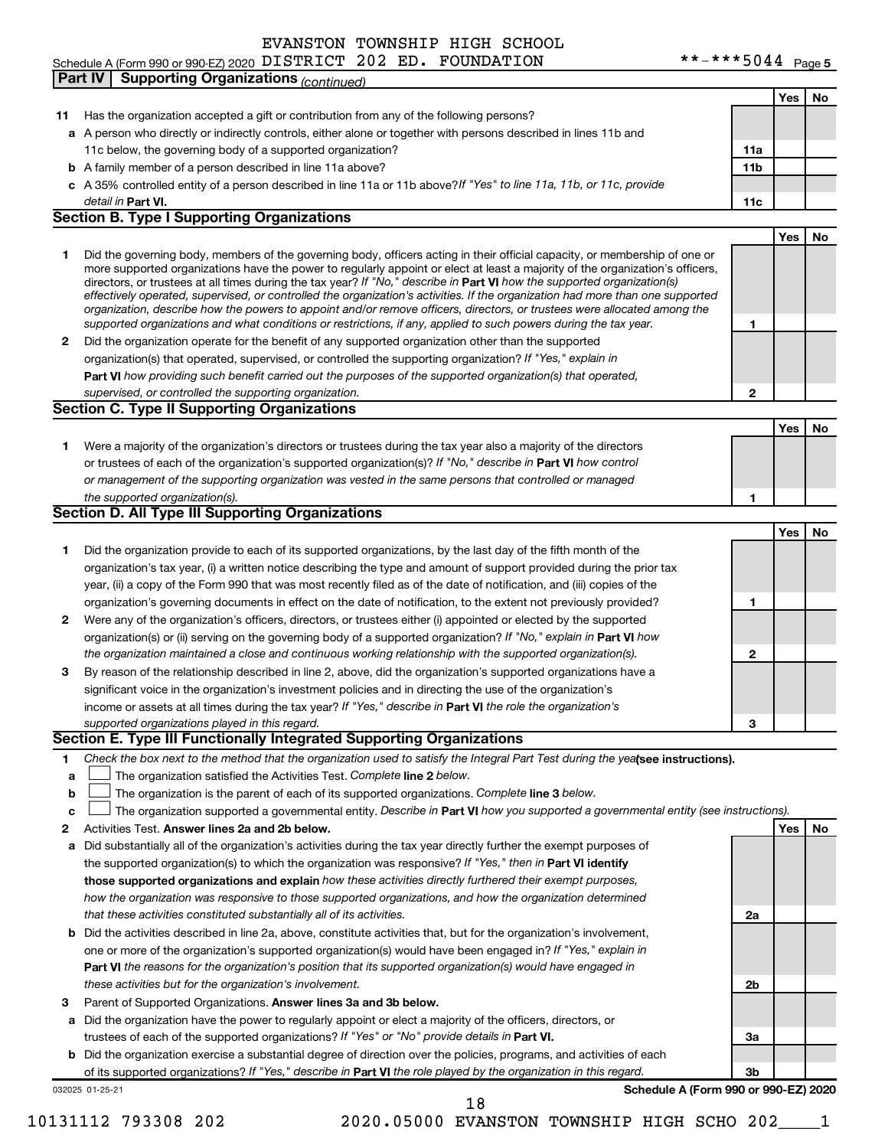# Schedule A (Form 990 or 990-EZ) 2020  $\,$  <code>DISTRICT 202 ED. FOUNDATION</code>  $\,$  \*\*-\*\*\*5044 <code>Page</code> **Part IV Supporting Organizations** *(continued)*

|    |                                                                                                                                   |              | Yes        | No |
|----|-----------------------------------------------------------------------------------------------------------------------------------|--------------|------------|----|
| 11 | Has the organization accepted a gift or contribution from any of the following persons?                                           |              |            |    |
|    | a A person who directly or indirectly controls, either alone or together with persons described in lines 11b and                  |              |            |    |
|    | 11c below, the governing body of a supported organization?                                                                        | 11a          |            |    |
|    | <b>b</b> A family member of a person described in line 11a above?                                                                 | 11b          |            |    |
|    | c A 35% controlled entity of a person described in line 11a or 11b above? If "Yes" to line 11a, 11b, or 11c, provide              |              |            |    |
|    | detail in Part VI.                                                                                                                | 11c          |            |    |
|    | <b>Section B. Type I Supporting Organizations</b>                                                                                 |              |            |    |
|    |                                                                                                                                   |              | <b>Yes</b> | No |
| 1  | Did the governing body, members of the governing body, officers acting in their official capacity, or membership of one or        |              |            |    |
|    | more supported organizations have the power to regularly appoint or elect at least a majority of the organization's officers,     |              |            |    |
|    | directors, or trustees at all times during the tax year? If "No," describe in Part VI how the supported organization(s)           |              |            |    |
|    | effectively operated, supervised, or controlled the organization's activities. If the organization had more than one supported    |              |            |    |
|    | organization, describe how the powers to appoint and/or remove officers, directors, or trustees were allocated among the          |              |            |    |
|    | supported organizations and what conditions or restrictions, if any, applied to such powers during the tax year.                  | 1            |            |    |
| 2  | Did the organization operate for the benefit of any supported organization other than the supported                               |              |            |    |
|    | organization(s) that operated, supervised, or controlled the supporting organization? If "Yes," explain in                        |              |            |    |
|    | Part VI how providing such benefit carried out the purposes of the supported organization(s) that operated,                       |              |            |    |
|    | supervised, or controlled the supporting organization.                                                                            | $\mathbf{2}$ |            |    |
|    | <b>Section C. Type II Supporting Organizations</b>                                                                                |              |            |    |
|    |                                                                                                                                   |              | <b>Yes</b> | No |
| 1. | Were a majority of the organization's directors or trustees during the tax year also a majority of the directors                  |              |            |    |
|    | or trustees of each of the organization's supported organization(s)? If "No," describe in Part VI how control                     |              |            |    |
|    | or management of the supporting organization was vested in the same persons that controlled or managed                            |              |            |    |
|    | the supported organization(s).                                                                                                    | 1            |            |    |
|    | <b>Section D. All Type III Supporting Organizations</b>                                                                           |              |            |    |
|    |                                                                                                                                   |              | <b>Yes</b> | No |
| 1  | Did the organization provide to each of its supported organizations, by the last day of the fifth month of the                    |              |            |    |
|    | organization's tax year, (i) a written notice describing the type and amount of support provided during the prior tax             |              |            |    |
|    | year, (ii) a copy of the Form 990 that was most recently filed as of the date of notification, and (iii) copies of the            |              |            |    |
|    | organization's governing documents in effect on the date of notification, to the extent not previously provided?                  | 1            |            |    |
| 2  | Were any of the organization's officers, directors, or trustees either (i) appointed or elected by the supported                  |              |            |    |
|    | organization(s) or (ii) serving on the governing body of a supported organization? If "No," explain in Part VI how                |              |            |    |
|    | the organization maintained a close and continuous working relationship with the supported organization(s).                       | $\mathbf{2}$ |            |    |
| 3  | By reason of the relationship described in line 2, above, did the organization's supported organizations have a                   |              |            |    |
|    | significant voice in the organization's investment policies and in directing the use of the organization's                        |              |            |    |
|    | income or assets at all times during the tax year? If "Yes," describe in Part VI the role the organization's                      |              |            |    |
|    | supported organizations played in this regard.                                                                                    | 3            |            |    |
|    | Section E. Type III Functionally Integrated Supporting Organizations                                                              |              |            |    |
|    | Check the box next to the method that the organization used to satisfy the Integral Part Test during the yealsee instructions).   |              |            |    |
| 1  |                                                                                                                                   |              |            |    |
| а  | The organization satisfied the Activities Test. Complete line 2 below.                                                            |              |            |    |
| b  | The organization is the parent of each of its supported organizations. Complete line 3 below.                                     |              |            |    |
| c  | The organization supported a governmental entity. Describe in Part VI how you supported a governmental entity (see instructions). |              |            |    |
| 2  | Activities Test. Answer lines 2a and 2b below.                                                                                    |              | Yes        | No |
| а  | Did substantially all of the organization's activities during the tax year directly further the exempt purposes of                |              |            |    |
|    | the supported organization(s) to which the organization was responsive? If "Yes," then in Part VI identify                        |              |            |    |
|    | those supported organizations and explain how these activities directly furthered their exempt purposes,                          |              |            |    |
|    | how the organization was responsive to those supported organizations, and how the organization determined                         |              |            |    |
|    | that these activities constituted substantially all of its activities.                                                            | 2a           |            |    |
| b  | Did the activities described in line 2a, above, constitute activities that, but for the organization's involvement,               |              |            |    |
|    | one or more of the organization's supported organization(s) would have been engaged in? If "Yes," explain in                      |              |            |    |
|    | Part VI the reasons for the organization's position that its supported organization(s) would have engaged in                      |              |            |    |
|    | these activities but for the organization's involvement.                                                                          | 2b           |            |    |
| 3  | Parent of Supported Organizations. Answer lines 3a and 3b below.                                                                  |              |            |    |
| а  | Did the organization have the power to regularly appoint or elect a majority of the officers, directors, or                       |              |            |    |
|    | trustees of each of the supported organizations? If "Yes" or "No" provide details in Part VI.                                     | За           |            |    |
| b  | Did the organization exercise a substantial degree of direction over the policies, programs, and activities of each               |              |            |    |
|    | of its supported organizations? If "Yes," describe in Part VI the role played by the organization in this regard.                 | Зb           |            |    |
|    | Schedule A (Form 990 or 990-EZ) 2020<br>032025 01-25-21                                                                           |              |            |    |
|    | 18                                                                                                                                |              |            |    |

10131112 793308 202 2020.05000 EVANSTON TOWNSHIP HIGH SCHO 202\_\_\_\_1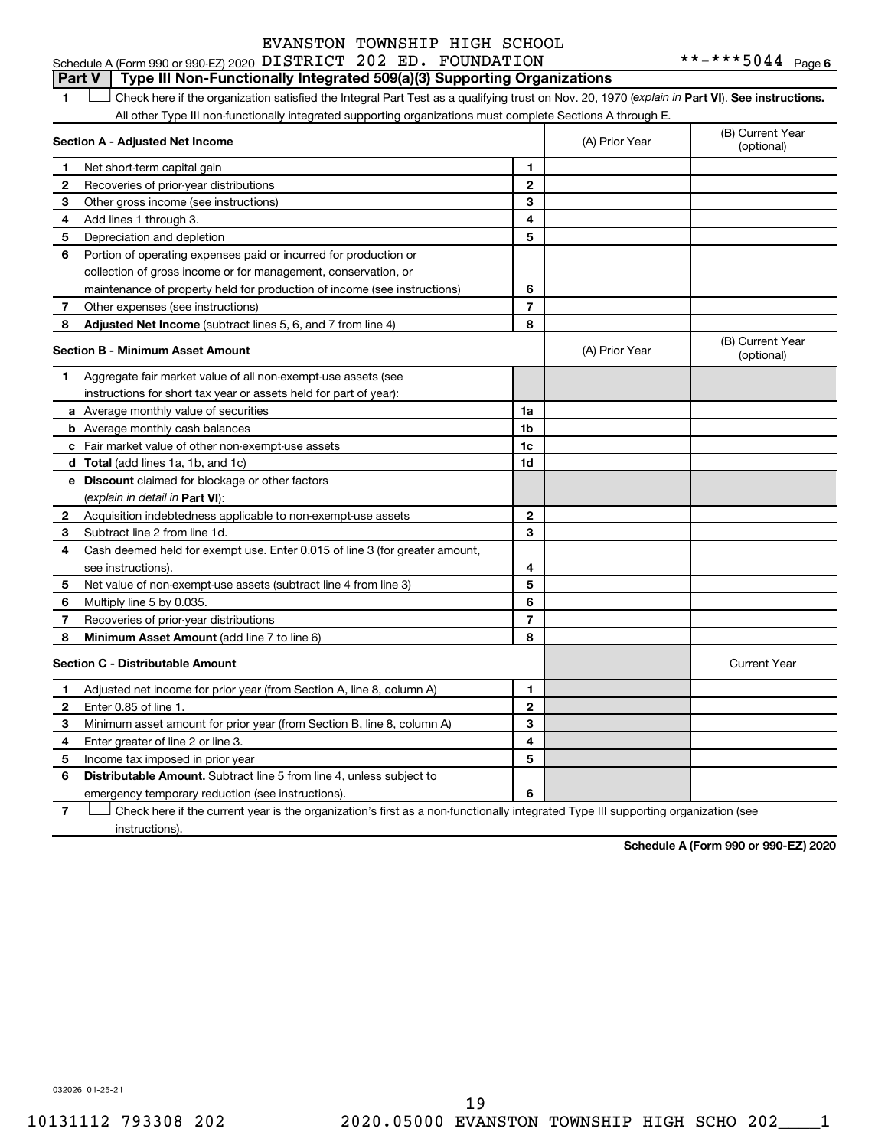#### **Part V Type III Non-Functionally Integrated 509(a)(3) Supporting Organizations**

1 **Letter See instructions.** Check here if the organization satisfied the Integral Part Test as a qualifying trust on Nov. 20, 1970 (*explain in* Part **VI**). See instructions. All other Type III non-functionally integrated supporting organizations must complete Sections A through E.

|              | Section A - Adjusted Net Income                                             |                | (A) Prior Year | (B) Current Year<br>(optional) |
|--------------|-----------------------------------------------------------------------------|----------------|----------------|--------------------------------|
| 1            | Net short-term capital gain                                                 | 1              |                |                                |
| 2            | Recoveries of prior-year distributions                                      | $\overline{2}$ |                |                                |
| 3            | Other gross income (see instructions)                                       | 3              |                |                                |
| 4            | Add lines 1 through 3.                                                      | 4              |                |                                |
| 5            | Depreciation and depletion                                                  | 5              |                |                                |
| 6            | Portion of operating expenses paid or incurred for production or            |                |                |                                |
|              | collection of gross income or for management, conservation, or              |                |                |                                |
|              | maintenance of property held for production of income (see instructions)    | 6              |                |                                |
| 7            | Other expenses (see instructions)                                           | $\overline{7}$ |                |                                |
| 8            | <b>Adjusted Net Income</b> (subtract lines 5, 6, and 7 from line 4)         | 8              |                |                                |
|              | <b>Section B - Minimum Asset Amount</b>                                     |                | (A) Prior Year | (B) Current Year<br>(optional) |
| 1.           | Aggregate fair market value of all non-exempt-use assets (see               |                |                |                                |
|              | instructions for short tax year or assets held for part of year):           |                |                |                                |
|              | a Average monthly value of securities                                       | 1a             |                |                                |
|              | <b>b</b> Average monthly cash balances                                      | 1 <sub>b</sub> |                |                                |
|              | c Fair market value of other non-exempt-use assets                          | 1c             |                |                                |
|              | <b>d</b> Total (add lines 1a, 1b, and 1c)                                   | 1 <sub>d</sub> |                |                                |
|              | e Discount claimed for blockage or other factors                            |                |                |                                |
|              | (explain in detail in Part VI):                                             |                |                |                                |
| 2            | Acquisition indebtedness applicable to non-exempt-use assets                | $\mathbf{2}$   |                |                                |
| 3            | Subtract line 2 from line 1d.                                               | 3              |                |                                |
| 4            | Cash deemed held for exempt use. Enter 0.015 of line 3 (for greater amount, |                |                |                                |
|              | see instructions).                                                          | 4              |                |                                |
| 5            | Net value of non-exempt-use assets (subtract line 4 from line 3)            | 5              |                |                                |
| 6            | Multiply line 5 by 0.035.                                                   | 6              |                |                                |
| 7            | Recoveries of prior-year distributions                                      | $\overline{7}$ |                |                                |
| 8            | Minimum Asset Amount (add line 7 to line 6)                                 | 8              |                |                                |
|              | <b>Section C - Distributable Amount</b>                                     |                |                | <b>Current Year</b>            |
| 1            | Adjusted net income for prior year (from Section A, line 8, column A)       | 1              |                |                                |
| $\mathbf{2}$ | Enter 0.85 of line 1.                                                       | $\overline{2}$ |                |                                |
| З            | Minimum asset amount for prior year (from Section B, line 8, column A)      | 3              |                |                                |
| 4            | Enter greater of line 2 or line 3.                                          | 4              |                |                                |
| 5            | Income tax imposed in prior year                                            | 5              |                |                                |
| 6            | Distributable Amount. Subtract line 5 from line 4, unless subject to        |                |                |                                |
|              | emergency temporary reduction (see instructions).                           | 6              |                |                                |
|              |                                                                             |                |                |                                |

**7** Check here if the current year is the organization's first as a non-functionally integrated Type III supporting organization (see † instructions).

**Schedule A (Form 990 or 990-EZ) 2020**

032026 01-25-21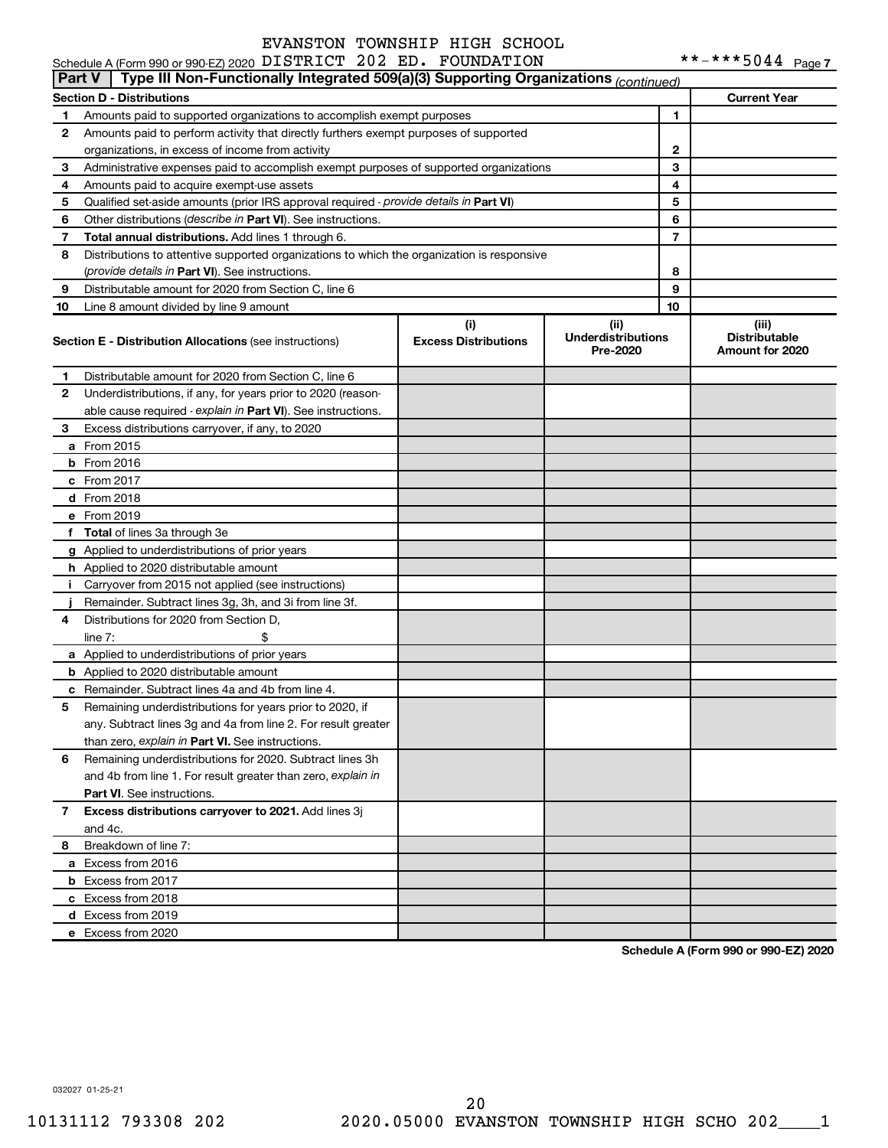|               | Schedule A (Form 990 or 990-EZ) 2020 DISTRICT 202 ED. FOUNDATION                           |                                    |                                               |    |                                                  |
|---------------|--------------------------------------------------------------------------------------------|------------------------------------|-----------------------------------------------|----|--------------------------------------------------|
| <b>Part V</b> | Type III Non-Functionally Integrated 509(a)(3) Supporting Organizations (continued)        |                                    |                                               |    |                                                  |
|               | <b>Section D - Distributions</b>                                                           |                                    |                                               |    | <b>Current Year</b>                              |
| 1             | Amounts paid to supported organizations to accomplish exempt purposes                      |                                    |                                               | 1  |                                                  |
| 2             | Amounts paid to perform activity that directly furthers exempt purposes of supported       |                                    |                                               |    |                                                  |
|               | organizations, in excess of income from activity                                           |                                    |                                               | 2  |                                                  |
| 3             | Administrative expenses paid to accomplish exempt purposes of supported organizations      |                                    | 3                                             |    |                                                  |
| 4             | Amounts paid to acquire exempt-use assets                                                  |                                    |                                               | 4  |                                                  |
| 5             | Qualified set-aside amounts (prior IRS approval required - provide details in Part VI)     |                                    |                                               | 5  |                                                  |
| 6             | Other distributions (describe in Part VI). See instructions.                               |                                    |                                               | 6  |                                                  |
| 7             | Total annual distributions. Add lines 1 through 6.                                         |                                    |                                               | 7  |                                                  |
| 8             | Distributions to attentive supported organizations to which the organization is responsive |                                    |                                               |    |                                                  |
|               | (provide details in Part VI). See instructions.                                            |                                    |                                               | 8  |                                                  |
| 9             | Distributable amount for 2020 from Section C, line 6                                       |                                    |                                               | 9  |                                                  |
| 10            | Line 8 amount divided by line 9 amount                                                     |                                    |                                               | 10 |                                                  |
|               | <b>Section E - Distribution Allocations (see instructions)</b>                             | (i)<br><b>Excess Distributions</b> | (ii)<br><b>Underdistributions</b><br>Pre-2020 |    | (iii)<br><b>Distributable</b><br>Amount for 2020 |
| 1             | Distributable amount for 2020 from Section C, line 6                                       |                                    |                                               |    |                                                  |
| 2             | Underdistributions, if any, for years prior to 2020 (reason-                               |                                    |                                               |    |                                                  |
|               | able cause required - explain in Part VI). See instructions.                               |                                    |                                               |    |                                                  |
| 3             | Excess distributions carryover, if any, to 2020                                            |                                    |                                               |    |                                                  |
|               | a From 2015                                                                                |                                    |                                               |    |                                                  |
|               | <b>b</b> From 2016                                                                         |                                    |                                               |    |                                                  |
|               | c From 2017                                                                                |                                    |                                               |    |                                                  |
|               | d From 2018                                                                                |                                    |                                               |    |                                                  |
|               | e From 2019                                                                                |                                    |                                               |    |                                                  |
|               | f Total of lines 3a through 3e                                                             |                                    |                                               |    |                                                  |
|               | g Applied to underdistributions of prior years                                             |                                    |                                               |    |                                                  |
|               | h Applied to 2020 distributable amount                                                     |                                    |                                               |    |                                                  |
| Ť.            | Carryover from 2015 not applied (see instructions)                                         |                                    |                                               |    |                                                  |
|               | Remainder. Subtract lines 3g, 3h, and 3i from line 3f.                                     |                                    |                                               |    |                                                  |
| 4             | Distributions for 2020 from Section D,                                                     |                                    |                                               |    |                                                  |
|               | line $7:$                                                                                  |                                    |                                               |    |                                                  |
|               | a Applied to underdistributions of prior years                                             |                                    |                                               |    |                                                  |
|               | <b>b</b> Applied to 2020 distributable amount                                              |                                    |                                               |    |                                                  |
|               | c Remainder. Subtract lines 4a and 4b from line 4.                                         |                                    |                                               |    |                                                  |
|               | 5 Remaining underdistributions for years prior to 2020, if                                 |                                    |                                               |    |                                                  |
|               | any. Subtract lines 3g and 4a from line 2. For result greater                              |                                    |                                               |    |                                                  |
|               | than zero, explain in Part VI. See instructions.                                           |                                    |                                               |    |                                                  |
| 6             | Remaining underdistributions for 2020. Subtract lines 3h                                   |                                    |                                               |    |                                                  |
|               | and 4b from line 1. For result greater than zero, explain in                               |                                    |                                               |    |                                                  |
|               | <b>Part VI.</b> See instructions.                                                          |                                    |                                               |    |                                                  |
|               |                                                                                            |                                    |                                               |    |                                                  |
| 7             | Excess distributions carryover to 2021. Add lines 3j                                       |                                    |                                               |    |                                                  |
|               | and 4c.                                                                                    |                                    |                                               |    |                                                  |
| 8             | Breakdown of line 7:                                                                       |                                    |                                               |    |                                                  |
|               | a Excess from 2016                                                                         |                                    |                                               |    |                                                  |
|               | <b>b</b> Excess from 2017                                                                  |                                    |                                               |    |                                                  |
|               | c Excess from 2018                                                                         |                                    |                                               |    |                                                  |
|               | d Excess from 2019                                                                         |                                    |                                               |    |                                                  |
|               | e Excess from 2020                                                                         |                                    |                                               |    |                                                  |

**Schedule A (Form 990 or 990-EZ) 2020**

032027 01-25-21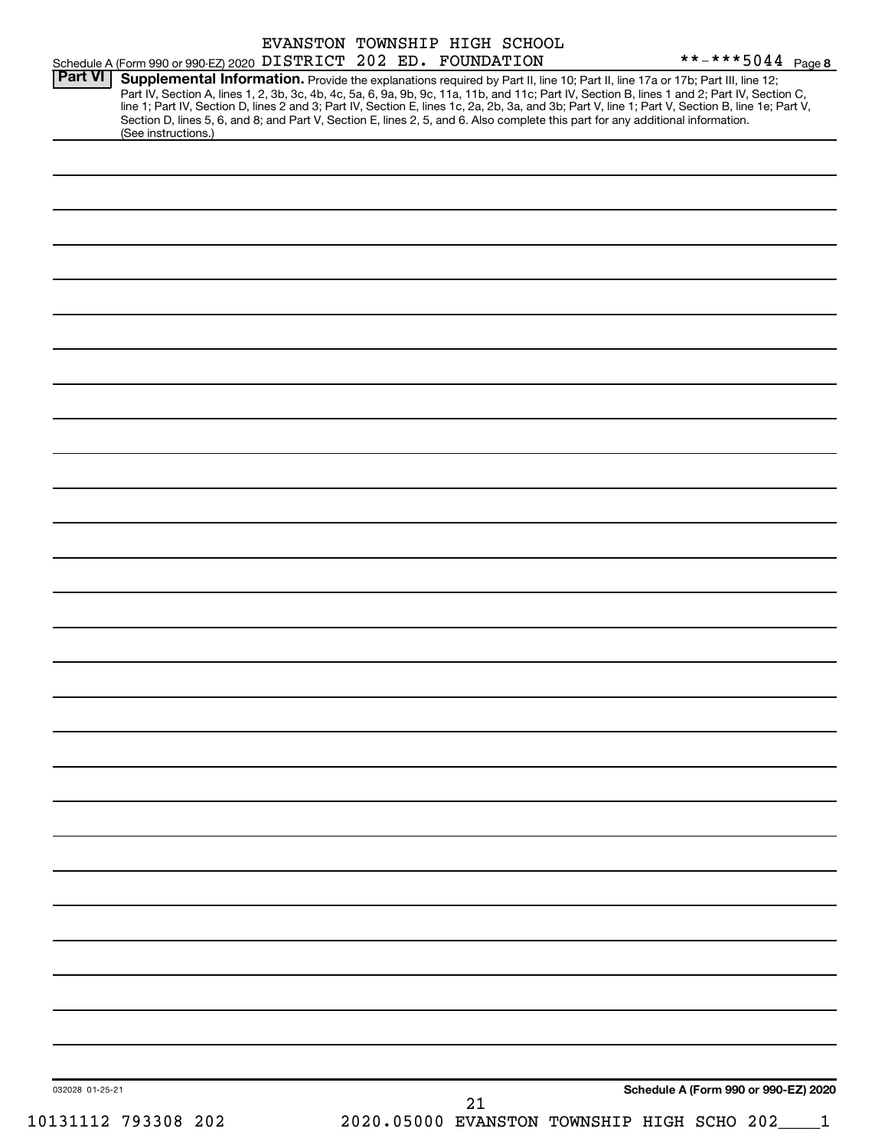|                 | Schedule A (Form 990 or 990-EZ) 2020 DISTRICT 202 ED. FOUNDATION                                                                                       | EVANSTON TOWNSHIP HIGH SCHOOL |  |    |  | **-***5044 $_{\text{Page 8}}$                                                                                                                                                                                                                                                                                                                                                                                                     |
|-----------------|--------------------------------------------------------------------------------------------------------------------------------------------------------|-------------------------------|--|----|--|-----------------------------------------------------------------------------------------------------------------------------------------------------------------------------------------------------------------------------------------------------------------------------------------------------------------------------------------------------------------------------------------------------------------------------------|
| Part VI         | Section D, lines 5, 6, and 8; and Part V, Section E, lines 2, 5, and 6. Also complete this part for any additional information.<br>(See instructions.) |                               |  |    |  | Supplemental Information. Provide the explanations required by Part II, line 10; Part II, line 17a or 17b; Part III, line 12;<br>Part IV, Section A, lines 1, 2, 3b, 3c, 4b, 4c, 5a, 6, 9a, 9b, 9c, 11a, 11b, and 11c; Part IV, Section B, lines 1 and 2; Part IV, Section C,<br>line 1; Part IV, Section D, lines 2 and 3; Part IV, Section E, lines 1c, 2a, 2b, 3a, and 3b; Part V, line 1; Part V, Section B, line 1e; Part V, |
|                 |                                                                                                                                                        |                               |  |    |  |                                                                                                                                                                                                                                                                                                                                                                                                                                   |
|                 |                                                                                                                                                        |                               |  |    |  |                                                                                                                                                                                                                                                                                                                                                                                                                                   |
|                 |                                                                                                                                                        |                               |  |    |  |                                                                                                                                                                                                                                                                                                                                                                                                                                   |
|                 |                                                                                                                                                        |                               |  |    |  |                                                                                                                                                                                                                                                                                                                                                                                                                                   |
|                 |                                                                                                                                                        |                               |  |    |  |                                                                                                                                                                                                                                                                                                                                                                                                                                   |
|                 |                                                                                                                                                        |                               |  |    |  |                                                                                                                                                                                                                                                                                                                                                                                                                                   |
|                 |                                                                                                                                                        |                               |  |    |  |                                                                                                                                                                                                                                                                                                                                                                                                                                   |
|                 |                                                                                                                                                        |                               |  |    |  |                                                                                                                                                                                                                                                                                                                                                                                                                                   |
|                 |                                                                                                                                                        |                               |  |    |  |                                                                                                                                                                                                                                                                                                                                                                                                                                   |
|                 |                                                                                                                                                        |                               |  |    |  |                                                                                                                                                                                                                                                                                                                                                                                                                                   |
|                 |                                                                                                                                                        |                               |  |    |  |                                                                                                                                                                                                                                                                                                                                                                                                                                   |
|                 |                                                                                                                                                        |                               |  |    |  |                                                                                                                                                                                                                                                                                                                                                                                                                                   |
|                 |                                                                                                                                                        |                               |  |    |  |                                                                                                                                                                                                                                                                                                                                                                                                                                   |
|                 |                                                                                                                                                        |                               |  |    |  |                                                                                                                                                                                                                                                                                                                                                                                                                                   |
|                 |                                                                                                                                                        |                               |  |    |  |                                                                                                                                                                                                                                                                                                                                                                                                                                   |
|                 |                                                                                                                                                        |                               |  |    |  |                                                                                                                                                                                                                                                                                                                                                                                                                                   |
|                 |                                                                                                                                                        |                               |  |    |  |                                                                                                                                                                                                                                                                                                                                                                                                                                   |
|                 |                                                                                                                                                        |                               |  |    |  |                                                                                                                                                                                                                                                                                                                                                                                                                                   |
|                 |                                                                                                                                                        |                               |  |    |  |                                                                                                                                                                                                                                                                                                                                                                                                                                   |
|                 |                                                                                                                                                        |                               |  |    |  |                                                                                                                                                                                                                                                                                                                                                                                                                                   |
|                 |                                                                                                                                                        |                               |  |    |  |                                                                                                                                                                                                                                                                                                                                                                                                                                   |
|                 |                                                                                                                                                        |                               |  |    |  |                                                                                                                                                                                                                                                                                                                                                                                                                                   |
|                 |                                                                                                                                                        |                               |  |    |  |                                                                                                                                                                                                                                                                                                                                                                                                                                   |
|                 |                                                                                                                                                        |                               |  |    |  |                                                                                                                                                                                                                                                                                                                                                                                                                                   |
|                 |                                                                                                                                                        |                               |  |    |  |                                                                                                                                                                                                                                                                                                                                                                                                                                   |
|                 |                                                                                                                                                        |                               |  |    |  | Schedule A (Form 990 or 990-EZ) 2020                                                                                                                                                                                                                                                                                                                                                                                              |
| 032028 01-25-21 | 10131112 793308 202                                                                                                                                    |                               |  | 21 |  | 2020.05000 EVANSTON TOWNSHIP HIGH SCHO 202                                                                                                                                                                                                                                                                                                                                                                                        |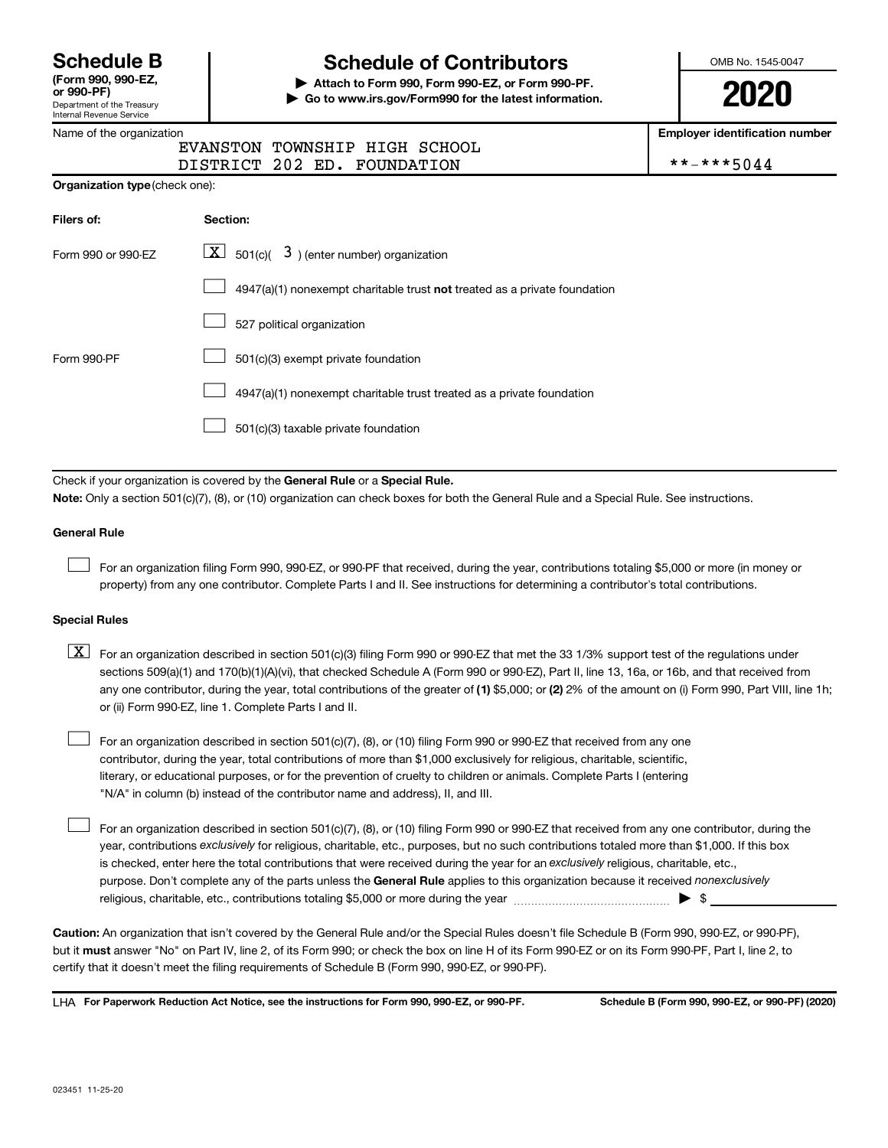Department of the Treasury Internal Revenue Service **(Form 990, 990-EZ,**

Name of the organization

# **Schedule B Schedule of Contributors**

**or 990-PF) | Attach to Form 990, Form 990-EZ, or Form 990-PF. | Go to www.irs.gov/Form990 for the latest information.** OMB No. 1545-0047

**2020**

**Employer identification number**

|  | **-***5044 |  |  |  |  |
|--|------------|--|--|--|--|
|  |            |  |  |  |  |

| EVANSTON TOWNSHIP HIGH SCHOOL |  |  |
|-------------------------------|--|--|
| DISTRICT 202 ED. FOUNDATION   |  |  |

| <b>Organization type (check one):</b> |                                                                             |  |  |  |  |  |  |
|---------------------------------------|-----------------------------------------------------------------------------|--|--|--|--|--|--|
| Filers of:                            | Section:                                                                    |  |  |  |  |  |  |
| Form 990 or 990-EZ                    | $\lfloor x \rfloor$ 501(c)( 3) (enter number) organization                  |  |  |  |  |  |  |
|                                       | $4947(a)(1)$ nonexempt charitable trust not treated as a private foundation |  |  |  |  |  |  |
|                                       | 527 political organization                                                  |  |  |  |  |  |  |
| Form 990-PF                           | 501(c)(3) exempt private foundation                                         |  |  |  |  |  |  |
|                                       | 4947(a)(1) nonexempt charitable trust treated as a private foundation       |  |  |  |  |  |  |
|                                       | 501(c)(3) taxable private foundation                                        |  |  |  |  |  |  |

Check if your organization is covered by the General Rule or a Special Rule.

**Note:**  Only a section 501(c)(7), (8), or (10) organization can check boxes for both the General Rule and a Special Rule. See instructions.

#### **General Rule**

 $\Box$ 

 $\Box$ 

For an organization filing Form 990, 990-EZ, or 990-PF that received, during the year, contributions totaling \$5,000 or more (in money or property) from any one contributor. Complete Parts I and II. See instructions for determining a contributor's total contributions.

#### **Special Rules**

- any one contributor, during the year, total contributions of the greater of (1) \$5,000; or (2) 2% of the amount on (i) Form 990, Part VIII, line 1h;  $\boxed{\text{X}}$  For an organization described in section 501(c)(3) filing Form 990 or 990-EZ that met the 33 1/3% support test of the regulations under sections 509(a)(1) and 170(b)(1)(A)(vi), that checked Schedule A (Form 990 or 990-EZ), Part II, line 13, 16a, or 16b, and that received from or (ii) Form 990-EZ, line 1. Complete Parts I and II.
- For an organization described in section 501(c)(7), (8), or (10) filing Form 990 or 990-EZ that received from any one contributor, during the year, total contributions of more than \$1,000 exclusively for religious, charitable, scientific, literary, or educational purposes, or for the prevention of cruelty to children or animals. Complete Parts I (entering "N/A" in column (b) instead of the contributor name and address), II, and III.  $\Box$

purpose. Don't complete any of the parts unless the General Rule applies to this organization because it received nonexclusively year, contributions exclusively for religious, charitable, etc., purposes, but no such contributions totaled more than \$1,000. If this box is checked, enter here the total contributions that were received during the year for an exclusively religious, charitable, etc., For an organization described in section 501(c)(7), (8), or (10) filing Form 990 or 990-EZ that received from any one contributor, during the religious, charitable, etc., contributions totaling \$5,000 or more during the year  $~\ldots\ldots\ldots\ldots\ldots\ldots\ldots\ldots\blacktriangleright~$ \$

**Caution:**  An organization that isn't covered by the General Rule and/or the Special Rules doesn't file Schedule B (Form 990, 990-EZ, or 990-PF),  **must** but it answer "No" on Part IV, line 2, of its Form 990; or check the box on line H of its Form 990-EZ or on its Form 990-PF, Part I, line 2, to certify that it doesn't meet the filing requirements of Schedule B (Form 990, 990-EZ, or 990-PF).

**For Paperwork Reduction Act Notice, see the instructions for Form 990, 990-EZ, or 990-PF. Schedule B (Form 990, 990-EZ, or 990-PF) (2020)** LHA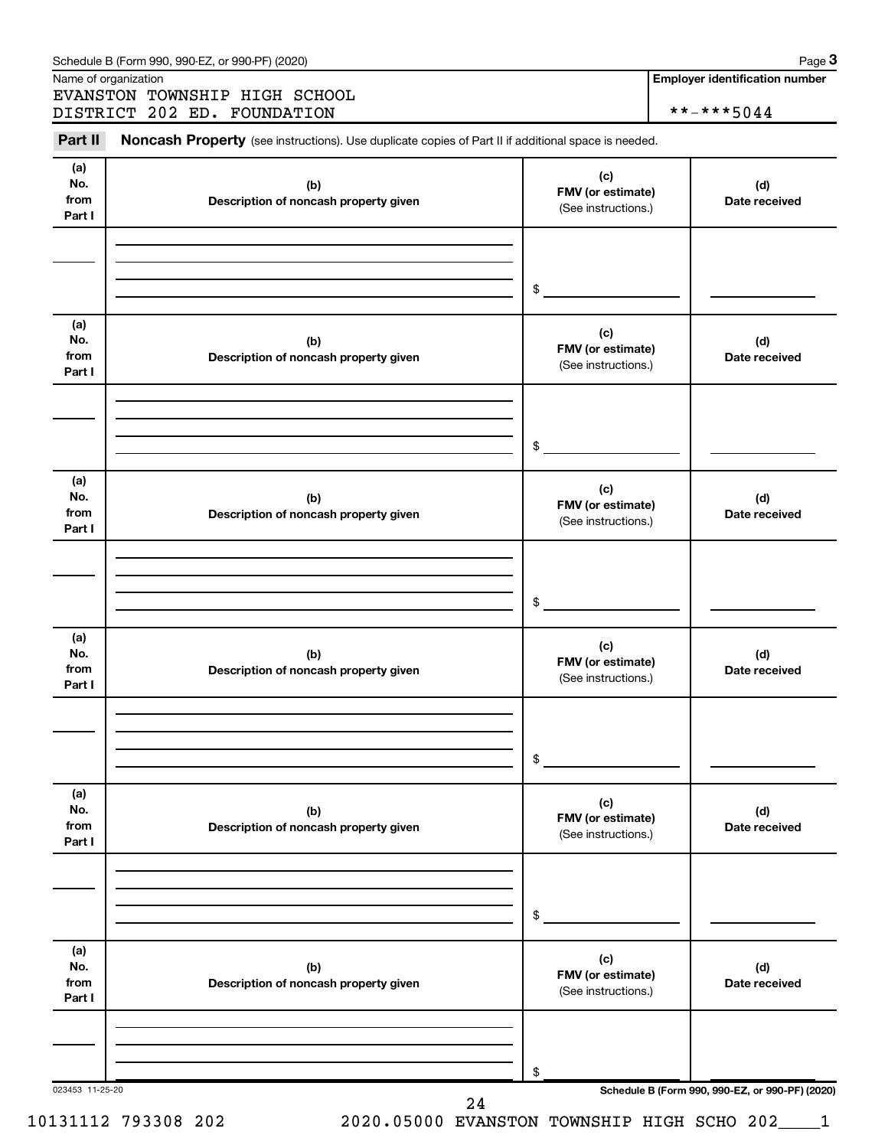|                              | Name of organization<br>EVANSTON TOWNSHIP HIGH SCHOOL                                               |                                                 | <b>Employer identification number</b> |
|------------------------------|-----------------------------------------------------------------------------------------------------|-------------------------------------------------|---------------------------------------|
|                              | DISTRICT 202 ED. FOUNDATION                                                                         |                                                 | **-***5044                            |
| Part II                      | Noncash Property (see instructions). Use duplicate copies of Part II if additional space is needed. |                                                 |                                       |
| (a)<br>No.<br>from<br>Part I | (b)<br>Description of noncash property given                                                        | (c)<br>FMV (or estimate)<br>(See instructions.) | (d)<br>Date received                  |
|                              |                                                                                                     | $\mathfrak{S}$                                  |                                       |
|                              |                                                                                                     |                                                 |                                       |
| (a)<br>No.<br>from<br>Part I | (b)<br>Description of noncash property given                                                        | (c)<br>FMV (or estimate)<br>(See instructions.) | (d)<br>Date received                  |
|                              |                                                                                                     |                                                 |                                       |
|                              |                                                                                                     |                                                 |                                       |
|                              |                                                                                                     | \$                                              |                                       |
| (a)<br>No.<br>from<br>Part I | (b)<br>Description of noncash property given                                                        | (c)<br>FMV (or estimate)<br>(See instructions.) | (d)<br>Date received                  |
|                              |                                                                                                     |                                                 |                                       |
|                              |                                                                                                     |                                                 |                                       |
|                              |                                                                                                     | $\$\$                                           |                                       |
| (a)<br>No.<br>from<br>Part I | (b)<br>Description of noncash property given                                                        | (c)<br>FMV (or estimate)<br>(See instructions.) | (d)<br>Date received                  |
|                              |                                                                                                     |                                                 |                                       |
|                              |                                                                                                     |                                                 |                                       |
|                              |                                                                                                     | \$                                              |                                       |
| (a)<br>No.<br>from<br>Part I | (b)<br>Description of noncash property given                                                        | (c)<br>FMV (or estimate)<br>(See instructions.) | (d)<br>Date received                  |
|                              |                                                                                                     |                                                 |                                       |
|                              |                                                                                                     |                                                 |                                       |
|                              |                                                                                                     | \$                                              |                                       |
| (a)<br>No.<br>from<br>Part I | (b)<br>Description of noncash property given                                                        | (c)<br>FMV (or estimate)<br>(See instructions.) | (d)<br>Date received                  |
|                              |                                                                                                     |                                                 |                                       |
|                              |                                                                                                     |                                                 |                                       |
|                              |                                                                                                     |                                                 |                                       |

**3**

10131112 793308 202 2020.05000 EVANSTON TOWNSHIP HIGH SCHO 202\_\_\_\_1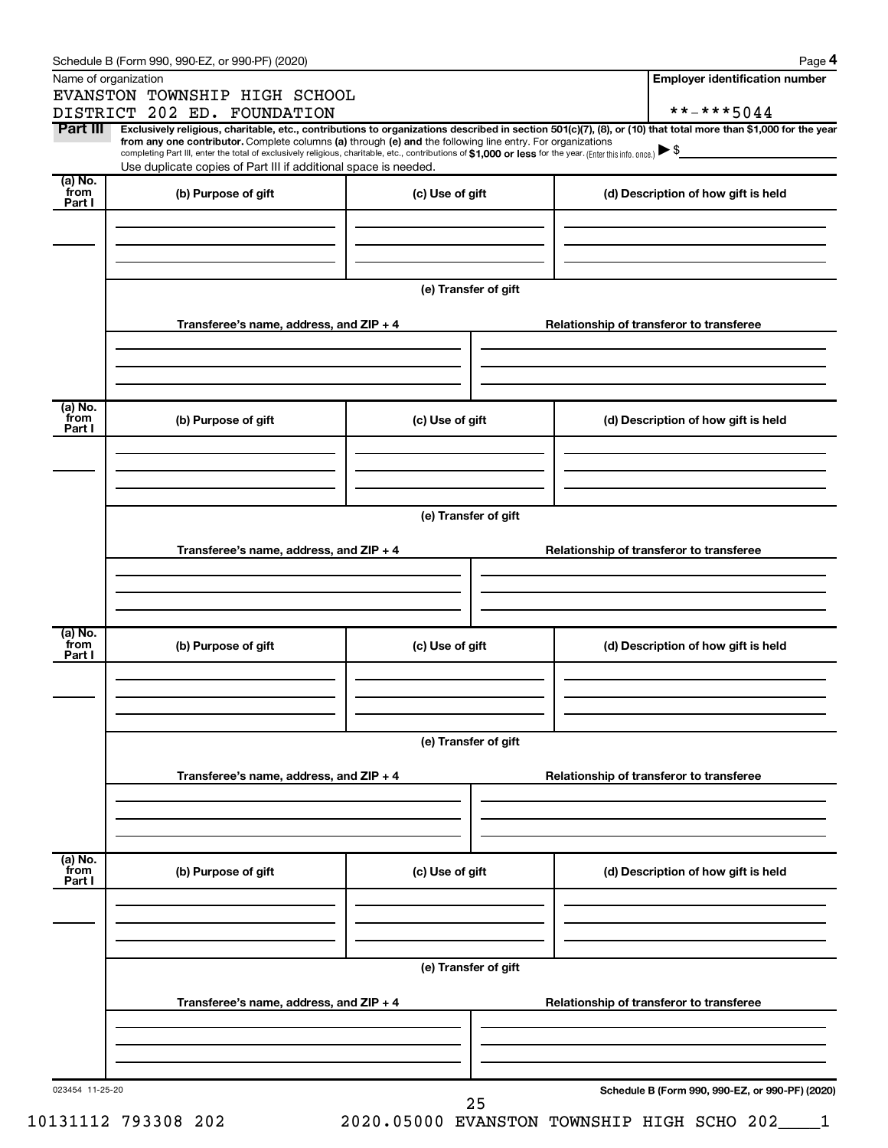|                 | Schedule B (Form 990, 990-EZ, or 990-PF) (2020)                                                                                                                                                                             |                                          | Page 4                                          |
|-----------------|-----------------------------------------------------------------------------------------------------------------------------------------------------------------------------------------------------------------------------|------------------------------------------|-------------------------------------------------|
|                 | Name of organization                                                                                                                                                                                                        |                                          | <b>Employer identification number</b>           |
|                 | EVANSTON TOWNSHIP HIGH SCHOOL                                                                                                                                                                                               |                                          |                                                 |
| Part III        | DISTRICT 202 ED. FOUNDATION<br>Exclusively religious, charitable, etc., contributions to organizations described in section 501(c)(7), (8), or (10) that total more than \$1,000 for the year                               |                                          | **-***5044                                      |
|                 | from any one contributor. Complete columns (a) through (e) and the following line entry. For organizations                                                                                                                  |                                          |                                                 |
|                 | completing Part III, enter the total of exclusively religious, charitable, etc., contributions of \$1,000 or less for the year. (Enter this info. once.)<br>Use duplicate copies of Part III if additional space is needed. |                                          |                                                 |
| (a) No.         |                                                                                                                                                                                                                             |                                          |                                                 |
| from<br>Part I  | (b) Purpose of gift                                                                                                                                                                                                         | (c) Use of gift                          | (d) Description of how gift is held             |
|                 |                                                                                                                                                                                                                             |                                          |                                                 |
|                 |                                                                                                                                                                                                                             |                                          |                                                 |
|                 |                                                                                                                                                                                                                             |                                          |                                                 |
|                 |                                                                                                                                                                                                                             | (e) Transfer of gift                     |                                                 |
|                 |                                                                                                                                                                                                                             |                                          |                                                 |
|                 | Transferee's name, address, and ZIP + 4                                                                                                                                                                                     |                                          | Relationship of transferor to transferee        |
|                 |                                                                                                                                                                                                                             |                                          |                                                 |
|                 |                                                                                                                                                                                                                             |                                          |                                                 |
|                 |                                                                                                                                                                                                                             |                                          |                                                 |
| (a) No.         |                                                                                                                                                                                                                             |                                          |                                                 |
| from<br>Part I  | (b) Purpose of gift                                                                                                                                                                                                         | (c) Use of gift                          | (d) Description of how gift is held             |
|                 |                                                                                                                                                                                                                             |                                          |                                                 |
|                 |                                                                                                                                                                                                                             |                                          |                                                 |
|                 |                                                                                                                                                                                                                             |                                          |                                                 |
|                 |                                                                                                                                                                                                                             | (e) Transfer of gift                     |                                                 |
|                 |                                                                                                                                                                                                                             |                                          |                                                 |
|                 | Transferee's name, address, and ZIP + 4                                                                                                                                                                                     | Relationship of transferor to transferee |                                                 |
|                 |                                                                                                                                                                                                                             |                                          |                                                 |
|                 |                                                                                                                                                                                                                             |                                          |                                                 |
|                 |                                                                                                                                                                                                                             |                                          |                                                 |
| (a) No.<br>from |                                                                                                                                                                                                                             |                                          |                                                 |
| Part I          | (b) Purpose of gift                                                                                                                                                                                                         | (c) Use of gift                          | (d) Description of how gift is held             |
|                 |                                                                                                                                                                                                                             |                                          |                                                 |
|                 |                                                                                                                                                                                                                             |                                          |                                                 |
|                 |                                                                                                                                                                                                                             |                                          |                                                 |
|                 |                                                                                                                                                                                                                             | (e) Transfer of gift                     |                                                 |
|                 |                                                                                                                                                                                                                             |                                          |                                                 |
|                 | Transferee's name, address, and ZIP + 4                                                                                                                                                                                     |                                          | Relationship of transferor to transferee        |
|                 |                                                                                                                                                                                                                             |                                          |                                                 |
|                 |                                                                                                                                                                                                                             |                                          |                                                 |
|                 |                                                                                                                                                                                                                             |                                          |                                                 |
| (a) No.<br>from | (b) Purpose of gift                                                                                                                                                                                                         | (c) Use of gift                          | (d) Description of how gift is held             |
| Part I          |                                                                                                                                                                                                                             |                                          |                                                 |
|                 |                                                                                                                                                                                                                             |                                          |                                                 |
|                 |                                                                                                                                                                                                                             |                                          |                                                 |
|                 |                                                                                                                                                                                                                             |                                          |                                                 |
|                 |                                                                                                                                                                                                                             | (e) Transfer of gift                     |                                                 |
|                 |                                                                                                                                                                                                                             |                                          |                                                 |
|                 | Transferee's name, address, and ZIP + 4                                                                                                                                                                                     |                                          | Relationship of transferor to transferee        |
|                 |                                                                                                                                                                                                                             |                                          |                                                 |
|                 |                                                                                                                                                                                                                             |                                          |                                                 |
|                 |                                                                                                                                                                                                                             |                                          |                                                 |
| 023454 11-25-20 |                                                                                                                                                                                                                             | 25                                       | Schedule B (Form 990, 990-EZ, or 990-PF) (2020) |
|                 |                                                                                                                                                                                                                             |                                          |                                                 |

10131112 793308 202 2020.05000 EVANSTON TOWNSHIP HIGH SCHO 202\_\_\_\_1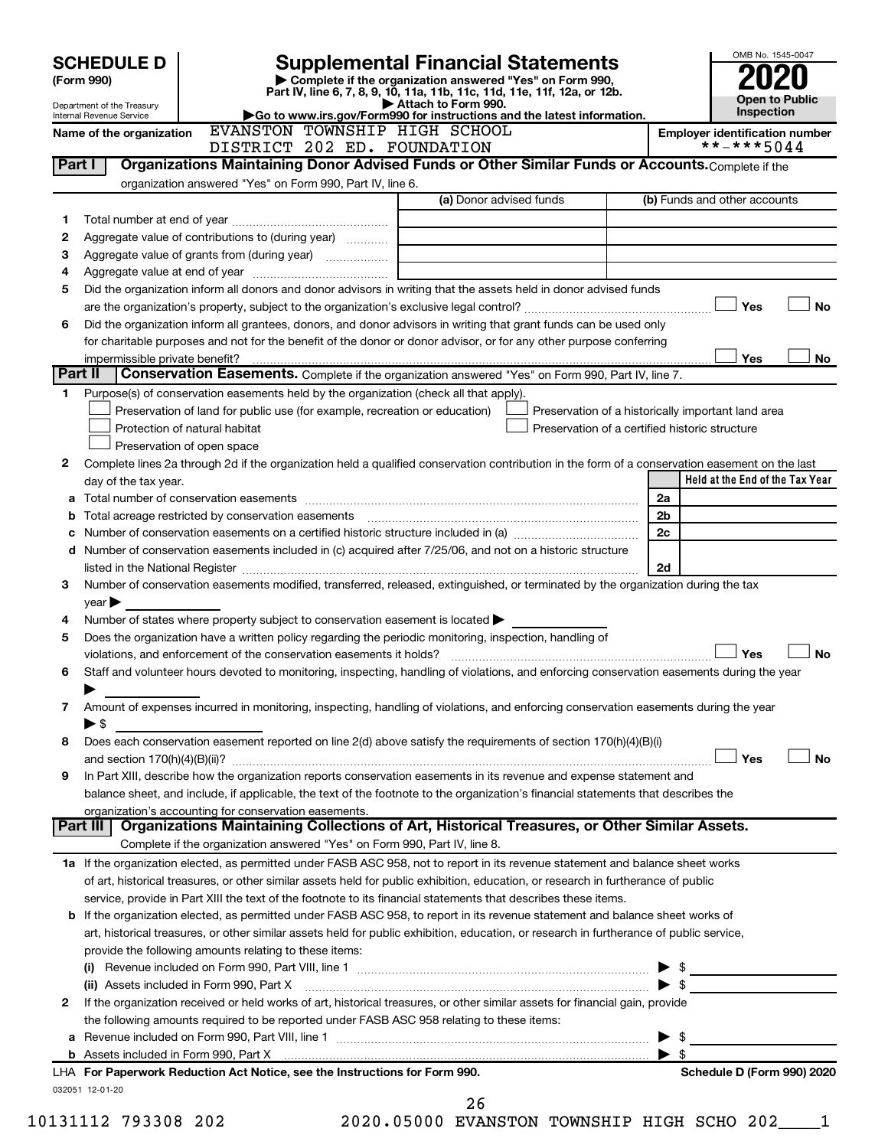|         | <b>SCHEDULE D</b>                                                                                  |                                                                                                   |  | Supplemental Financial Statements                                                                                                                                                                                                                        |                                                                                                      |                                       |                              | OMB No. 1545-0047               |                |           |
|---------|----------------------------------------------------------------------------------------------------|---------------------------------------------------------------------------------------------------|--|----------------------------------------------------------------------------------------------------------------------------------------------------------------------------------------------------------------------------------------------------------|------------------------------------------------------------------------------------------------------|---------------------------------------|------------------------------|---------------------------------|----------------|-----------|
|         | (Form 990)                                                                                         |                                                                                                   |  | Complete if the organization answered "Yes" on Form 990,                                                                                                                                                                                                 |                                                                                                      |                                       |                              |                                 |                |           |
|         | Department of the Treasury                                                                         |                                                                                                   |  | Part IV, line 6, 7, 8, 9, 10, 11a, 11b, 11c, 11d, 11e, 11f, 12a, or 12b.<br>Attach to Form 990.                                                                                                                                                          |                                                                                                      |                                       |                              |                                 | Open to Public |           |
|         | Go to www.irs.gov/Form990 for instructions and the latest information.<br>Internal Revenue Service |                                                                                                   |  |                                                                                                                                                                                                                                                          |                                                                                                      |                                       | <b>Inspection</b>            |                                 |                |           |
|         | EVANSTON TOWNSHIP HIGH SCHOOL<br>Name of the organization<br>DISTRICT 202 ED. FOUNDATION           |                                                                                                   |  |                                                                                                                                                                                                                                                          |                                                                                                      | <b>Employer identification number</b> | **-***5044                   |                                 |                |           |
| Part I  |                                                                                                    |                                                                                                   |  | Organizations Maintaining Donor Advised Funds or Other Similar Funds or Accounts. Complete if the                                                                                                                                                        |                                                                                                      |                                       |                              |                                 |                |           |
|         |                                                                                                    | organization answered "Yes" on Form 990, Part IV, line 6.                                         |  |                                                                                                                                                                                                                                                          |                                                                                                      |                                       |                              |                                 |                |           |
|         |                                                                                                    |                                                                                                   |  | (a) Donor advised funds                                                                                                                                                                                                                                  |                                                                                                      |                                       | (b) Funds and other accounts |                                 |                |           |
| 1       |                                                                                                    |                                                                                                   |  |                                                                                                                                                                                                                                                          |                                                                                                      |                                       |                              |                                 |                |           |
| 2       |                                                                                                    | Aggregate value of contributions to (during year)                                                 |  |                                                                                                                                                                                                                                                          |                                                                                                      |                                       |                              |                                 |                |           |
| з       |                                                                                                    |                                                                                                   |  |                                                                                                                                                                                                                                                          |                                                                                                      |                                       |                              |                                 |                |           |
| 4       |                                                                                                    |                                                                                                   |  |                                                                                                                                                                                                                                                          |                                                                                                      |                                       |                              |                                 |                |           |
| 5       |                                                                                                    |                                                                                                   |  | Did the organization inform all donors and donor advisors in writing that the assets held in donor advised funds                                                                                                                                         |                                                                                                      |                                       |                              |                                 |                |           |
|         |                                                                                                    |                                                                                                   |  |                                                                                                                                                                                                                                                          |                                                                                                      |                                       |                              | Yes                             |                | No        |
| 6       |                                                                                                    |                                                                                                   |  | Did the organization inform all grantees, donors, and donor advisors in writing that grant funds can be used only                                                                                                                                        |                                                                                                      |                                       |                              |                                 |                |           |
|         |                                                                                                    |                                                                                                   |  | for charitable purposes and not for the benefit of the donor or donor advisor, or for any other purpose conferring                                                                                                                                       |                                                                                                      |                                       |                              |                                 |                |           |
|         | impermissible private benefit?                                                                     |                                                                                                   |  |                                                                                                                                                                                                                                                          |                                                                                                      |                                       |                              | Yes                             |                | No.       |
| Part II |                                                                                                    |                                                                                                   |  | Conservation Easements. Complete if the organization answered "Yes" on Form 990, Part IV, line 7.                                                                                                                                                        |                                                                                                      |                                       |                              |                                 |                |           |
| 1.      |                                                                                                    |                                                                                                   |  | Purpose(s) of conservation easements held by the organization (check all that apply).                                                                                                                                                                    |                                                                                                      |                                       |                              |                                 |                |           |
|         |                                                                                                    | Preservation of land for public use (for example, recreation or education)                        |  |                                                                                                                                                                                                                                                          | Preservation of a historically important land area<br>Preservation of a certified historic structure |                                       |                              |                                 |                |           |
|         |                                                                                                    | Protection of natural habitat<br>Preservation of open space                                       |  |                                                                                                                                                                                                                                                          |                                                                                                      |                                       |                              |                                 |                |           |
| 2       |                                                                                                    |                                                                                                   |  | Complete lines 2a through 2d if the organization held a qualified conservation contribution in the form of a conservation easement on the last                                                                                                           |                                                                                                      |                                       |                              |                                 |                |           |
|         | day of the tax year.                                                                               |                                                                                                   |  |                                                                                                                                                                                                                                                          |                                                                                                      |                                       |                              | Held at the End of the Tax Year |                |           |
| а       |                                                                                                    |                                                                                                   |  |                                                                                                                                                                                                                                                          |                                                                                                      |                                       | 2a                           |                                 |                |           |
|         |                                                                                                    |                                                                                                   |  | Total acreage restricted by conservation easements [11] matter contracts and acreage restricted by conservation easements [11] matter contracts and acreage restricted by conservation easements [11] matter contracts and acr                           |                                                                                                      |                                       | 2 <sub>b</sub>               |                                 |                |           |
|         |                                                                                                    |                                                                                                   |  | Number of conservation easements on a certified historic structure included in (a) manufacture included in (a)                                                                                                                                           |                                                                                                      |                                       | 2c                           |                                 |                |           |
| d       |                                                                                                    |                                                                                                   |  | Number of conservation easements included in (c) acquired after 7/25/06, and not on a historic structure                                                                                                                                                 |                                                                                                      |                                       |                              |                                 |                |           |
|         |                                                                                                    |                                                                                                   |  | listed in the National Register [111] Marshall Register [11] Marshall Register [11] Marshall Register [11] Marshall Register [11] Marshall Register [11] Marshall Register [11] Marshall Register [11] Marshall Register [11]                            |                                                                                                      |                                       | 2d                           |                                 |                |           |
| З       |                                                                                                    |                                                                                                   |  | Number of conservation easements modified, transferred, released, extinguished, or terminated by the organization during the tax                                                                                                                         |                                                                                                      |                                       |                              |                                 |                |           |
|         | $\vee$ ear $\blacktriangleright$                                                                   |                                                                                                   |  |                                                                                                                                                                                                                                                          |                                                                                                      |                                       |                              |                                 |                |           |
| 4       |                                                                                                    | Number of states where property subject to conservation easement is located $\blacktriangleright$ |  |                                                                                                                                                                                                                                                          |                                                                                                      |                                       |                              |                                 |                |           |
| 5       |                                                                                                    |                                                                                                   |  | Does the organization have a written policy regarding the periodic monitoring, inspection, handling of                                                                                                                                                   |                                                                                                      |                                       |                              |                                 |                |           |
|         |                                                                                                    | violations, and enforcement of the conservation easements it holds?                               |  |                                                                                                                                                                                                                                                          |                                                                                                      |                                       |                              | Yes                             |                | No        |
| 6       |                                                                                                    |                                                                                                   |  | Staff and volunteer hours devoted to monitoring, inspecting, handling of violations, and enforcing conservation easements during the year                                                                                                                |                                                                                                      |                                       |                              |                                 |                |           |
|         |                                                                                                    |                                                                                                   |  |                                                                                                                                                                                                                                                          |                                                                                                      |                                       |                              |                                 |                |           |
| 7       |                                                                                                    |                                                                                                   |  | Amount of expenses incurred in monitoring, inspecting, handling of violations, and enforcing conservation easements during the year                                                                                                                      |                                                                                                      |                                       |                              |                                 |                |           |
|         | $\blacktriangleright$ \$                                                                           |                                                                                                   |  |                                                                                                                                                                                                                                                          |                                                                                                      |                                       |                              |                                 |                |           |
| 8       |                                                                                                    |                                                                                                   |  | Does each conservation easement reported on line 2(d) above satisfy the requirements of section 170(h)(4)(B)(i)                                                                                                                                          |                                                                                                      |                                       |                              |                                 |                |           |
|         |                                                                                                    |                                                                                                   |  |                                                                                                                                                                                                                                                          |                                                                                                      |                                       |                              | Yes                             |                | <b>No</b> |
| 9       |                                                                                                    |                                                                                                   |  | In Part XIII, describe how the organization reports conservation easements in its revenue and expense statement and<br>balance sheet, and include, if applicable, the text of the footnote to the organization's financial statements that describes the |                                                                                                      |                                       |                              |                                 |                |           |
|         |                                                                                                    | organization's accounting for conservation easements.                                             |  |                                                                                                                                                                                                                                                          |                                                                                                      |                                       |                              |                                 |                |           |
|         | <b>Part III</b>                                                                                    |                                                                                                   |  | Organizations Maintaining Collections of Art, Historical Treasures, or Other Similar Assets.                                                                                                                                                             |                                                                                                      |                                       |                              |                                 |                |           |
|         |                                                                                                    | Complete if the organization answered "Yes" on Form 990, Part IV, line 8.                         |  |                                                                                                                                                                                                                                                          |                                                                                                      |                                       |                              |                                 |                |           |
|         |                                                                                                    |                                                                                                   |  | 1a If the organization elected, as permitted under FASB ASC 958, not to report in its revenue statement and balance sheet works                                                                                                                          |                                                                                                      |                                       |                              |                                 |                |           |
|         |                                                                                                    |                                                                                                   |  | of art, historical treasures, or other similar assets held for public exhibition, education, or research in furtherance of public                                                                                                                        |                                                                                                      |                                       |                              |                                 |                |           |
|         |                                                                                                    |                                                                                                   |  | service, provide in Part XIII the text of the footnote to its financial statements that describes these items.                                                                                                                                           |                                                                                                      |                                       |                              |                                 |                |           |
|         |                                                                                                    |                                                                                                   |  | <b>b</b> If the organization elected, as permitted under FASB ASC 958, to report in its revenue statement and balance sheet works of                                                                                                                     |                                                                                                      |                                       |                              |                                 |                |           |
|         |                                                                                                    |                                                                                                   |  | art, historical treasures, or other similar assets held for public exhibition, education, or research in furtherance of public service,                                                                                                                  |                                                                                                      |                                       |                              |                                 |                |           |
|         | provide the following amounts relating to these items:                                             |                                                                                                   |  |                                                                                                                                                                                                                                                          |                                                                                                      |                                       |                              |                                 |                |           |
|         |                                                                                                    |                                                                                                   |  |                                                                                                                                                                                                                                                          |                                                                                                      |                                       |                              |                                 |                |           |
|         |                                                                                                    | (ii) Assets included in Form 990, Part X                                                          |  |                                                                                                                                                                                                                                                          |                                                                                                      |                                       |                              |                                 |                |           |
| 2       |                                                                                                    |                                                                                                   |  | If the organization received or held works of art, historical treasures, or other similar assets for financial gain, provide                                                                                                                             |                                                                                                      |                                       |                              |                                 |                |           |
|         | the following amounts required to be reported under FASB ASC 958 relating to these items:          |                                                                                                   |  |                                                                                                                                                                                                                                                          |                                                                                                      |                                       |                              |                                 |                |           |
| а       |                                                                                                    |                                                                                                   |  |                                                                                                                                                                                                                                                          |                                                                                                      |                                       | \$<br>▶                      |                                 |                |           |
|         |                                                                                                    |                                                                                                   |  |                                                                                                                                                                                                                                                          |                                                                                                      |                                       | $\blacktriangleright$ s      |                                 |                |           |
|         |                                                                                                    | LHA For Paperwork Reduction Act Notice, see the Instructions for Form 990.                        |  |                                                                                                                                                                                                                                                          |                                                                                                      |                                       |                              | Schedule D (Form 990) 2020      |                |           |
|         | 032051 12-01-20                                                                                    |                                                                                                   |  | 26                                                                                                                                                                                                                                                       |                                                                                                      |                                       |                              |                                 |                |           |
|         |                                                                                                    |                                                                                                   |  |                                                                                                                                                                                                                                                          |                                                                                                      |                                       |                              |                                 |                |           |

10131112 793308 202 2020.05000 EVANSTON TOWNSHIP HIGH SCHO 202\_\_\_\_1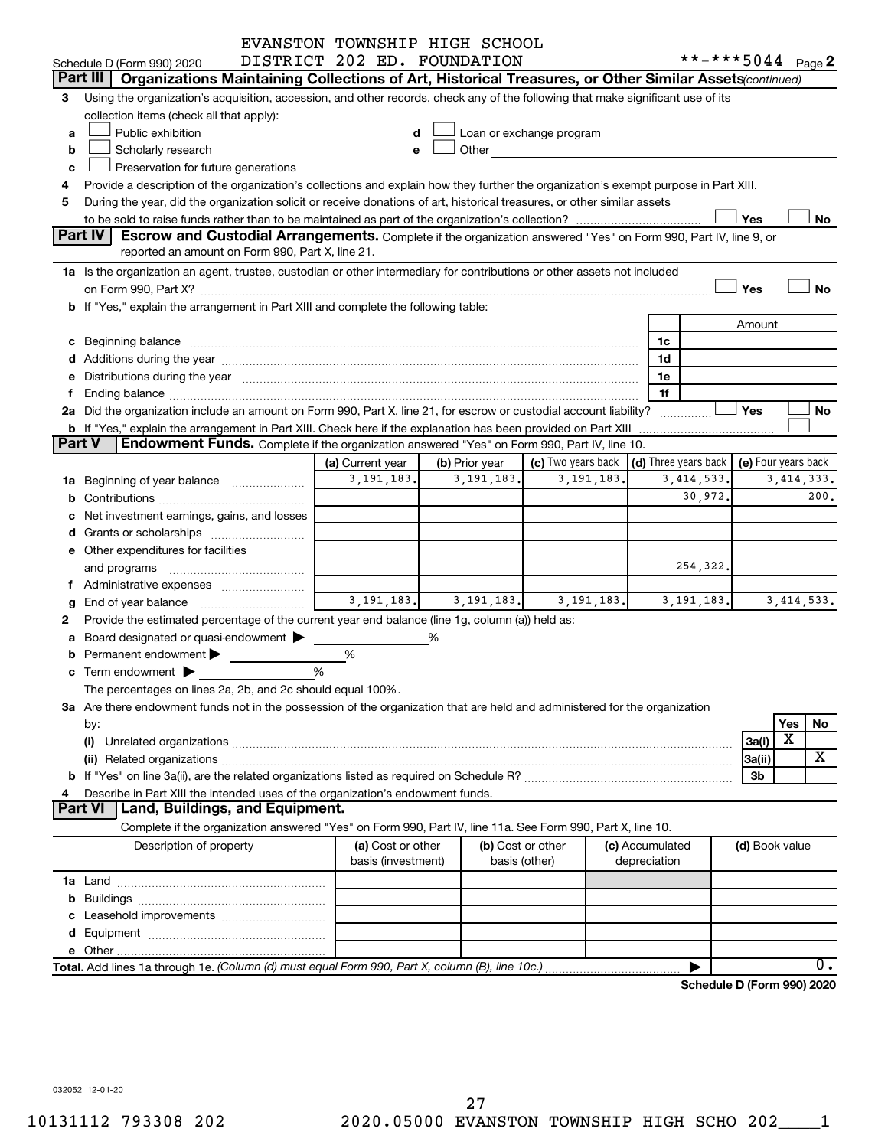|          |                                                                                                                                                                                                                                | EVANSTON TOWNSHIP HIGH SCHOOL |   |                   |                                                                                                                                                                                                                               |                 |              |                                            |                         |              |
|----------|--------------------------------------------------------------------------------------------------------------------------------------------------------------------------------------------------------------------------------|-------------------------------|---|-------------------|-------------------------------------------------------------------------------------------------------------------------------------------------------------------------------------------------------------------------------|-----------------|--------------|--------------------------------------------|-------------------------|--------------|
|          | Schedule D (Form 990) 2020                                                                                                                                                                                                     | DISTRICT 202 ED. FOUNDATION   |   |                   |                                                                                                                                                                                                                               |                 |              | **-***5044 Page 2                          |                         |              |
| Part III | Organizations Maintaining Collections of Art, Historical Treasures, or Other Similar Assets (continued)                                                                                                                        |                               |   |                   |                                                                                                                                                                                                                               |                 |              |                                            |                         |              |
| 3        | Using the organization's acquisition, accession, and other records, check any of the following that make significant use of its                                                                                                |                               |   |                   |                                                                                                                                                                                                                               |                 |              |                                            |                         |              |
|          | collection items (check all that apply):                                                                                                                                                                                       |                               |   |                   |                                                                                                                                                                                                                               |                 |              |                                            |                         |              |
| a        | Public exhibition                                                                                                                                                                                                              | d                             |   |                   | Loan or exchange program                                                                                                                                                                                                      |                 |              |                                            |                         |              |
| b        | Scholarly research                                                                                                                                                                                                             | е                             |   |                   | Other and the contract of the contract of the contract of the contract of the contract of the contract of the contract of the contract of the contract of the contract of the contract of the contract of the contract of the |                 |              |                                            |                         |              |
| c        | Preservation for future generations                                                                                                                                                                                            |                               |   |                   |                                                                                                                                                                                                                               |                 |              |                                            |                         |              |
| 4        | Provide a description of the organization's collections and explain how they further the organization's exempt purpose in Part XIII.                                                                                           |                               |   |                   |                                                                                                                                                                                                                               |                 |              |                                            |                         |              |
| 5        | During the year, did the organization solicit or receive donations of art, historical treasures, or other similar assets                                                                                                       |                               |   |                   |                                                                                                                                                                                                                               |                 |              |                                            |                         |              |
|          |                                                                                                                                                                                                                                |                               |   |                   |                                                                                                                                                                                                                               |                 |              | Yes                                        |                         | No           |
|          | Part IV<br>Escrow and Custodial Arrangements. Complete if the organization answered "Yes" on Form 990, Part IV, line 9, or                                                                                                     |                               |   |                   |                                                                                                                                                                                                                               |                 |              |                                            |                         |              |
|          | reported an amount on Form 990, Part X, line 21.                                                                                                                                                                               |                               |   |                   |                                                                                                                                                                                                                               |                 |              |                                            |                         |              |
|          | 1a Is the organization an agent, trustee, custodian or other intermediary for contributions or other assets not included                                                                                                       |                               |   |                   |                                                                                                                                                                                                                               |                 |              |                                            |                         |              |
|          |                                                                                                                                                                                                                                |                               |   |                   |                                                                                                                                                                                                                               |                 |              | Yes                                        |                         | <b>No</b>    |
|          | b If "Yes," explain the arrangement in Part XIII and complete the following table:                                                                                                                                             |                               |   |                   |                                                                                                                                                                                                                               |                 |              |                                            |                         |              |
|          |                                                                                                                                                                                                                                |                               |   |                   |                                                                                                                                                                                                                               |                 |              | Amount                                     |                         |              |
|          |                                                                                                                                                                                                                                |                               |   |                   |                                                                                                                                                                                                                               | 1c              |              |                                            |                         |              |
|          | d Additions during the year manufactured and an account of the year manufactured and account of the year manufactured and account of the year manufactured and account of the year manufactured and account of the year manufa |                               |   |                   |                                                                                                                                                                                                                               | 1d              |              |                                            |                         |              |
|          | e Distributions during the year manufactured and an account of the year manufactured and account of the year manufactured and account of the USA of the Distributions during the year                                          |                               |   |                   |                                                                                                                                                                                                                               | 1e              |              |                                            |                         |              |
|          |                                                                                                                                                                                                                                |                               |   |                   |                                                                                                                                                                                                                               | 1f              |              |                                            |                         |              |
|          | 2a Did the organization include an amount on Form 990, Part X, line 21, for escrow or custodial account liability?                                                                                                             |                               |   |                   |                                                                                                                                                                                                                               |                 |              | Yes                                        |                         | No           |
|          | <b>b</b> If "Yes," explain the arrangement in Part XIII. Check here if the explanation has been provided on Part XIII                                                                                                          |                               |   |                   |                                                                                                                                                                                                                               |                 |              |                                            |                         |              |
| Part V   | <b>Endowment Funds.</b> Complete if the organization answered "Yes" on Form 990, Part IV, line 10.                                                                                                                             |                               |   |                   |                                                                                                                                                                                                                               |                 |              |                                            |                         |              |
|          |                                                                                                                                                                                                                                | (a) Current year              |   | (b) Prior year    | (c) Two years back                                                                                                                                                                                                            |                 |              | (d) Three years back   (e) Four years back |                         |              |
|          | 1a Beginning of year balance                                                                                                                                                                                                   | 3, 191, 183.                  |   | 3, 191, 183       | 3, 191, 183                                                                                                                                                                                                                   |                 | 3, 414, 533. |                                            |                         | 3, 414, 333. |
|          |                                                                                                                                                                                                                                |                               |   |                   |                                                                                                                                                                                                                               |                 | 30,972.      |                                            |                         | 200.         |
|          | Net investment earnings, gains, and losses                                                                                                                                                                                     |                               |   |                   |                                                                                                                                                                                                                               |                 |              |                                            |                         |              |
|          |                                                                                                                                                                                                                                |                               |   |                   |                                                                                                                                                                                                                               |                 |              |                                            |                         |              |
|          | e Other expenditures for facilities                                                                                                                                                                                            |                               |   |                   |                                                                                                                                                                                                                               |                 |              |                                            |                         |              |
|          | and programs                                                                                                                                                                                                                   |                               |   |                   |                                                                                                                                                                                                                               |                 | 254,322.     |                                            |                         |              |
| f.       |                                                                                                                                                                                                                                |                               |   |                   |                                                                                                                                                                                                                               |                 |              |                                            |                         |              |
| g        | End of year balance                                                                                                                                                                                                            | 3, 191, 183.                  |   | 3, 191, 183.      | 3, 191, 183.                                                                                                                                                                                                                  |                 | 3, 191, 183. |                                            |                         | 3, 414, 533. |
| 2        | Provide the estimated percentage of the current year end balance (line 1g, column (a)) held as:                                                                                                                                |                               |   |                   |                                                                                                                                                                                                                               |                 |              |                                            |                         |              |
| а        | Board designated or quasi-endowment >                                                                                                                                                                                          |                               | % |                   |                                                                                                                                                                                                                               |                 |              |                                            |                         |              |
| b        | Permanent endowment                                                                                                                                                                                                            | %                             |   |                   |                                                                                                                                                                                                                               |                 |              |                                            |                         |              |
|          | <b>c</b> Term endowment $\blacktriangleright$                                                                                                                                                                                  | %                             |   |                   |                                                                                                                                                                                                                               |                 |              |                                            |                         |              |
|          | The percentages on lines 2a, 2b, and 2c should equal 100%.                                                                                                                                                                     |                               |   |                   |                                                                                                                                                                                                                               |                 |              |                                            |                         |              |
|          | 3a Are there endowment funds not in the possession of the organization that are held and administered for the organization                                                                                                     |                               |   |                   |                                                                                                                                                                                                                               |                 |              |                                            |                         |              |
|          | by:                                                                                                                                                                                                                            |                               |   |                   |                                                                                                                                                                                                                               |                 |              |                                            | Yes                     | No           |
|          | (i)                                                                                                                                                                                                                            |                               |   |                   |                                                                                                                                                                                                                               |                 |              | 3a(i)                                      | $\overline{\textbf{x}}$ |              |
|          |                                                                                                                                                                                                                                |                               |   |                   |                                                                                                                                                                                                                               |                 |              | 3a(ii)                                     |                         | X            |
|          |                                                                                                                                                                                                                                |                               |   |                   |                                                                                                                                                                                                                               |                 |              | 3b                                         |                         |              |
| 4        | Describe in Part XIII the intended uses of the organization's endowment funds.                                                                                                                                                 |                               |   |                   |                                                                                                                                                                                                                               |                 |              |                                            |                         |              |
|          | <b>Part VI</b><br>Land, Buildings, and Equipment.                                                                                                                                                                              |                               |   |                   |                                                                                                                                                                                                                               |                 |              |                                            |                         |              |
|          | Complete if the organization answered "Yes" on Form 990, Part IV, line 11a. See Form 990, Part X, line 10.                                                                                                                     |                               |   |                   |                                                                                                                                                                                                                               |                 |              |                                            |                         |              |
|          | Description of property                                                                                                                                                                                                        | (a) Cost or other             |   | (b) Cost or other |                                                                                                                                                                                                                               | (c) Accumulated |              | (d) Book value                             |                         |              |
|          |                                                                                                                                                                                                                                | basis (investment)            |   | basis (other)     |                                                                                                                                                                                                                               | depreciation    |              |                                            |                         |              |
|          |                                                                                                                                                                                                                                |                               |   |                   |                                                                                                                                                                                                                               |                 |              |                                            |                         |              |
|          |                                                                                                                                                                                                                                |                               |   |                   |                                                                                                                                                                                                                               |                 |              |                                            |                         |              |
|          |                                                                                                                                                                                                                                |                               |   |                   |                                                                                                                                                                                                                               |                 |              |                                            |                         |              |
|          |                                                                                                                                                                                                                                |                               |   |                   |                                                                                                                                                                                                                               |                 |              |                                            |                         |              |
|          |                                                                                                                                                                                                                                |                               |   |                   |                                                                                                                                                                                                                               |                 |              |                                            |                         |              |
|          | Total. Add lines 1a through 1e. (Column (d) must equal Form 990, Part X, column (B), line 10c.)                                                                                                                                |                               |   |                   |                                                                                                                                                                                                                               |                 |              |                                            |                         | 0.           |
|          |                                                                                                                                                                                                                                |                               |   |                   |                                                                                                                                                                                                                               |                 |              | Schedule D (Form 990) 2020                 |                         |              |
|          |                                                                                                                                                                                                                                |                               |   |                   |                                                                                                                                                                                                                               |                 |              |                                            |                         |              |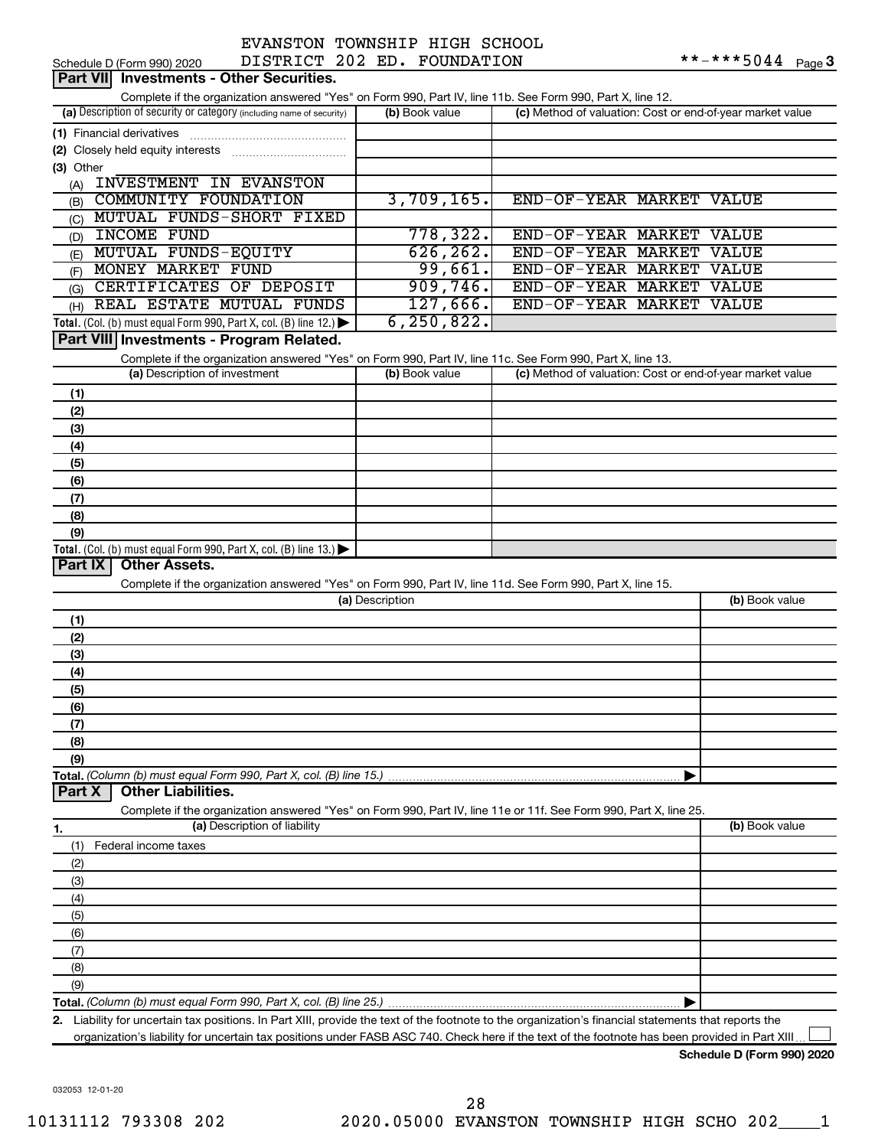| EVANSTON TOWNSHIP HIGH SCHOOL |           |  |
|-------------------------------|-----------|--|
| חה מחמ חמדחחמדת               | ™∩™™™™™™™ |  |

|                | <b>Part VII</b> Investments - Other Securities.                                                                                                      |                 |                                                           |                |
|----------------|------------------------------------------------------------------------------------------------------------------------------------------------------|-----------------|-----------------------------------------------------------|----------------|
|                | Complete if the organization answered "Yes" on Form 990, Part IV, line 11b. See Form 990, Part X, line 12.                                           |                 |                                                           |                |
|                | (a) Description of security or category (including name of security)                                                                                 | (b) Book value  | (c) Method of valuation: Cost or end-of-year market value |                |
|                | (1) Financial derivatives                                                                                                                            |                 |                                                           |                |
|                |                                                                                                                                                      |                 |                                                           |                |
| (3) Other      |                                                                                                                                                      |                 |                                                           |                |
| (A)            | INVESTMENT IN EVANSTON                                                                                                                               |                 |                                                           |                |
| (B)            | COMMUNITY FOUNDATION                                                                                                                                 | 3,709,165.      | END-OF-YEAR MARKET VALUE                                  |                |
| (C)            | MUTUAL FUNDS-SHORT FIXED                                                                                                                             |                 |                                                           |                |
| (D)            | INCOME FUND                                                                                                                                          | 778,322.        | END-OF-YEAR MARKET VALUE                                  |                |
| (E)            | MUTUAL FUNDS-EQUITY                                                                                                                                  | 626, 262.       | END-OF-YEAR MARKET VALUE                                  |                |
| (F)            | MONEY MARKET FUND                                                                                                                                    | 99,661.         | END-OF-YEAR MARKET VALUE                                  |                |
| (G)            | CERTIFICATES OF DEPOSIT                                                                                                                              | 909,746.        | END-OF-YEAR MARKET VALUE                                  |                |
| (H)            | REAL ESTATE MUTUAL FUNDS                                                                                                                             | 127,666.        | END-OF-YEAR MARKET VALUE                                  |                |
|                | Total. (Col. (b) must equal Form 990, Part X, col. (B) line 12.) $\blacktriangleright$                                                               | 6, 250, 822.    |                                                           |                |
|                | Part VIII Investments - Program Related.                                                                                                             |                 |                                                           |                |
|                | Complete if the organization answered "Yes" on Form 990, Part IV, line 11c. See Form 990, Part X, line 13.<br>(a) Description of investment          | (b) Book value  | (c) Method of valuation: Cost or end-of-year market value |                |
|                |                                                                                                                                                      |                 |                                                           |                |
| (1)            |                                                                                                                                                      |                 |                                                           |                |
| (2)            |                                                                                                                                                      |                 |                                                           |                |
| (3)<br>(4)     |                                                                                                                                                      |                 |                                                           |                |
| (5)            |                                                                                                                                                      |                 |                                                           |                |
| (6)            |                                                                                                                                                      |                 |                                                           |                |
| (7)            |                                                                                                                                                      |                 |                                                           |                |
| (8)            |                                                                                                                                                      |                 |                                                           |                |
| (9)            |                                                                                                                                                      |                 |                                                           |                |
|                | Total. (Col. (b) must equal Form 990, Part X, col. (B) line 13.) $\blacktriangleright$                                                               |                 |                                                           |                |
| <b>Part IX</b> | <b>Other Assets.</b>                                                                                                                                 |                 |                                                           |                |
|                | Complete if the organization answered "Yes" on Form 990, Part IV, line 11d. See Form 990, Part X, line 15.                                           |                 |                                                           |                |
|                |                                                                                                                                                      | (a) Description |                                                           | (b) Book value |
| (1)            |                                                                                                                                                      |                 |                                                           |                |
| (2)            |                                                                                                                                                      |                 |                                                           |                |
| (3)            |                                                                                                                                                      |                 |                                                           |                |
| (4)            |                                                                                                                                                      |                 |                                                           |                |
| (5)            |                                                                                                                                                      |                 |                                                           |                |
| (6)            |                                                                                                                                                      |                 |                                                           |                |
| (7)            |                                                                                                                                                      |                 |                                                           |                |
| (8)<br>(9)     |                                                                                                                                                      |                 |                                                           |                |
|                |                                                                                                                                                      |                 |                                                           |                |
| <b>Part X</b>  | <b>Other Liabilities.</b>                                                                                                                            |                 |                                                           |                |
|                | Complete if the organization answered "Yes" on Form 990, Part IV, line 11e or 11f. See Form 990, Part X, line 25.                                    |                 |                                                           |                |
| 1.             | (a) Description of liability                                                                                                                         |                 |                                                           | (b) Book value |
| (1)            | Federal income taxes                                                                                                                                 |                 |                                                           |                |
| (2)            |                                                                                                                                                      |                 |                                                           |                |
| (3)            |                                                                                                                                                      |                 |                                                           |                |
| (4)            |                                                                                                                                                      |                 |                                                           |                |
| (5)            |                                                                                                                                                      |                 |                                                           |                |
| (6)            |                                                                                                                                                      |                 |                                                           |                |
| (7)            |                                                                                                                                                      |                 |                                                           |                |
| (8)            |                                                                                                                                                      |                 |                                                           |                |
| (9)            |                                                                                                                                                      |                 |                                                           |                |
|                |                                                                                                                                                      |                 |                                                           |                |
|                | 2. Liability for uncertain tax positions. In Part XIII, provide the text of the footnote to the organization's financial statements that reports the |                 |                                                           |                |

organization's liability for uncertain tax positions under FASB ASC 740. Check here if the text of the footnote has been provided in Part XIII...

**Schedule D (Form 990) 2020**

032053 12-01-20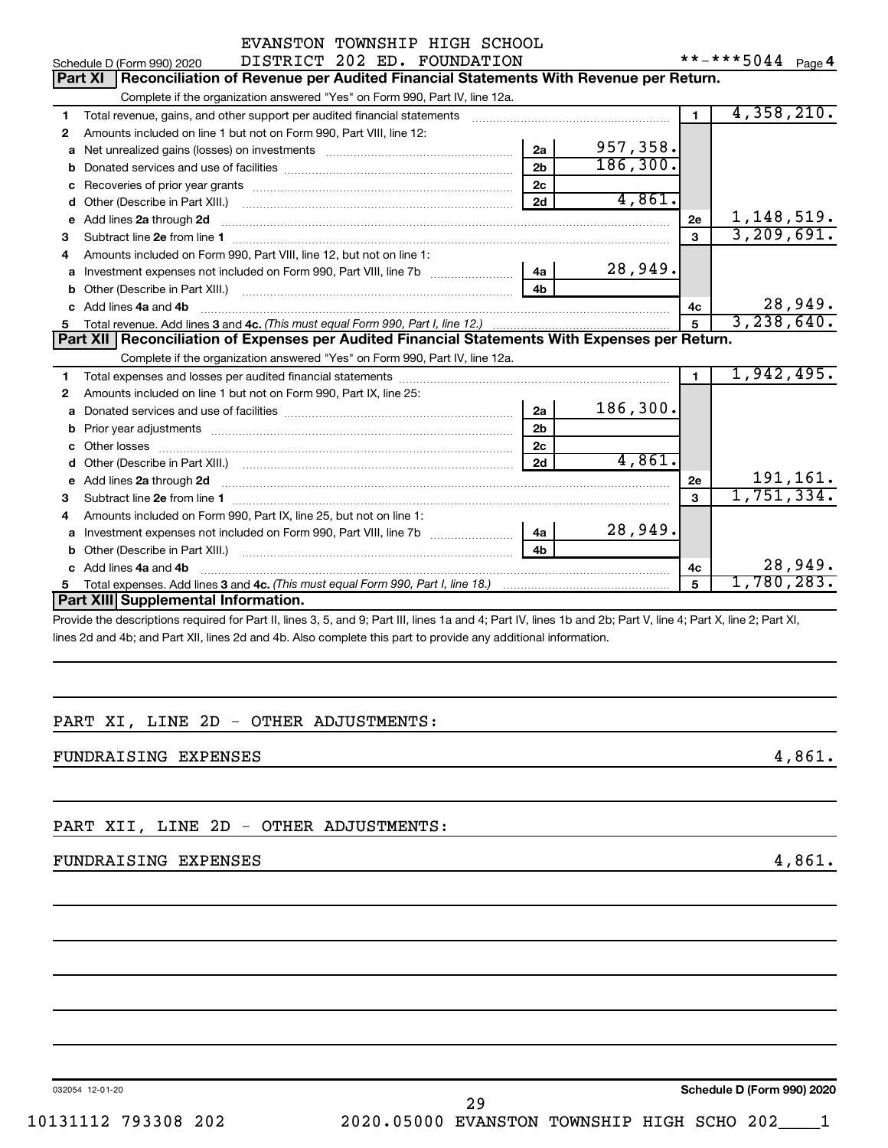|    | EVANSTON TOWNSHIP HIGH SCHOOL                                                                                                                                                                                                  |                |                   |                |                             |  |  |  |
|----|--------------------------------------------------------------------------------------------------------------------------------------------------------------------------------------------------------------------------------|----------------|-------------------|----------------|-----------------------------|--|--|--|
|    | DISTRICT 202 ED. FOUNDATION<br>Schedule D (Form 990) 2020                                                                                                                                                                      |                | **-***5044 Page 4 |                |                             |  |  |  |
|    | Reconciliation of Revenue per Audited Financial Statements With Revenue per Return.<br><b>Part XI</b>                                                                                                                          |                |                   |                |                             |  |  |  |
|    | Complete if the organization answered "Yes" on Form 990, Part IV, line 12a.                                                                                                                                                    |                |                   |                |                             |  |  |  |
| 1  | Total revenue, gains, and other support per audited financial statements [111] [11] Total revenue, gains, and other support per audited financial statements [11] [11] Total revenue of the support of the support of the supp |                |                   | $\blacksquare$ | 4,358,210.                  |  |  |  |
| 2  | Amounts included on line 1 but not on Form 990, Part VIII, line 12:                                                                                                                                                            |                |                   |                |                             |  |  |  |
| a  |                                                                                                                                                                                                                                | 2a             | 957,358.          |                |                             |  |  |  |
| b  |                                                                                                                                                                                                                                | 2 <sub>b</sub> | 186, 300.         |                |                             |  |  |  |
|    |                                                                                                                                                                                                                                | 2c             |                   |                |                             |  |  |  |
| d  |                                                                                                                                                                                                                                | 2d             | 4,861.            |                |                             |  |  |  |
| е  | Add lines 2a through 2d                                                                                                                                                                                                        |                |                   | 2e             | 1, 148, 519.                |  |  |  |
| з  |                                                                                                                                                                                                                                |                |                   | $\mathbf{a}$   | 3, 209, 691.                |  |  |  |
| 4  | Amounts included on Form 990, Part VIII, line 12, but not on line 1:                                                                                                                                                           |                |                   |                |                             |  |  |  |
| a  |                                                                                                                                                                                                                                |                | 28,949.           |                |                             |  |  |  |
| b  |                                                                                                                                                                                                                                | 4 <sub>h</sub> |                   |                |                             |  |  |  |
|    | Add lines 4a and 4b                                                                                                                                                                                                            |                |                   | 4с             | 28,949.                     |  |  |  |
|    |                                                                                                                                                                                                                                |                |                   | 5              | 3,238,640.                  |  |  |  |
|    | Part XII   Reconciliation of Expenses per Audited Financial Statements With Expenses per Return.                                                                                                                               |                |                   |                |                             |  |  |  |
|    | Complete if the organization answered "Yes" on Form 990, Part IV, line 12a.                                                                                                                                                    |                |                   |                |                             |  |  |  |
| 1  |                                                                                                                                                                                                                                |                |                   | $\blacksquare$ | 1,942,495.                  |  |  |  |
| 2  | Amounts included on line 1 but not on Form 990, Part IX, line 25:                                                                                                                                                              |                |                   |                |                             |  |  |  |
| a  |                                                                                                                                                                                                                                | 2a             | 186,300.          |                |                             |  |  |  |
| b  |                                                                                                                                                                                                                                | 2 <sub>b</sub> |                   |                |                             |  |  |  |
| c  |                                                                                                                                                                                                                                | 2 <sub>c</sub> |                   |                |                             |  |  |  |
| d  |                                                                                                                                                                                                                                | 2d             | 4,861.            |                |                             |  |  |  |
| е  | Add lines 2a through 2d                                                                                                                                                                                                        |                |                   | 2e             | $\frac{191,161}{1,751,334}$ |  |  |  |
| 3  |                                                                                                                                                                                                                                |                |                   | $\mathbf{a}$   |                             |  |  |  |
| 4  | Amounts included on Form 990, Part IX, line 25, but not on line 1:                                                                                                                                                             |                |                   |                |                             |  |  |  |
| a  |                                                                                                                                                                                                                                | 4a             | 28,949.           |                |                             |  |  |  |
| b  | Other (Describe in Part XIII.)                                                                                                                                                                                                 | 4 <sub>h</sub> |                   |                |                             |  |  |  |
| c  | Add lines 4a and 4b                                                                                                                                                                                                            |                |                   | 4c             | 28,949.                     |  |  |  |
| 5. |                                                                                                                                                                                                                                |                |                   | 5              | 1,780,283.                  |  |  |  |
|    | Part XIII Supplemental Information.                                                                                                                                                                                            |                |                   |                |                             |  |  |  |
|    | Droughla the descriptions required for Dart II, lines 2, E. and O: Dart III, lines 1e and 4: Dart IV, lines 1b and Ob: Dart V, line 4: Dart V, line 2: Dart VI                                                                 |                |                   |                |                             |  |  |  |

Provide the descriptions required for Part II, lines 3, 5, and 9; Part III, lines 1a and 4; Part IV, lines 1b and 2b; Part V, line 4; Part X, line 2; Part XI, lines 2d and 4b; and Part XII, lines 2d and 4b. Also complete this part to provide any additional information.

# PART XI, LINE 2D - OTHER ADJUSTMENTS:

FUNDRAISING EXPENSES 4,861.

PART XII, LINE 2D - OTHER ADJUSTMENTS:

# FUNDRAISING EXPENSES 4,861.

032054 12-01-20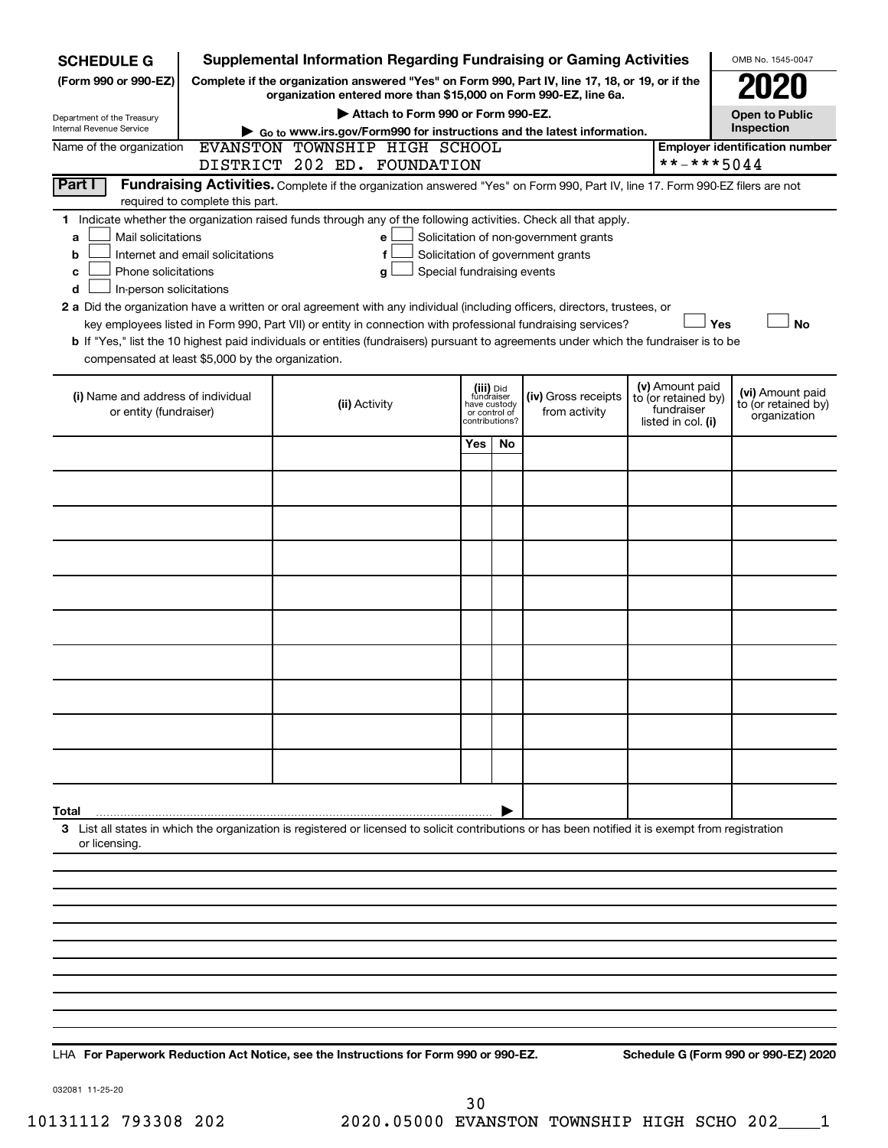| <b>SCHEDULE G</b>                                                                                                                               | <b>Supplemental Information Regarding Fundraising or Gaming Activities</b>                                                                                          |                                 |    |                                       |                                   |     | OMB No. 1545-0047     |
|-------------------------------------------------------------------------------------------------------------------------------------------------|---------------------------------------------------------------------------------------------------------------------------------------------------------------------|---------------------------------|----|---------------------------------------|-----------------------------------|-----|-----------------------|
| (Form 990 or 990-EZ)                                                                                                                            | Complete if the organization answered "Yes" on Form 990, Part IV, line 17, 18, or 19, or if the<br>organization entered more than \$15,000 on Form 990-EZ, line 6a. |                                 |    |                                       |                                   |     |                       |
| Department of the Treasury                                                                                                                      | Attach to Form 990 or Form 990-EZ.                                                                                                                                  |                                 |    |                                       |                                   |     | <b>Open to Public</b> |
| Internal Revenue Service                                                                                                                        | Go to www.irs.gov/Form990 for instructions and the latest information.                                                                                              |                                 |    |                                       |                                   |     | Inspection            |
| EVANSTON TOWNSHIP HIGH SCHOOL<br>Name of the organization<br><b>Employer identification number</b><br>**-***5044<br>DISTRICT 202 ED. FOUNDATION |                                                                                                                                                                     |                                 |    |                                       |                                   |     |                       |
| Part I                                                                                                                                          | Fundraising Activities. Complete if the organization answered "Yes" on Form 990, Part IV, line 17. Form 990-EZ filers are not                                       |                                 |    |                                       |                                   |     |                       |
| required to complete this part.                                                                                                                 |                                                                                                                                                                     |                                 |    |                                       |                                   |     |                       |
| 1.                                                                                                                                              | Indicate whether the organization raised funds through any of the following activities. Check all that apply.                                                       |                                 |    |                                       |                                   |     |                       |
| Mail solicitations<br>a                                                                                                                         | е                                                                                                                                                                   |                                 |    | Solicitation of non-government grants |                                   |     |                       |
| Internet and email solicitations<br>b<br>Phone solicitations                                                                                    | f                                                                                                                                                                   | Special fundraising events      |    | Solicitation of government grants     |                                   |     |                       |
| с<br>In-person solicitations<br>d                                                                                                               | g                                                                                                                                                                   |                                 |    |                                       |                                   |     |                       |
|                                                                                                                                                 | 2 a Did the organization have a written or oral agreement with any individual (including officers, directors, trustees, or                                          |                                 |    |                                       |                                   |     |                       |
|                                                                                                                                                 | key employees listed in Form 990, Part VII) or entity in connection with professional fundraising services?                                                         |                                 |    |                                       |                                   | Yes | <b>No</b>             |
|                                                                                                                                                 | <b>b</b> If "Yes," list the 10 highest paid individuals or entities (fundraisers) pursuant to agreements under which the fundraiser is to be                        |                                 |    |                                       |                                   |     |                       |
| compensated at least \$5,000 by the organization.                                                                                               |                                                                                                                                                                     |                                 |    |                                       |                                   |     |                       |
|                                                                                                                                                 |                                                                                                                                                                     | (iii) Did<br>fundraiser         |    |                                       | (v) Amount paid                   |     | (vi) Amount paid      |
| (i) Name and address of individual                                                                                                              | (ii) Activity                                                                                                                                                       | have custody                    |    | (iv) Gross receipts                   | to (or retained by)<br>fundraiser |     | to (or retained by)   |
| or entity (fundraiser)                                                                                                                          |                                                                                                                                                                     | or control of<br>contributions? |    | from activity                         | listed in col. (i)                |     | organization          |
|                                                                                                                                                 |                                                                                                                                                                     | Yes                             | No |                                       |                                   |     |                       |
|                                                                                                                                                 |                                                                                                                                                                     |                                 |    |                                       |                                   |     |                       |
|                                                                                                                                                 |                                                                                                                                                                     |                                 |    |                                       |                                   |     |                       |
|                                                                                                                                                 |                                                                                                                                                                     |                                 |    |                                       |                                   |     |                       |
|                                                                                                                                                 |                                                                                                                                                                     |                                 |    |                                       |                                   |     |                       |
|                                                                                                                                                 |                                                                                                                                                                     |                                 |    |                                       |                                   |     |                       |
|                                                                                                                                                 |                                                                                                                                                                     |                                 |    |                                       |                                   |     |                       |
|                                                                                                                                                 |                                                                                                                                                                     |                                 |    |                                       |                                   |     |                       |
|                                                                                                                                                 |                                                                                                                                                                     |                                 |    |                                       |                                   |     |                       |
|                                                                                                                                                 |                                                                                                                                                                     |                                 |    |                                       |                                   |     |                       |
|                                                                                                                                                 |                                                                                                                                                                     |                                 |    |                                       |                                   |     |                       |
|                                                                                                                                                 |                                                                                                                                                                     |                                 |    |                                       |                                   |     |                       |
|                                                                                                                                                 |                                                                                                                                                                     |                                 |    |                                       |                                   |     |                       |
| Total                                                                                                                                           |                                                                                                                                                                     |                                 |    |                                       |                                   |     |                       |
| or licensing.                                                                                                                                   | 3 List all states in which the organization is registered or licensed to solicit contributions or has been notified it is exempt from registration                  |                                 |    |                                       |                                   |     |                       |
|                                                                                                                                                 |                                                                                                                                                                     |                                 |    |                                       |                                   |     |                       |
|                                                                                                                                                 |                                                                                                                                                                     |                                 |    |                                       |                                   |     |                       |
|                                                                                                                                                 |                                                                                                                                                                     |                                 |    |                                       |                                   |     |                       |
|                                                                                                                                                 |                                                                                                                                                                     |                                 |    |                                       |                                   |     |                       |
|                                                                                                                                                 |                                                                                                                                                                     |                                 |    |                                       |                                   |     |                       |
|                                                                                                                                                 |                                                                                                                                                                     |                                 |    |                                       |                                   |     |                       |
|                                                                                                                                                 |                                                                                                                                                                     |                                 |    |                                       |                                   |     |                       |

**For Paperwork Reduction Act Notice, see the Instructions for Form 990 or 990-EZ. Schedule G (Form 990 or 990-EZ) 2020** LHA

032081 11-25-20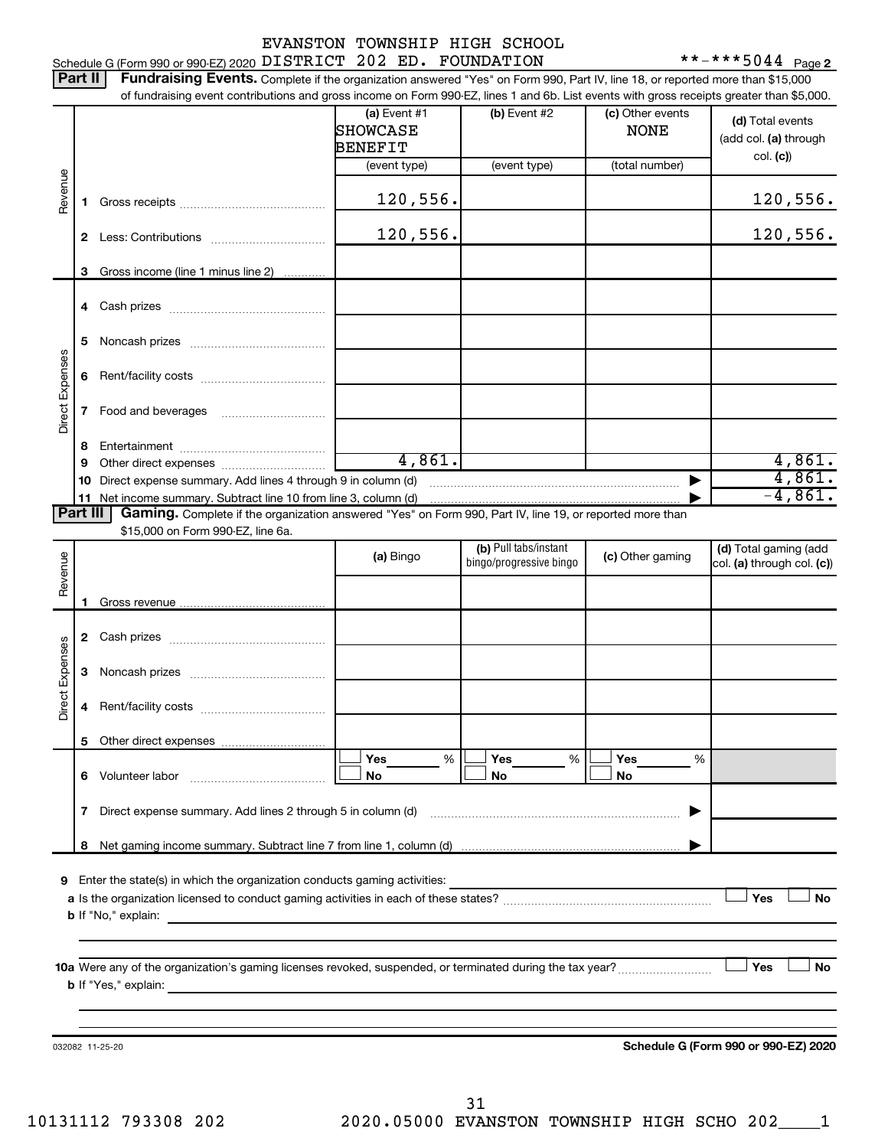| EVANSTON TOWNSHIP HIGH SCHOOL |  |  |
|-------------------------------|--|--|
|                               |  |  |

 $***$   $***$  5044 Page 2

|                 | Part II  | Fundraising Events. Complete if the organization answered "Yes" on Form 990, Part IV, line 18, or reported more than \$15,000             |                                                     |                                                  |                                 |                                                       |
|-----------------|----------|-------------------------------------------------------------------------------------------------------------------------------------------|-----------------------------------------------------|--------------------------------------------------|---------------------------------|-------------------------------------------------------|
|                 |          | of fundraising event contributions and gross income on Form 990-EZ, lines 1 and 6b. List events with gross receipts greater than \$5,000. | (a) Event $#1$<br><b>SHOWCASE</b><br><b>BENEFIT</b> | (b) Event #2                                     | (c) Other events<br><b>NONE</b> | (d) Total events<br>(add col. (a) through<br>col. (c) |
| Revenue         | 1.       |                                                                                                                                           | (event type)<br>120,556.                            | (event type)                                     | (total number)                  | 120,556.                                              |
|                 | 2        |                                                                                                                                           | 120,556.                                            |                                                  |                                 | 120,556.                                              |
|                 | З        | Gross income (line 1 minus line 2)                                                                                                        |                                                     |                                                  |                                 |                                                       |
|                 |          |                                                                                                                                           |                                                     |                                                  |                                 |                                                       |
|                 | 5        |                                                                                                                                           |                                                     |                                                  |                                 |                                                       |
|                 | 6        |                                                                                                                                           |                                                     |                                                  |                                 |                                                       |
| Direct Expenses | 7        |                                                                                                                                           |                                                     |                                                  |                                 |                                                       |
|                 | 8<br>9   |                                                                                                                                           | 4,861.                                              |                                                  |                                 | 4,861.                                                |
|                 | 10       | Direct expense summary. Add lines 4 through 9 in column (d)                                                                               |                                                     |                                                  |                                 | 4,861.                                                |
|                 | 11       |                                                                                                                                           |                                                     |                                                  |                                 | $-4,861.$                                             |
|                 | Part III | Gaming. Complete if the organization answered "Yes" on Form 990, Part IV, line 19, or reported more than                                  |                                                     |                                                  |                                 |                                                       |
|                 |          | \$15,000 on Form 990-EZ, line 6a.                                                                                                         |                                                     |                                                  |                                 |                                                       |
| Revenue         |          |                                                                                                                                           | (a) Bingo                                           | (b) Pull tabs/instant<br>bingo/progressive bingo | (c) Other gaming                | (d) Total gaming (add<br>col. (a) through col. (c))   |
|                 |          |                                                                                                                                           |                                                     |                                                  |                                 |                                                       |
|                 | З        |                                                                                                                                           |                                                     |                                                  |                                 |                                                       |
| Direct Expenses | 4        |                                                                                                                                           |                                                     |                                                  |                                 |                                                       |
|                 | 5.       |                                                                                                                                           |                                                     |                                                  |                                 |                                                       |
|                 |          |                                                                                                                                           | Yes<br>%<br>No                                      | Yes<br>%<br>No                                   | Yes<br>%<br>No                  |                                                       |
|                 | 7        |                                                                                                                                           |                                                     |                                                  |                                 |                                                       |
|                 | 8        |                                                                                                                                           |                                                     |                                                  |                                 |                                                       |
| 9               |          |                                                                                                                                           |                                                     |                                                  |                                 | Yes<br><b>No</b><br>Yes<br>No                         |
|                 |          |                                                                                                                                           |                                                     |                                                  |                                 |                                                       |
|                 |          | 032082 11-25-20                                                                                                                           |                                                     |                                                  |                                 | Schedule G (Form 990 or 990-EZ) 2020                  |

10131112 793308 202 2020.05000 EVANSTON TOWNSHIP HIGH SCHO 202\_\_\_\_1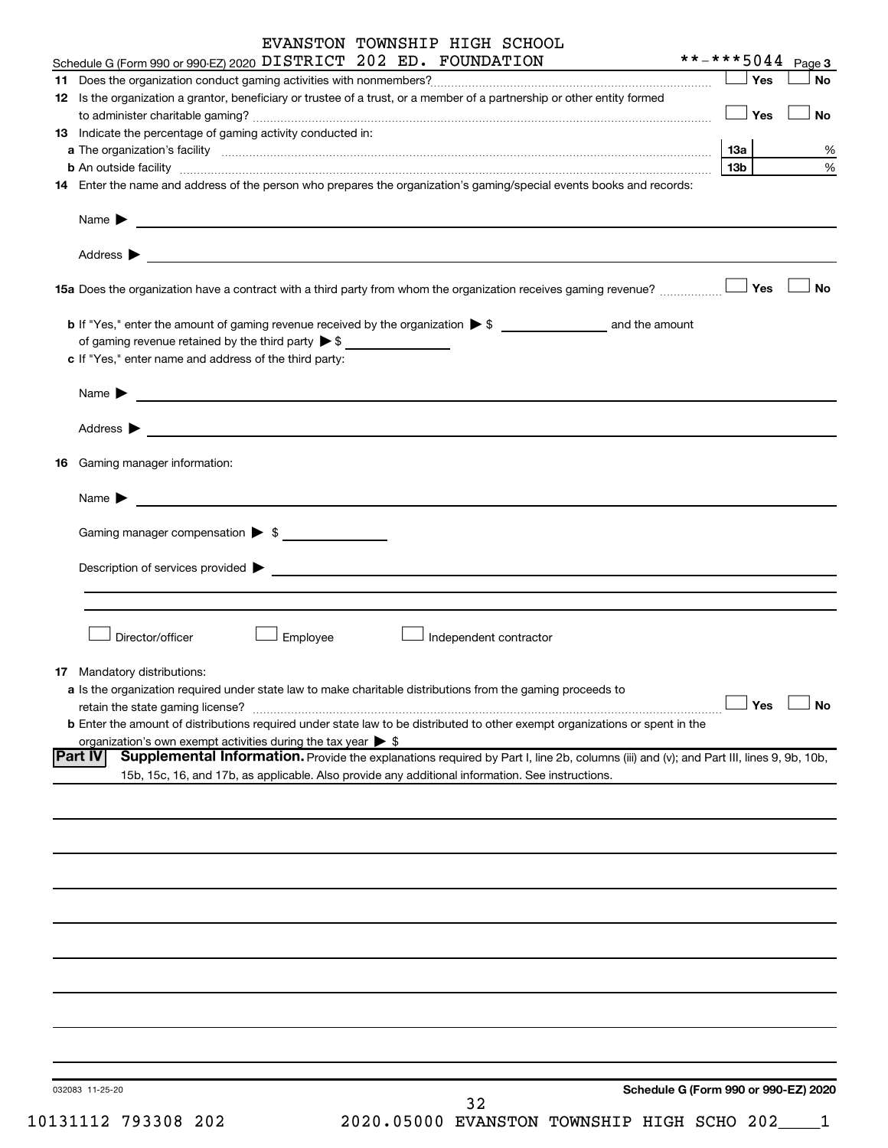| EVANSTON TOWNSHIP HIGH SCHOOL                                                                                                                                                                                                        |                                      |
|--------------------------------------------------------------------------------------------------------------------------------------------------------------------------------------------------------------------------------------|--------------------------------------|
| Schedule G (Form 990 or 990-EZ) 2020 DISTRICT 202 ED. FOUNDATION                                                                                                                                                                     | **-***5044 Page 3                    |
|                                                                                                                                                                                                                                      | Yes<br>No                            |
| 12 Is the organization a grantor, beneficiary or trustee of a trust, or a member of a partnership or other entity formed                                                                                                             |                                      |
| 13 Indicate the percentage of gaming activity conducted in:                                                                                                                                                                          | $\Box$ Yes<br>No                     |
|                                                                                                                                                                                                                                      | 1За<br>%                             |
| b An outside facility www.communications.com/news/communications.com/news/communications.com/news/communication                                                                                                                      | $\%$<br>13b                          |
| 14 Enter the name and address of the person who prepares the organization's gaming/special events books and records:                                                                                                                 |                                      |
|                                                                                                                                                                                                                                      |                                      |
| Name <b>Decision and Contract Contract Contract Contract Contract Contract Contract Contract Contract Contract Contract Contract Contract Contract Contract Contract Contract Contract Contract Contract Contract Contract Contr</b> |                                      |
|                                                                                                                                                                                                                                      |                                      |
|                                                                                                                                                                                                                                      |                                      |
|                                                                                                                                                                                                                                      | <b>No</b><br>Yes                     |
|                                                                                                                                                                                                                                      |                                      |
| of gaming revenue retained by the third party $\triangleright$ \$                                                                                                                                                                    |                                      |
| c If "Yes," enter name and address of the third party:                                                                                                                                                                               |                                      |
|                                                                                                                                                                                                                                      |                                      |
|                                                                                                                                                                                                                                      |                                      |
|                                                                                                                                                                                                                                      |                                      |
| Address $\blacktriangleright$<br><u> 1989 - Andrea Andrew Maria (h. 1989).</u>                                                                                                                                                       |                                      |
| <b>16</b> Gaming manager information:                                                                                                                                                                                                |                                      |
| Name $\blacktriangleright$<br><u> 1980 - Jan Barnett, fransk politik (d. 1980)</u>                                                                                                                                                   |                                      |
|                                                                                                                                                                                                                                      |                                      |
| Gaming manager compensation > \$                                                                                                                                                                                                     |                                      |
|                                                                                                                                                                                                                                      |                                      |
| Description of services provided > example and the contract of the contract of the contract of the contract of                                                                                                                       |                                      |
|                                                                                                                                                                                                                                      |                                      |
|                                                                                                                                                                                                                                      |                                      |
| Director/officer<br>Employee<br>Independent contractor                                                                                                                                                                               |                                      |
|                                                                                                                                                                                                                                      |                                      |
| 17 Mandatory distributions:                                                                                                                                                                                                          |                                      |
| a Is the organization required under state law to make charitable distributions from the gaming proceeds to                                                                                                                          |                                      |
| retain the state gaming license?                                                                                                                                                                                                     | Yes<br>No                            |
| <b>b</b> Enter the amount of distributions required under state law to be distributed to other exempt organizations or spent in the<br>organization's own exempt activities during the tax year $\triangleright$ \$                  |                                      |
| Supplemental Information. Provide the explanations required by Part I, line 2b, columns (iii) and (v); and Part III, lines 9, 9b, 10b,<br><b>IPart IV</b>                                                                            |                                      |
| 15b, 15c, 16, and 17b, as applicable. Also provide any additional information. See instructions.                                                                                                                                     |                                      |
|                                                                                                                                                                                                                                      |                                      |
|                                                                                                                                                                                                                                      |                                      |
|                                                                                                                                                                                                                                      |                                      |
|                                                                                                                                                                                                                                      |                                      |
|                                                                                                                                                                                                                                      |                                      |
|                                                                                                                                                                                                                                      |                                      |
|                                                                                                                                                                                                                                      |                                      |
|                                                                                                                                                                                                                                      |                                      |
|                                                                                                                                                                                                                                      |                                      |
|                                                                                                                                                                                                                                      |                                      |
|                                                                                                                                                                                                                                      |                                      |
|                                                                                                                                                                                                                                      |                                      |
|                                                                                                                                                                                                                                      |                                      |
|                                                                                                                                                                                                                                      |                                      |
|                                                                                                                                                                                                                                      | Schodule C (Form 000 or 000 EZ) 2020 |

032083 11-25-20

**Schedule G (Form 990 or 990-EZ) 2020**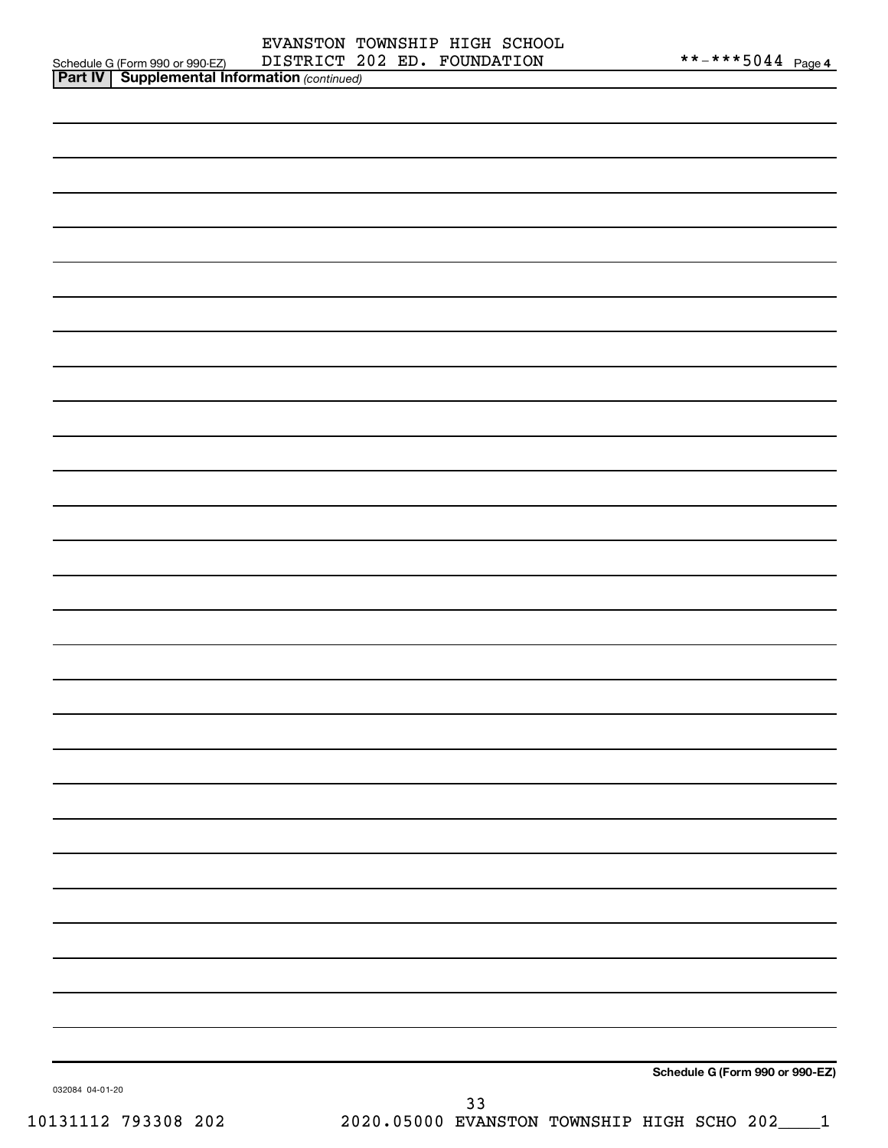| <b>Part IV   Supplemental Information (continued)</b> |                                                  |
|-------------------------------------------------------|--------------------------------------------------|
|                                                       |                                                  |
|                                                       |                                                  |
|                                                       |                                                  |
|                                                       |                                                  |
|                                                       |                                                  |
|                                                       |                                                  |
|                                                       |                                                  |
|                                                       |                                                  |
|                                                       |                                                  |
|                                                       |                                                  |
|                                                       |                                                  |
|                                                       |                                                  |
|                                                       |                                                  |
|                                                       |                                                  |
|                                                       |                                                  |
|                                                       |                                                  |
|                                                       |                                                  |
|                                                       |                                                  |
|                                                       |                                                  |
|                                                       |                                                  |
|                                                       |                                                  |
|                                                       |                                                  |
|                                                       |                                                  |
|                                                       |                                                  |
|                                                       |                                                  |
|                                                       |                                                  |
|                                                       |                                                  |
|                                                       |                                                  |
|                                                       |                                                  |
|                                                       |                                                  |
|                                                       |                                                  |
|                                                       | Schedule G (Form 990 or 990-EZ)                  |
| 032084 04-01-20                                       | 33                                               |
| 10131112 793308 202                                   | 2020.05000 EVANSTON TOWNSHIP HIGH SCHO 202_____1 |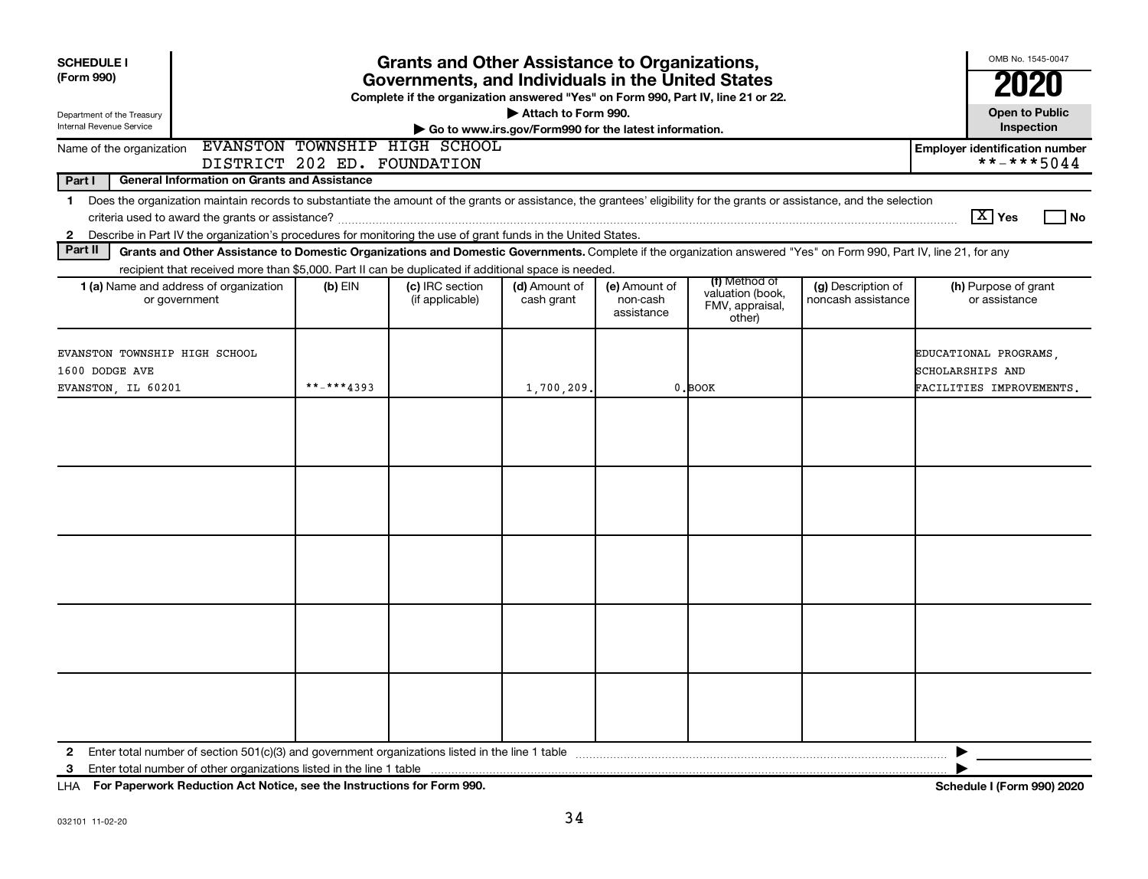| <b>SCHEDULE I</b><br>(Form 990)<br>Department of the Treasury                                                                                                                                                                                                                                                            | <b>Grants and Other Assistance to Organizations,</b><br>Governments, and Individuals in the United States<br>Complete if the organization answered "Yes" on Form 990, Part IV, line 21 or 22.<br>Attach to Form 990. |                                                              |                             |                                         |                                                                |                                          |                                                     |
|--------------------------------------------------------------------------------------------------------------------------------------------------------------------------------------------------------------------------------------------------------------------------------------------------------------------------|----------------------------------------------------------------------------------------------------------------------------------------------------------------------------------------------------------------------|--------------------------------------------------------------|-----------------------------|-----------------------------------------|----------------------------------------------------------------|------------------------------------------|-----------------------------------------------------|
| Internal Revenue Service<br>Go to www.irs.gov/Form990 for the latest information.                                                                                                                                                                                                                                        |                                                                                                                                                                                                                      |                                                              |                             |                                         |                                                                |                                          | <b>Open to Public</b><br>Inspection                 |
| Name of the organization                                                                                                                                                                                                                                                                                                 |                                                                                                                                                                                                                      | EVANSTON TOWNSHIP HIGH SCHOOL<br>DISTRICT 202 ED. FOUNDATION |                             |                                         |                                                                |                                          | <b>Employer identification number</b><br>**-***5044 |
| Part I<br><b>General Information on Grants and Assistance</b>                                                                                                                                                                                                                                                            |                                                                                                                                                                                                                      |                                                              |                             |                                         |                                                                |                                          |                                                     |
| Does the organization maintain records to substantiate the amount of the grants or assistance, the grantees' eligibility for the grants or assistance, and the selection<br>$\mathbf 1$<br>Describe in Part IV the organization's procedures for monitoring the use of grant funds in the United States.<br>$\mathbf{2}$ |                                                                                                                                                                                                                      |                                                              |                             |                                         |                                                                |                                          | $\boxed{\text{X}}$ Yes<br>l No                      |
| Part II<br>Grants and Other Assistance to Domestic Organizations and Domestic Governments. Complete if the organization answered "Yes" on Form 990, Part IV, line 21, for any                                                                                                                                            |                                                                                                                                                                                                                      |                                                              |                             |                                         |                                                                |                                          |                                                     |
| recipient that received more than \$5,000. Part II can be duplicated if additional space is needed.<br>1 (a) Name and address of organization<br>or government                                                                                                                                                           | $(b)$ EIN                                                                                                                                                                                                            | (c) IRC section<br>(if applicable)                           | (d) Amount of<br>cash grant | (e) Amount of<br>non-cash<br>assistance | (f) Method of<br>valuation (book,<br>FMV, appraisal,<br>other) | (g) Description of<br>noncash assistance | (h) Purpose of grant<br>or assistance               |
| EVANSTON TOWNSHIP HIGH SCHOOL<br>1600 DODGE AVE                                                                                                                                                                                                                                                                          | **-***4393                                                                                                                                                                                                           |                                                              |                             |                                         |                                                                |                                          | EDUCATIONAL PROGRAMS.<br>SCHOLARSHIPS AND           |
| EVANSTON, IL 60201                                                                                                                                                                                                                                                                                                       |                                                                                                                                                                                                                      |                                                              | 1,700,209.                  |                                         | $0$ . BOOK                                                     |                                          | FACILITIES IMPROVEMENTS.                            |
|                                                                                                                                                                                                                                                                                                                          |                                                                                                                                                                                                                      |                                                              |                             |                                         |                                                                |                                          |                                                     |
|                                                                                                                                                                                                                                                                                                                          |                                                                                                                                                                                                                      |                                                              |                             |                                         |                                                                |                                          |                                                     |
|                                                                                                                                                                                                                                                                                                                          |                                                                                                                                                                                                                      |                                                              |                             |                                         |                                                                |                                          |                                                     |
|                                                                                                                                                                                                                                                                                                                          |                                                                                                                                                                                                                      |                                                              |                             |                                         |                                                                |                                          |                                                     |
|                                                                                                                                                                                                                                                                                                                          |                                                                                                                                                                                                                      |                                                              |                             |                                         |                                                                |                                          |                                                     |
| $\mathbf{2}$<br>Enter total number of other organizations listed in the line 1 table<br>3                                                                                                                                                                                                                                |                                                                                                                                                                                                                      |                                                              |                             |                                         |                                                                |                                          |                                                     |

**For Paperwork Reduction Act Notice, see the Instructions for Form 990. Schedule I (Form 990) 2020** LHA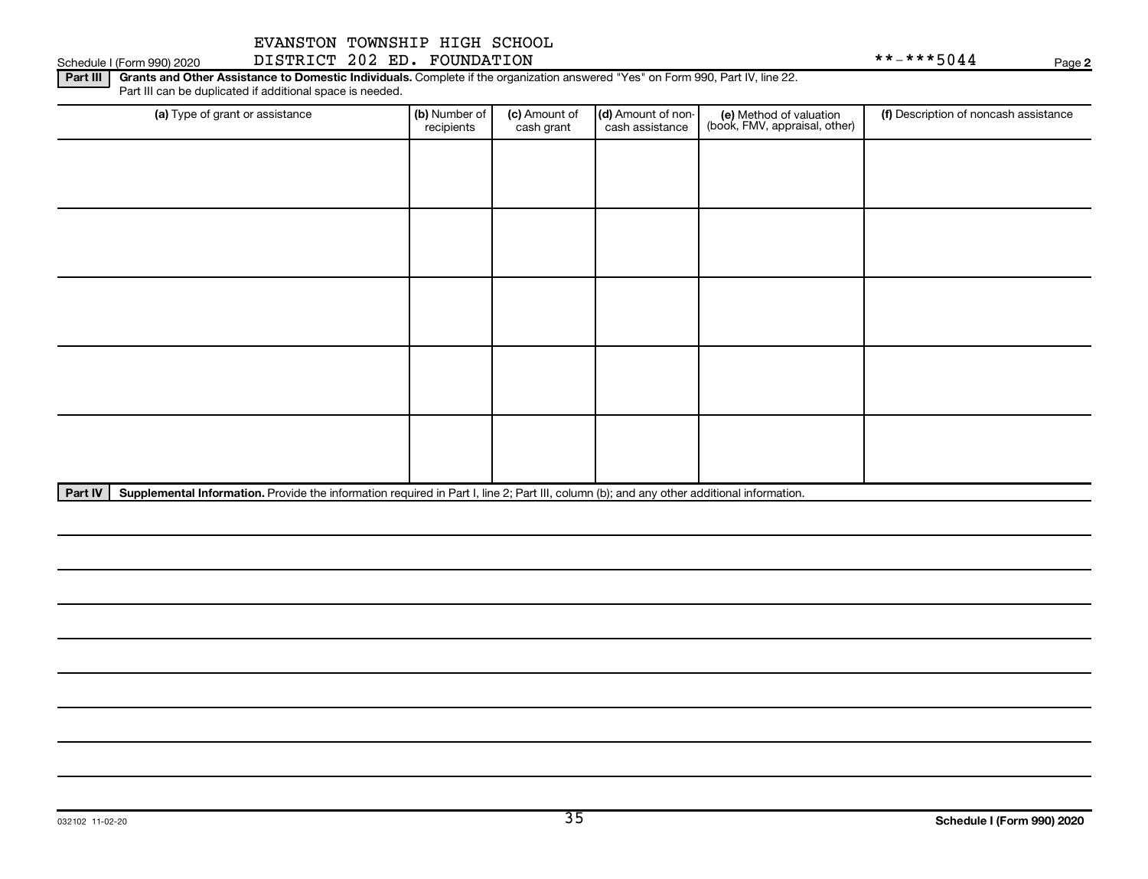Schedule I (Form 990) 2020 DISTRICT 202 ED. FOUNDATION Page

**2**

Part III | Grants and Other Assistance to Domestic Individuals. Complete if the organization answered "Yes" on Form 990, Part IV, line 22. Part III can be duplicated if additional space is needed.

| (a) Type of grant or assistance | (b) Number of<br>recipients | (c) Amount of<br>cash grant | (d) Amount of non-<br>cash assistance | (e) Method of valuation<br>(book, FMV, appraisal, other) | (f) Description of noncash assistance |
|---------------------------------|-----------------------------|-----------------------------|---------------------------------------|----------------------------------------------------------|---------------------------------------|
|                                 |                             |                             |                                       |                                                          |                                       |
|                                 |                             |                             |                                       |                                                          |                                       |
|                                 |                             |                             |                                       |                                                          |                                       |
|                                 |                             |                             |                                       |                                                          |                                       |
|                                 |                             |                             |                                       |                                                          |                                       |
|                                 |                             |                             |                                       |                                                          |                                       |
|                                 |                             |                             |                                       |                                                          |                                       |
|                                 |                             |                             |                                       |                                                          |                                       |
|                                 |                             |                             |                                       |                                                          |                                       |
|                                 |                             |                             |                                       |                                                          |                                       |

Part IV | Supplemental Information. Provide the information required in Part I, line 2; Part III, column (b); and any other additional information.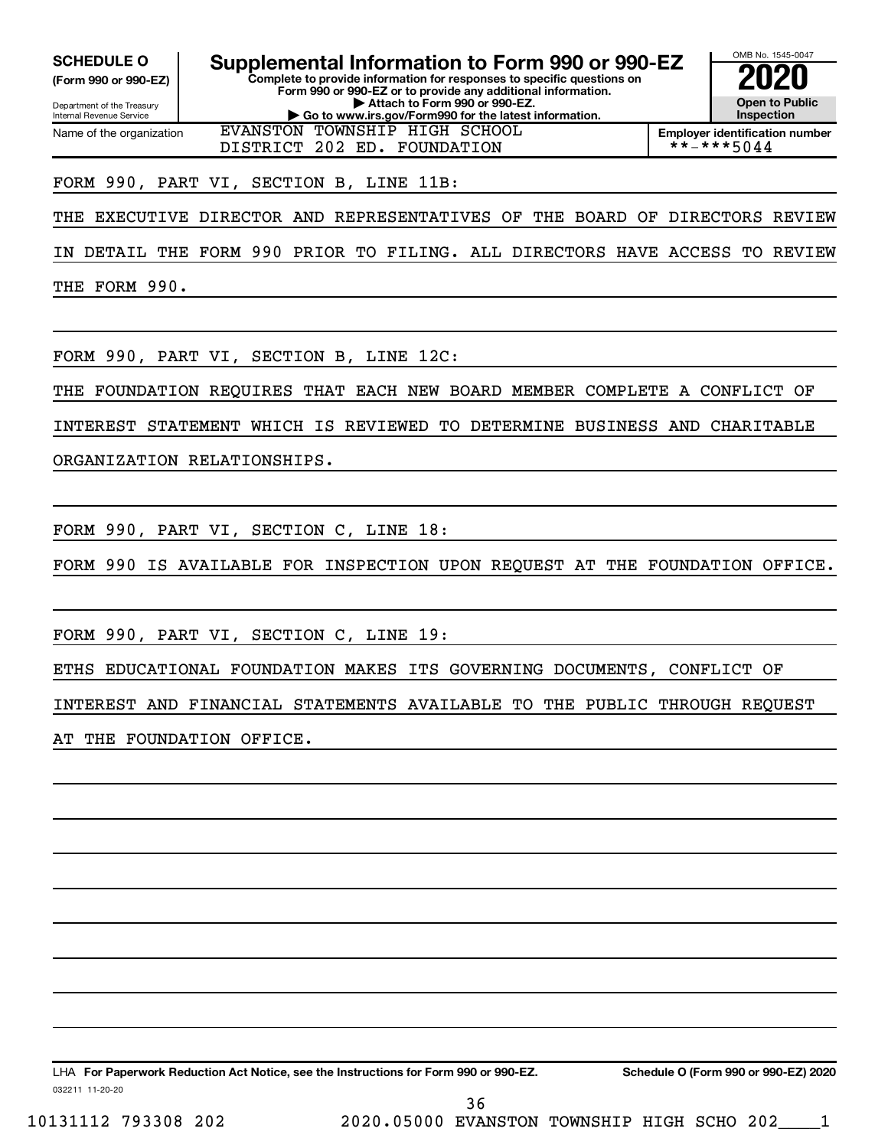Internal Revenue Service

Department of the Treasury **(Form 990 or 990-EZ)**

Name of the organization

**Complete to provide information for responses to specific questions on Form 990 or 990-EZ or to provide any additional information. | Attach to Form 990 or 990-EZ.**

**| Go to www.irs.gov/Form990 for the latest information.** EVANSTON TOWNSHIP HIGH SCHOOL DISTRICT 202 ED. FOUNDATION

OMB No. 1545-0047 **Open to Public Inspection SCHEDULE O Supplemental Information to Form 990 or 990-EZ 2020**<br>(Form 990 or 990-EZ) **2020** 

**Employer identification number**<br>\* \* - \* \* \* 5 0 4 4

# FORM 990, PART VI, SECTION B, LINE 11B:

THE EXECUTIVE DIRECTOR AND REPRESENTATIVES OF THE BOARD OF DIRECTORS REVIEW

IN DETAIL THE FORM 990 PRIOR TO FILING. ALL DIRECTORS HAVE ACCESS TO REVIEW

THE FORM 990.

FORM 990, PART VI, SECTION B, LINE 12C:

THE FOUNDATION REQUIRES THAT EACH NEW BOARD MEMBER COMPLETE A CONFLICT OF

INTEREST STATEMENT WHICH IS REVIEWED TO DETERMINE BUSINESS AND CHARITABLE

ORGANIZATION RELATIONSHIPS.

FORM 990, PART VI, SECTION C, LINE 18:

FORM 990 IS AVAILABLE FOR INSPECTION UPON REQUEST AT THE FOUNDATION OFFICE.

FORM 990, PART VI, SECTION C, LINE 19:

ETHS EDUCATIONAL FOUNDATION MAKES ITS GOVERNING DOCUMENTS, CONFLICT OF

INTEREST AND FINANCIAL STATEMENTS AVAILABLE TO THE PUBLIC THROUGH REQUEST

AT THE FOUNDATION OFFICE.

032211 11-20-20 **For Paperwork Reduction Act Notice, see the Instructions for Form 990 or 990-EZ. Schedule O (Form 990 or 990-EZ) 2020** LHA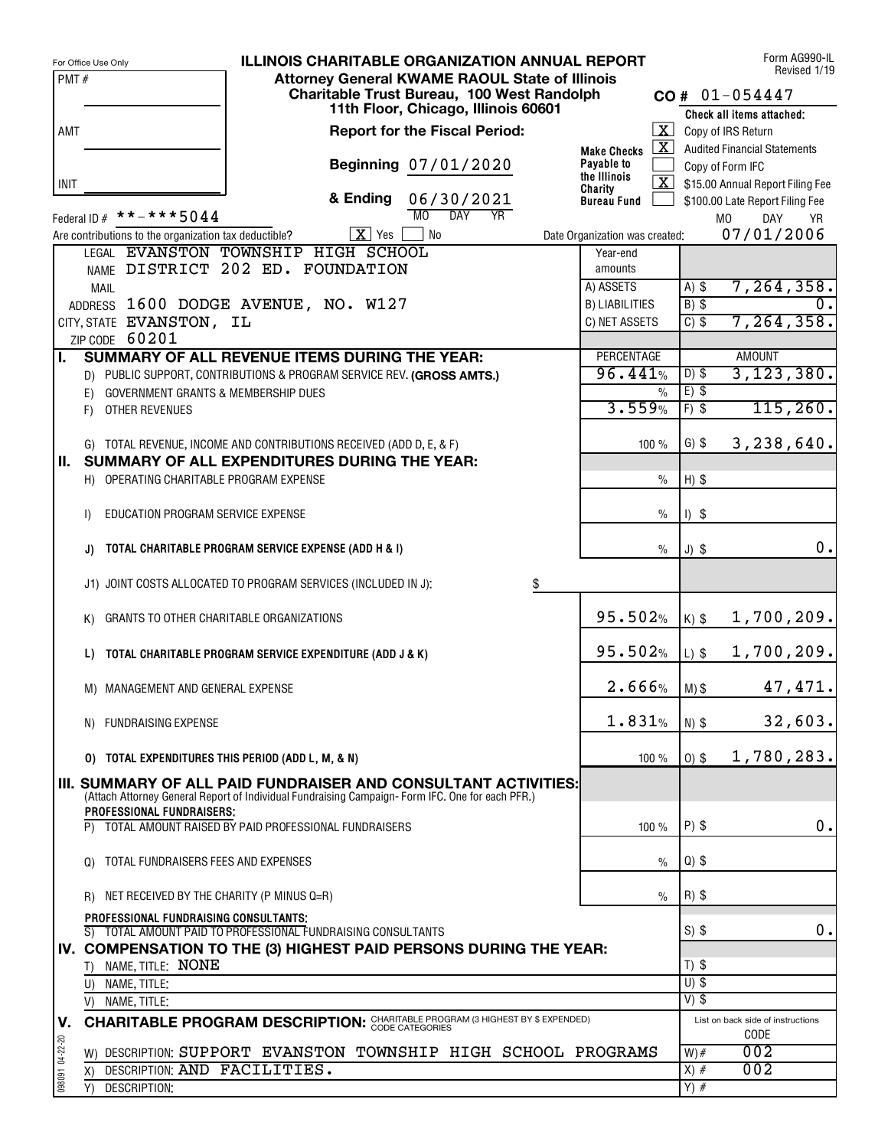|                 | <b>ILLINOIS CHARITABLE ORGANIZATION ANNUAL REPORT</b><br>For Office Use Only                                    | Form AG990-IL<br>Revised 1/19                                                                |
|-----------------|-----------------------------------------------------------------------------------------------------------------|----------------------------------------------------------------------------------------------|
| PMT#            | <b>Attorney General KWAME RAOUL State of Illinois</b>                                                           |                                                                                              |
|                 | Charitable Trust Bureau, 100 West Randolph<br>11th Floor, Chicago, Illinois 60601                               | $CO# 01-054447$                                                                              |
|                 |                                                                                                                 | Check all items attached:                                                                    |
| AMT             | <b>Report for the Fiscal Period:</b>                                                                            | $\boxed{\mathbf{X}}$ Copy of IRS Return<br>$\boxed{\mathbf{X}}$ Audited Financial Statements |
|                 | <b>Make Checks</b><br>Beginning 07/01/2020<br>Payable to                                                        | Copy of Form IFC                                                                             |
| <b>INIT</b>     | the Illinois                                                                                                    | $\overline{\mathbf{X}}$ \$15.00 Annual Report Filing Fee                                     |
|                 | Charity<br>& Ending<br>06/30/2021<br><b>Bureau Fund</b>                                                         | \$100.00 Late Report Filing Fee                                                              |
|                 | MO<br><b>DAY</b><br>$\overline{YR}$<br>Federal ID $#$ * * - * * * 5044                                          | DAY<br><b>MO</b><br><b>YR</b>                                                                |
|                 | $X$ Yes<br><b>No</b><br>Are contributions to the organization tax deductible?<br>Date Organization was created: | 07/01/2006                                                                                   |
|                 | LEGAL EVANSTON TOWNSHIP HIGH SCHOOL<br>Year-end                                                                 |                                                                                              |
|                 | NAME DISTRICT 202 ED. FOUNDATION<br>amounts                                                                     |                                                                                              |
|                 | A) ASSETS<br><b>MAIL</b>                                                                                        | 7, 264, 358.<br>$A)$ \$                                                                      |
|                 | ADDRESS 1600 DODGE AVENUE, NO. W127<br><b>B) LIABILITIES</b>                                                    | $B)$ \$<br>0.1                                                                               |
|                 | CITY, STATE EVANSTON, IL<br>C) NET ASSETS                                                                       | 7, 264, 358.<br>$C)$ \$                                                                      |
|                 | ZIP CODE 60201<br>PERCENTAGE<br>SUMMARY OF ALL REVENUE ITEMS DURING THE YEAR:                                   | <b>AMOUNT</b>                                                                                |
| L.              | 96.441%<br>D) PUBLIC SUPPORT, CONTRIBUTIONS & PROGRAM SERVICE REV. (GROSS AMTS.)                                | 3, 123, 380.<br>$D)$ \$                                                                      |
|                 | GOVERNMENT GRANTS & MEMBERSHIP DUES<br>$\%$<br>E)                                                               | $E)$ \$                                                                                      |
|                 | 3.559%<br>OTHER REVENUES<br>F)                                                                                  | 115, 260.<br>$F)$ \$                                                                         |
|                 |                                                                                                                 |                                                                                              |
|                 | G) TOTAL REVENUE, INCOME AND CONTRIBUTIONS RECEIVED (ADD D, E, & F)<br>100%                                     | $G)$ \$<br>3, 238, 640.                                                                      |
| II. .           | SUMMARY OF ALL EXPENDITURES DURING THE YEAR:                                                                    |                                                                                              |
|                 | H) OPERATING CHARITABLE PROGRAM EXPENSE<br>$\frac{0}{0}$                                                        | $H)$ \$                                                                                      |
|                 |                                                                                                                 |                                                                                              |
|                 | $\frac{0}{0}$<br>EDUCATION PROGRAM SERVICE EXPENSE<br>$\mathsf{I}$                                              | $1)$ \$                                                                                      |
|                 |                                                                                                                 | 0.                                                                                           |
|                 | TOTAL CHARITABLE PROGRAM SERVICE EXPENSE (ADD H & I)<br>$\frac{0}{0}$<br>J)                                     | $J)$ \$                                                                                      |
|                 | J1) JOINT COSTS ALLOCATED TO PROGRAM SERVICES (INCLUDED IN J):<br>\$                                            |                                                                                              |
|                 |                                                                                                                 |                                                                                              |
|                 | 95.502%<br>GRANTS TO OTHER CHARITABLE ORGANIZATIONS<br>K)                                                       | 1,700,209.<br>$K)$ \$                                                                        |
|                 |                                                                                                                 |                                                                                              |
|                 | 95.502%<br>TOTAL CHARITABLE PROGRAM SERVICE EXPENDITURE (ADD J & K)<br>L)                                       | 1,700,209.<br>$L)$ \$                                                                        |
|                 | 2.666%                                                                                                          | 47,471.                                                                                      |
|                 | M) MANAGEMENT AND GENERAL EXPENSE                                                                               | $M)$ \$                                                                                      |
|                 | 1.831%<br>N) FUNDRAISING EXPENSE                                                                                | 32,603.<br>$N)$ \$                                                                           |
|                 |                                                                                                                 |                                                                                              |
|                 | 0) TOTAL EXPENDITURES THIS PERIOD (ADD L, M, & N)<br>100 %                                                      | 1,780,283.<br>$0)$ \$                                                                        |
|                 | III. SUMMARY OF ALL PAID FUNDRAISER AND CONSULTANT ACTIVITIES:                                                  |                                                                                              |
|                 | (Attach Attorney General Report of Individual Fundraising Campaign-Form IFC. One for each PFR.)                 |                                                                                              |
|                 | PROFESSIONAL FUNDRAISERS:<br>P) TOTAL AMOUNT RAISED BY PAID PROFESSIONAL FUNDRAISERS<br>100 %                   | $P)$ \$<br>0.                                                                                |
|                 |                                                                                                                 |                                                                                              |
|                 | Q) TOTAL FUNDRAISERS FEES AND EXPENSES<br>$\frac{0}{0}$                                                         | $Q$ ) \$                                                                                     |
|                 |                                                                                                                 |                                                                                              |
|                 | R) NET RECEIVED BY THE CHARITY (P MINUS Q=R)<br>$\frac{0}{0}$                                                   | $R)$ \$                                                                                      |
|                 | PROFESSIONAL FUNDRAISING CONSULTANTS:                                                                           |                                                                                              |
|                 | S) TOTAL AMOUNT PAID TO PROFESSIONAL FUNDRAISING CONSULTANTS                                                    | $S)$ \$<br>0.                                                                                |
|                 | IV. COMPENSATION TO THE (3) HIGHEST PAID PERSONS DURING THE YEAR:                                               |                                                                                              |
|                 | T) NAME, TITLE: NONE                                                                                            | $T)$ \$<br>$U)$ \$                                                                           |
|                 | U) NAME, TITLE:                                                                                                 | $V)$ \$                                                                                      |
|                 | V) NAME, TITLE:                                                                                                 |                                                                                              |
| V.              | <b>CHARITABLE PROGRAM DESCRIPTION: CHARITABLE PROGRAM (3 HIGHEST BY \$ EXPENDED)</b>                            | List on back side of instructions<br>CODE                                                    |
| 098091 04-22-20 | W) DESCRIPTION: SUPPORT EVANSTON TOWNSHIP HIGH SCHOOL PROGRAMS                                                  | 002<br>$W)$ #                                                                                |
|                 | DESCRIPTION: AND FACILITIES.<br>X)                                                                              | 002<br>$X)$ #                                                                                |
|                 | DESCRIPTION:<br>Y)                                                                                              | $Y)$ #                                                                                       |